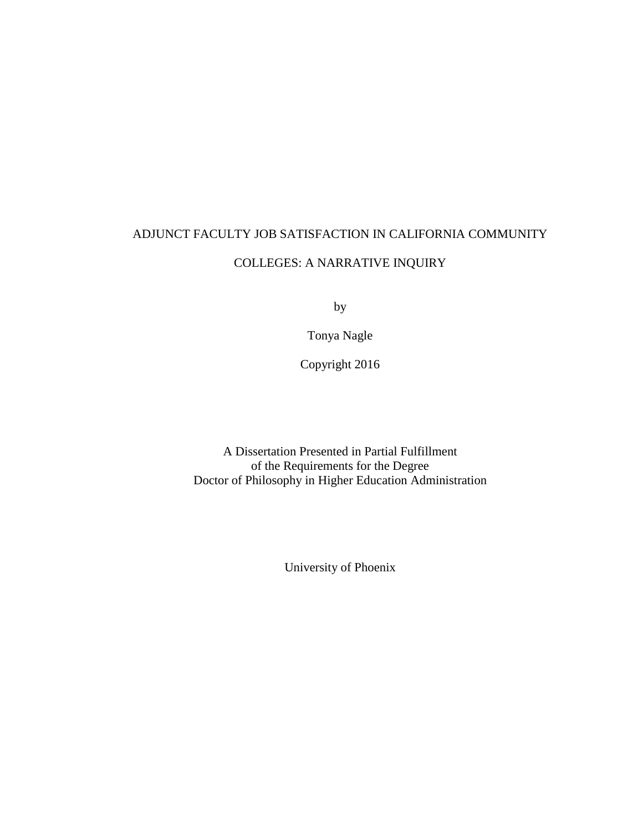# ADJUNCT FACULTY JOB SATISFACTION IN CALIFORNIA COMMUNITY COLLEGES: A NARRATIVE INQUIRY

by

Tonya Nagle

Copyright 2016

A Dissertation Presented in Partial Fulfillment of the Requirements for the Degree Doctor of Philosophy in Higher Education Administration

University of Phoenix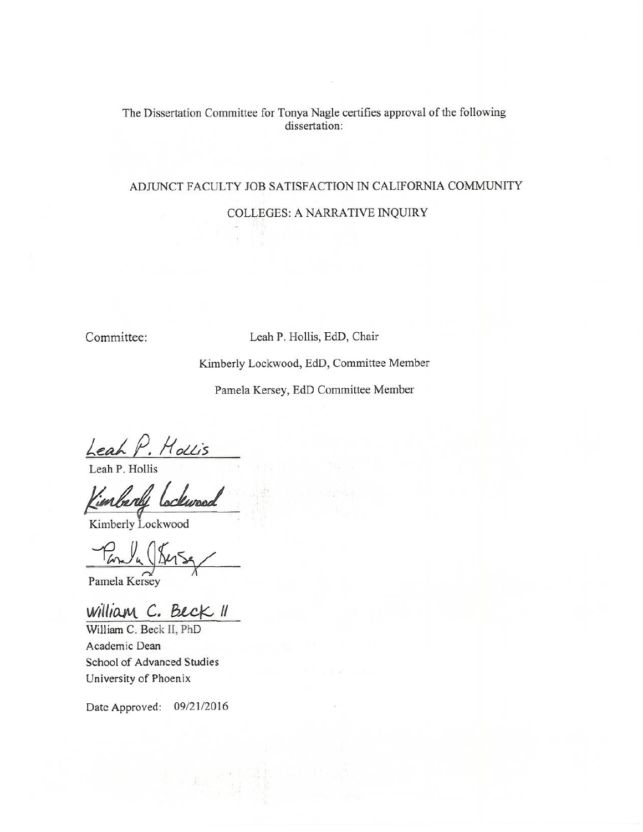# The Dissertation Committee for Tonya Nagle certifies approval of the following dissertation:

# ADJUNCT FACULTY JOB SATISFACTION IN CALIFORNIA COMMUNITY

#### COLLEGES: A NARRATIVE INQUIRY

Committee:

#### Leah P. Hollis, EdD, Chair

Kimberly Lockwood, EdD, Committee Member

Pamela Kersey, EdD Committee Member

Leah P. Hollis<br>Leah P. Hollis<br>Kimberdy Lockwood

Kimberly Lockwood

 $\int_{a}$  ( $\int_{\Delta}$ 

Pamela Kersey

William C. Beck II

William C. Beck II, PhD Academic Dean School of Advanced Studies University of Phoenix

Date Approved: 09/21/2016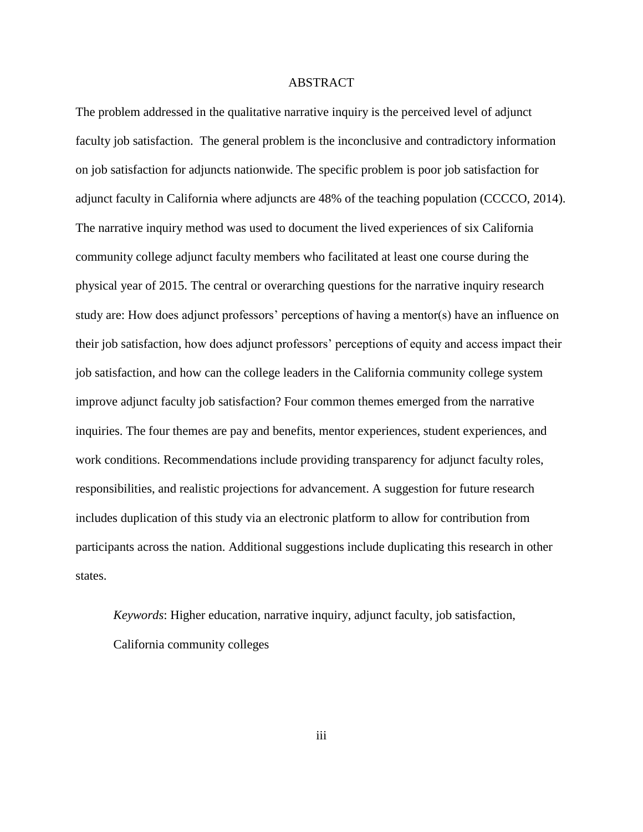## ABSTRACT

The problem addressed in the qualitative narrative inquiry is the perceived level of adjunct faculty job satisfaction. The general problem is the inconclusive and contradictory information on job satisfaction for adjuncts nationwide. The specific problem is poor job satisfaction for adjunct faculty in California where adjuncts are 48% of the teaching population (CCCCO, 2014). The narrative inquiry method was used to document the lived experiences of six California community college adjunct faculty members who facilitated at least one course during the physical year of 2015. The central or overarching questions for the narrative inquiry research study are: How does adjunct professors' perceptions of having a mentor(s) have an influence on their job satisfaction, how does adjunct professors' perceptions of equity and access impact their job satisfaction, and how can the college leaders in the California community college system improve adjunct faculty job satisfaction? Four common themes emerged from the narrative inquiries. The four themes are pay and benefits, mentor experiences, student experiences, and work conditions. Recommendations include providing transparency for adjunct faculty roles, responsibilities, and realistic projections for advancement. A suggestion for future research includes duplication of this study via an electronic platform to allow for contribution from participants across the nation. Additional suggestions include duplicating this research in other states.

*Keywords*: Higher education, narrative inquiry, adjunct faculty, job satisfaction, California community colleges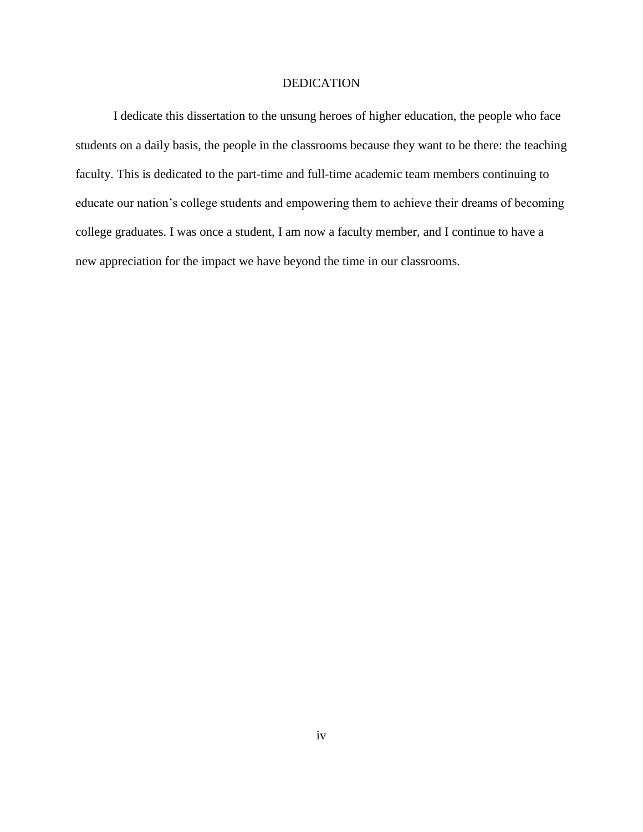## DEDICATION

I dedicate this dissertation to the unsung heroes of higher education, the people who face students on a daily basis, the people in the classrooms because they want to be there: the teaching faculty. This is dedicated to the part-time and full-time academic team members continuing to educate our nation's college students and empowering them to achieve their dreams of becoming college graduates. I was once a student, I am now a faculty member, and I continue to have a new appreciation for the impact we have beyond the time in our classrooms.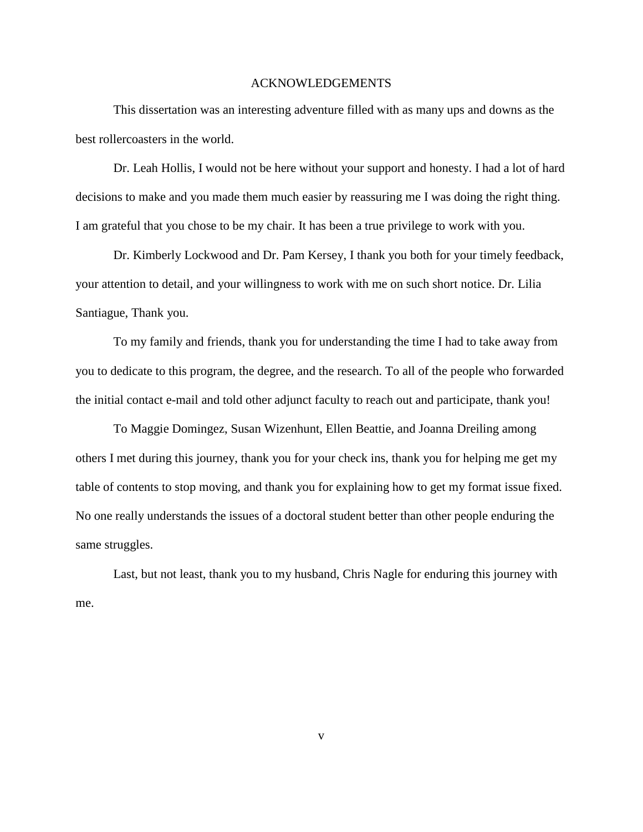# ACKNOWLEDGEMENTS

This dissertation was an interesting adventure filled with as many ups and downs as the best rollercoasters in the world.

Dr. Leah Hollis, I would not be here without your support and honesty. I had a lot of hard decisions to make and you made them much easier by reassuring me I was doing the right thing. I am grateful that you chose to be my chair. It has been a true privilege to work with you.

Dr. Kimberly Lockwood and Dr. Pam Kersey, I thank you both for your timely feedback, your attention to detail, and your willingness to work with me on such short notice. Dr. Lilia Santiague, Thank you.

To my family and friends, thank you for understanding the time I had to take away from you to dedicate to this program, the degree, and the research. To all of the people who forwarded the initial contact e-mail and told other adjunct faculty to reach out and participate, thank you!

To Maggie Domingez, Susan Wizenhunt, Ellen Beattie, and Joanna Dreiling among others I met during this journey, thank you for your check ins, thank you for helping me get my table of contents to stop moving, and thank you for explaining how to get my format issue fixed. No one really understands the issues of a doctoral student better than other people enduring the same struggles.

Last, but not least, thank you to my husband, Chris Nagle for enduring this journey with me.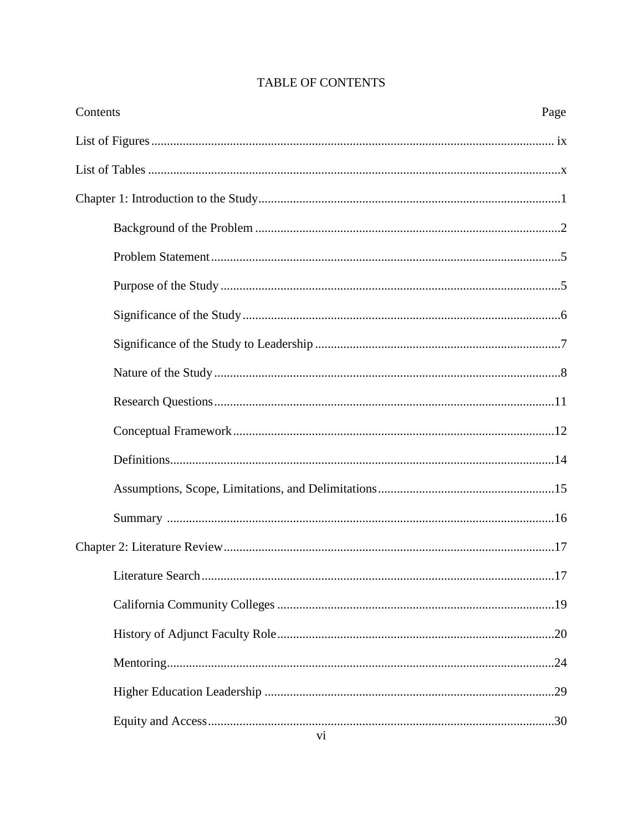| Contents<br>Page |
|------------------|
|                  |
|                  |
|                  |
|                  |
|                  |
|                  |
|                  |
|                  |
|                  |
|                  |
|                  |
|                  |
|                  |
|                  |
|                  |
|                  |
|                  |
|                  |
|                  |
|                  |
|                  |

# **TABLE OF CONTENTS**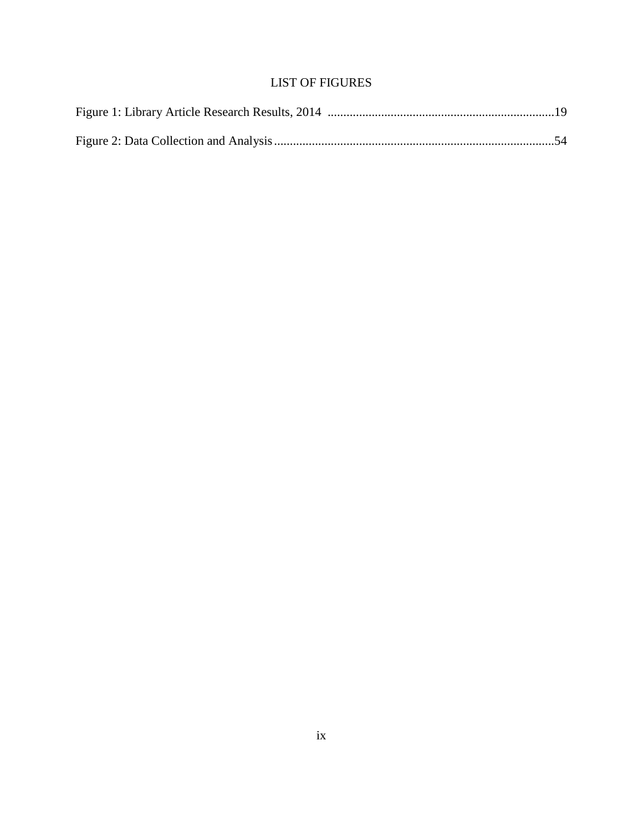# LIST OF FIGURES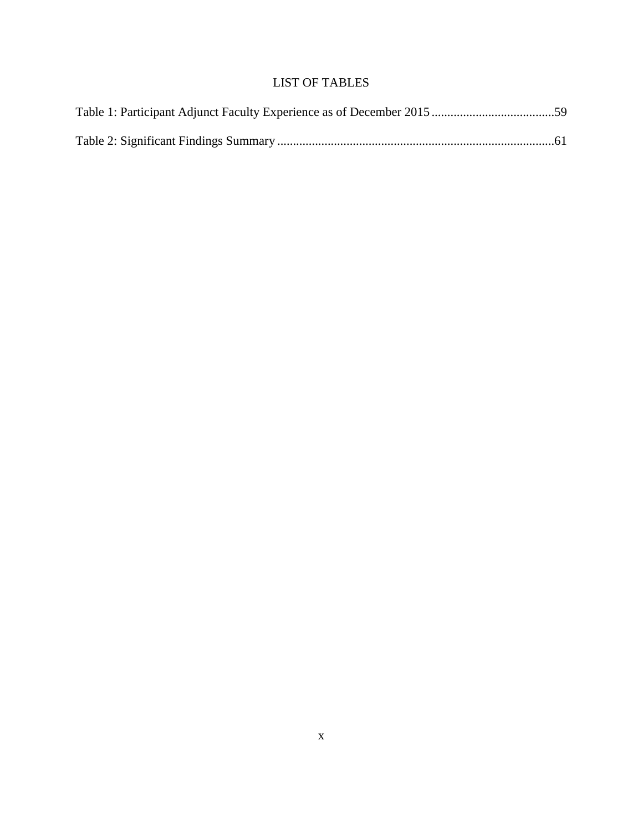# LIST OF TABLES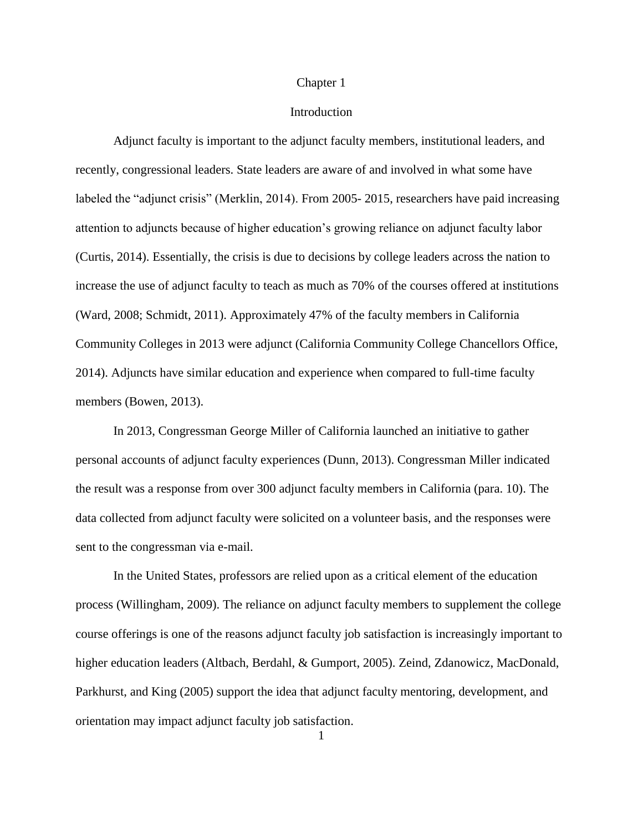#### Chapter 1

#### Introduction

Adjunct faculty is important to the adjunct faculty members, institutional leaders, and recently, congressional leaders. State leaders are aware of and involved in what some have labeled the "adjunct crisis" (Merklin, 2014). From 2005- 2015, researchers have paid increasing attention to adjuncts because of higher education's growing reliance on adjunct faculty labor (Curtis, 2014). Essentially, the crisis is due to decisions by college leaders across the nation to increase the use of adjunct faculty to teach as much as 70% of the courses offered at institutions (Ward, 2008; Schmidt, 2011). Approximately 47% of the faculty members in California Community Colleges in 2013 were adjunct (California Community College Chancellors Office, 2014). Adjuncts have similar education and experience when compared to full-time faculty members (Bowen, 2013).

In 2013, Congressman George Miller of California launched an initiative to gather personal accounts of adjunct faculty experiences (Dunn, 2013). Congressman Miller indicated the result was a response from over 300 adjunct faculty members in California (para. 10). The data collected from adjunct faculty were solicited on a volunteer basis, and the responses were sent to the congressman via e-mail.

In the United States, professors are relied upon as a critical element of the education process (Willingham, 2009). The reliance on adjunct faculty members to supplement the college course offerings is one of the reasons adjunct faculty job satisfaction is increasingly important to higher education leaders (Altbach, Berdahl, & Gumport, 2005). Zeind, Zdanowicz, MacDonald, Parkhurst, and King (2005) support the idea that adjunct faculty mentoring, development, and orientation may impact adjunct faculty job satisfaction.

1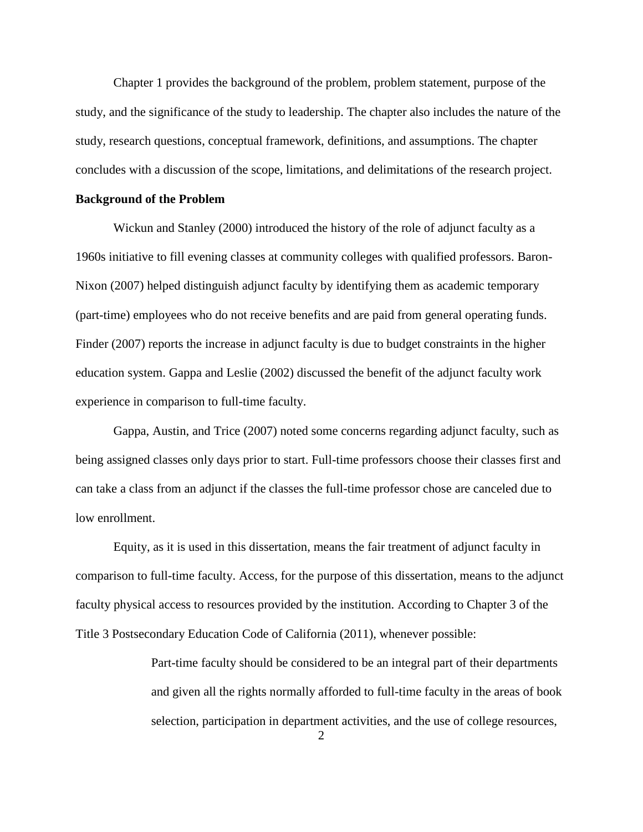Chapter 1 provides the background of the problem, problem statement, purpose of the study, and the significance of the study to leadership. The chapter also includes the nature of the study, research questions, conceptual framework, definitions, and assumptions. The chapter concludes with a discussion of the scope, limitations, and delimitations of the research project.

#### **Background of the Problem**

Wickun and Stanley (2000) introduced the history of the role of adjunct faculty as a 1960s initiative to fill evening classes at community colleges with qualified professors. Baron-Nixon (2007) helped distinguish adjunct faculty by identifying them as academic temporary (part-time) employees who do not receive benefits and are paid from general operating funds. Finder (2007) reports the increase in adjunct faculty is due to budget constraints in the higher education system. Gappa and Leslie (2002) discussed the benefit of the adjunct faculty work experience in comparison to full-time faculty.

Gappa, Austin, and Trice (2007) noted some concerns regarding adjunct faculty, such as being assigned classes only days prior to start. Full-time professors choose their classes first and can take a class from an adjunct if the classes the full-time professor chose are canceled due to low enrollment.

Equity, as it is used in this dissertation, means the fair treatment of adjunct faculty in comparison to full-time faculty. Access, for the purpose of this dissertation, means to the adjunct faculty physical access to resources provided by the institution. According to Chapter 3 of the Title 3 Postsecondary Education Code of California (2011), whenever possible:

> Part-time faculty should be considered to be an integral part of their departments and given all the rights normally afforded to full-time faculty in the areas of book selection, participation in department activities, and the use of college resources,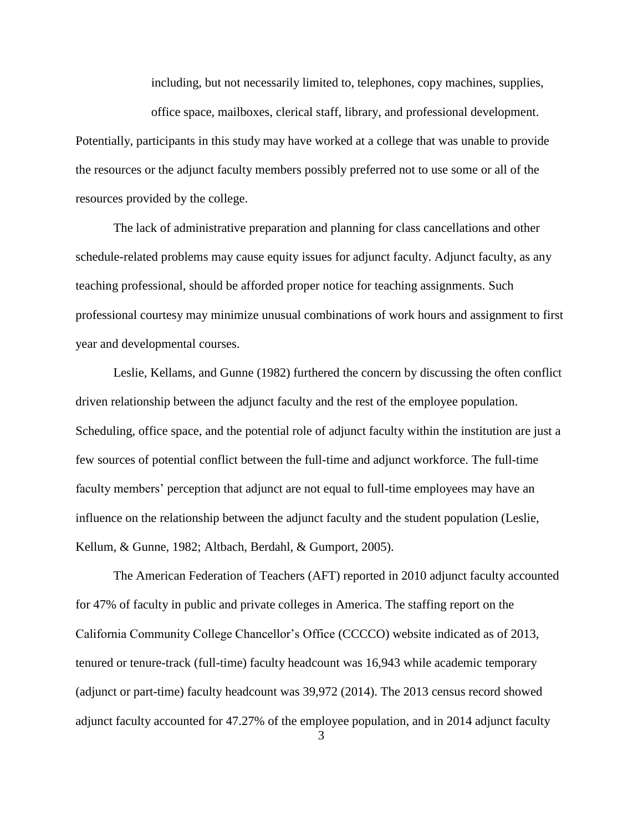including, but not necessarily limited to, telephones, copy machines, supplies,

office space, mailboxes, clerical staff, library, and professional development. Potentially, participants in this study may have worked at a college that was unable to provide the resources or the adjunct faculty members possibly preferred not to use some or all of the resources provided by the college.

The lack of administrative preparation and planning for class cancellations and other schedule-related problems may cause equity issues for adjunct faculty. Adjunct faculty, as any teaching professional, should be afforded proper notice for teaching assignments. Such professional courtesy may minimize unusual combinations of work hours and assignment to first year and developmental courses.

Leslie, Kellams, and Gunne (1982) furthered the concern by discussing the often conflict driven relationship between the adjunct faculty and the rest of the employee population. Scheduling, office space, and the potential role of adjunct faculty within the institution are just a few sources of potential conflict between the full-time and adjunct workforce. The full-time faculty members' perception that adjunct are not equal to full-time employees may have an influence on the relationship between the adjunct faculty and the student population (Leslie, Kellum, & Gunne, 1982; Altbach, Berdahl, & Gumport, 2005).

The American Federation of Teachers (AFT) reported in 2010 adjunct faculty accounted for 47% of faculty in public and private colleges in America. The staffing report on the California Community College Chancellor's Office (CCCCO) website indicated as of 2013, tenured or tenure-track (full-time) faculty headcount was 16,943 while academic temporary (adjunct or part-time) faculty headcount was 39,972 (2014). The 2013 census record showed adjunct faculty accounted for 47.27% of the employee population, and in 2014 adjunct faculty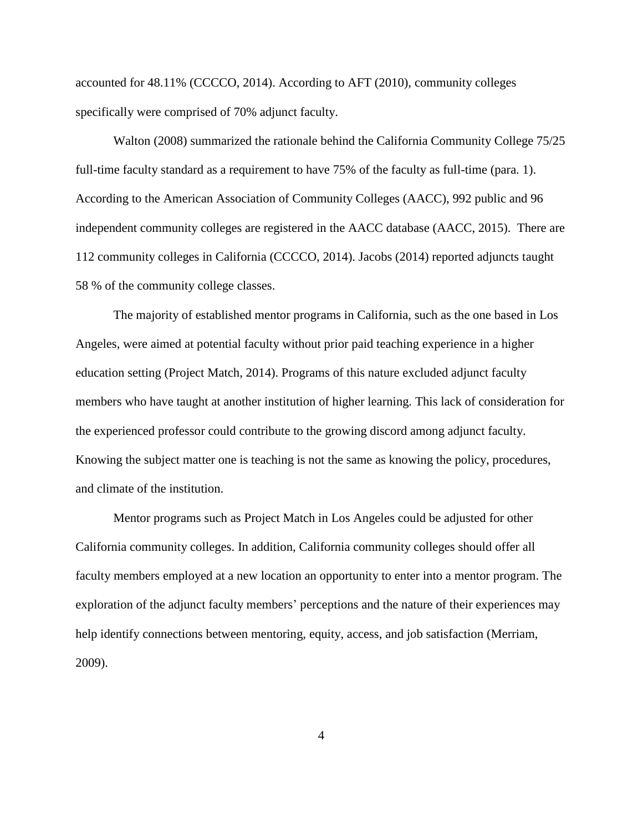accounted for 48.11% (CCCCO, 2014). According to AFT (2010), community colleges specifically were comprised of 70% adjunct faculty.

Walton (2008) summarized the rationale behind the California Community College 75/25 full-time faculty standard as a requirement to have 75% of the faculty as full-time (para. 1). According to the American Association of Community Colleges (AACC), 992 public and 96 independent community colleges are registered in the AACC database (AACC, 2015). There are 112 community colleges in California (CCCCO, 2014). Jacobs (2014) reported adjuncts taught 58 % of the community college classes.

The majority of established mentor programs in California, such as the one based in Los Angeles, were aimed at potential faculty without prior paid teaching experience in a higher education setting (Project Match, 2014). Programs of this nature excluded adjunct faculty members who have taught at another institution of higher learning. This lack of consideration for the experienced professor could contribute to the growing discord among adjunct faculty. Knowing the subject matter one is teaching is not the same as knowing the policy, procedures, and climate of the institution.

Mentor programs such as Project Match in Los Angeles could be adjusted for other California community colleges. In addition, California community colleges should offer all faculty members employed at a new location an opportunity to enter into a mentor program. The exploration of the adjunct faculty members' perceptions and the nature of their experiences may help identify connections between mentoring, equity, access, and job satisfaction (Merriam, 2009).

4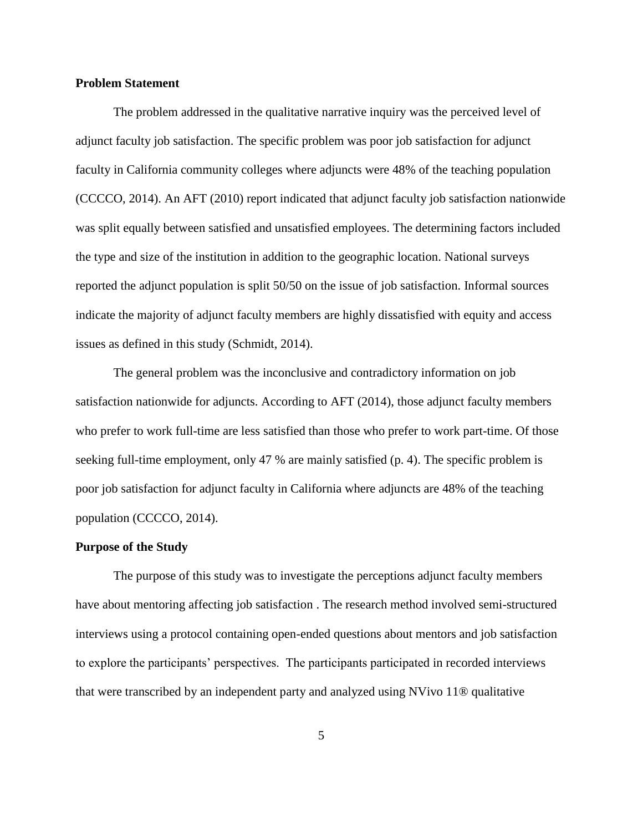#### **Problem Statement**

The problem addressed in the qualitative narrative inquiry was the perceived level of adjunct faculty job satisfaction. The specific problem was poor job satisfaction for adjunct faculty in California community colleges where adjuncts were 48% of the teaching population (CCCCO, 2014). An AFT (2010) report indicated that adjunct faculty job satisfaction nationwide was split equally between satisfied and unsatisfied employees. The determining factors included the type and size of the institution in addition to the geographic location. National surveys reported the adjunct population is split 50/50 on the issue of job satisfaction. Informal sources indicate the majority of adjunct faculty members are highly dissatisfied with equity and access issues as defined in this study (Schmidt, 2014).

The general problem was the inconclusive and contradictory information on job satisfaction nationwide for adjuncts. According to AFT (2014), those adjunct faculty members who prefer to work full-time are less satisfied than those who prefer to work part-time. Of those seeking full-time employment, only 47 % are mainly satisfied (p. 4). The specific problem is poor job satisfaction for adjunct faculty in California where adjuncts are 48% of the teaching population (CCCCO, 2014).

#### **Purpose of the Study**

The purpose of this study was to investigate the perceptions adjunct faculty members have about mentoring affecting job satisfaction . The research method involved semi-structured interviews using a protocol containing open-ended questions about mentors and job satisfaction to explore the participants' perspectives. The participants participated in recorded interviews that were transcribed by an independent party and analyzed using NVivo 11® qualitative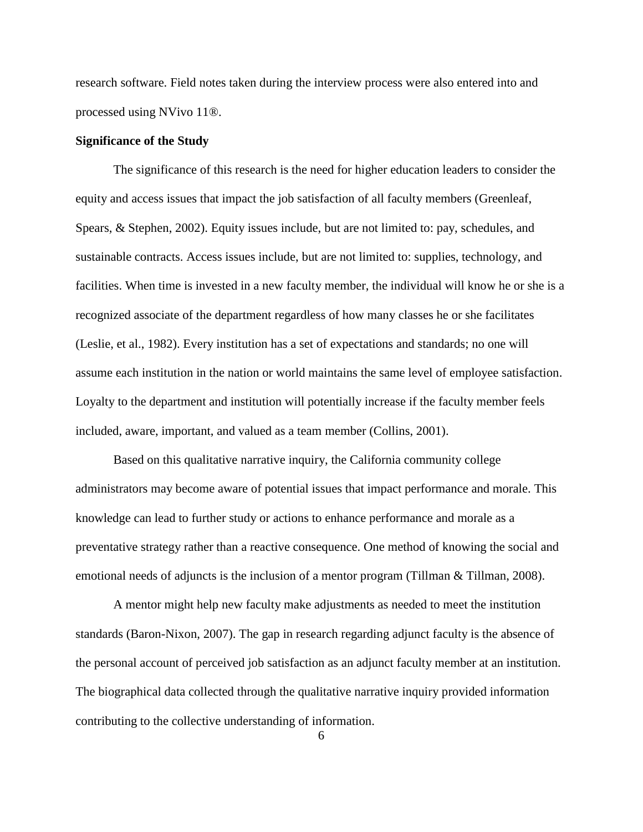research software. Field notes taken during the interview process were also entered into and processed using NVivo 11®.

#### **Significance of the Study**

The significance of this research is the need for higher education leaders to consider the equity and access issues that impact the job satisfaction of all faculty members (Greenleaf, Spears, & Stephen, 2002). Equity issues include, but are not limited to: pay, schedules, and sustainable contracts. Access issues include, but are not limited to: supplies, technology, and facilities. When time is invested in a new faculty member, the individual will know he or she is a recognized associate of the department regardless of how many classes he or she facilitates (Leslie, et al., 1982). Every institution has a set of expectations and standards; no one will assume each institution in the nation or world maintains the same level of employee satisfaction. Loyalty to the department and institution will potentially increase if the faculty member feels included, aware, important, and valued as a team member (Collins, 2001).

Based on this qualitative narrative inquiry, the California community college administrators may become aware of potential issues that impact performance and morale. This knowledge can lead to further study or actions to enhance performance and morale as a preventative strategy rather than a reactive consequence. One method of knowing the social and emotional needs of adjuncts is the inclusion of a mentor program (Tillman & Tillman, 2008).

A mentor might help new faculty make adjustments as needed to meet the institution standards (Baron-Nixon, 2007). The gap in research regarding adjunct faculty is the absence of the personal account of perceived job satisfaction as an adjunct faculty member at an institution. The biographical data collected through the qualitative narrative inquiry provided information contributing to the collective understanding of information.

6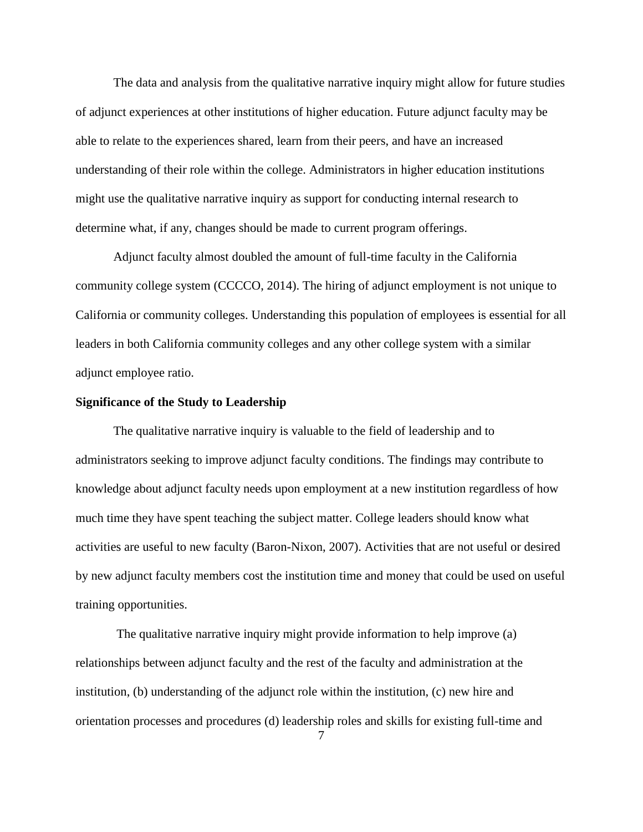The data and analysis from the qualitative narrative inquiry might allow for future studies of adjunct experiences at other institutions of higher education. Future adjunct faculty may be able to relate to the experiences shared, learn from their peers, and have an increased understanding of their role within the college. Administrators in higher education institutions might use the qualitative narrative inquiry as support for conducting internal research to determine what, if any, changes should be made to current program offerings.

Adjunct faculty almost doubled the amount of full-time faculty in the California community college system (CCCCO, 2014). The hiring of adjunct employment is not unique to California or community colleges. Understanding this population of employees is essential for all leaders in both California community colleges and any other college system with a similar adjunct employee ratio.

#### **Significance of the Study to Leadership**

The qualitative narrative inquiry is valuable to the field of leadership and to administrators seeking to improve adjunct faculty conditions. The findings may contribute to knowledge about adjunct faculty needs upon employment at a new institution regardless of how much time they have spent teaching the subject matter. College leaders should know what activities are useful to new faculty (Baron-Nixon, 2007). Activities that are not useful or desired by new adjunct faculty members cost the institution time and money that could be used on useful training opportunities.

The qualitative narrative inquiry might provide information to help improve (a) relationships between adjunct faculty and the rest of the faculty and administration at the institution, (b) understanding of the adjunct role within the institution, (c) new hire and orientation processes and procedures (d) leadership roles and skills for existing full-time and

7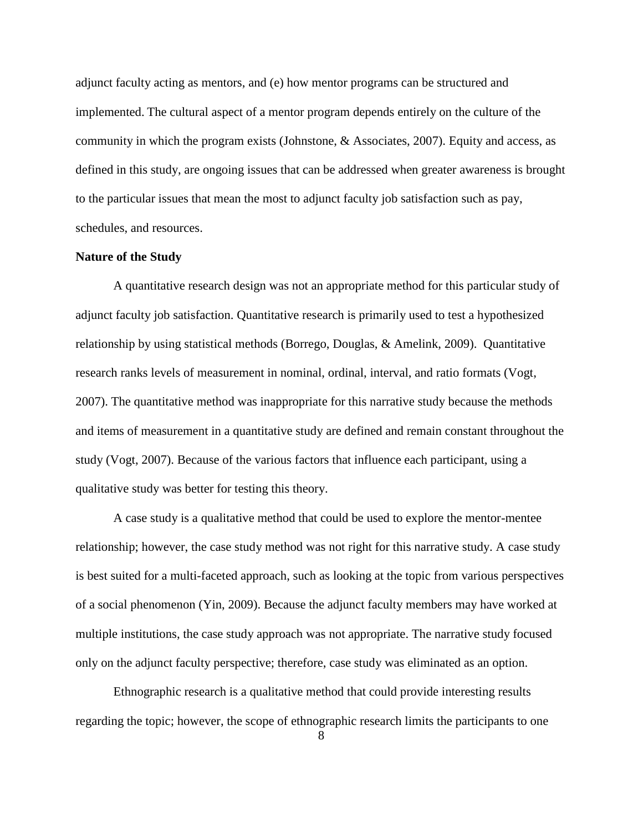adjunct faculty acting as mentors, and (e) how mentor programs can be structured and implemented. The cultural aspect of a mentor program depends entirely on the culture of the community in which the program exists (Johnstone, & Associates, 2007). Equity and access, as defined in this study, are ongoing issues that can be addressed when greater awareness is brought to the particular issues that mean the most to adjunct faculty job satisfaction such as pay, schedules, and resources.

### **Nature of the Study**

A quantitative research design was not an appropriate method for this particular study of adjunct faculty job satisfaction. Quantitative research is primarily used to test a hypothesized relationship by using statistical methods (Borrego, Douglas, & Amelink, 2009). Quantitative research ranks levels of measurement in nominal, ordinal, interval, and ratio formats (Vogt, 2007). The quantitative method was inappropriate for this narrative study because the methods and items of measurement in a quantitative study are defined and remain constant throughout the study (Vogt, 2007). Because of the various factors that influence each participant, using a qualitative study was better for testing this theory.

A case study is a qualitative method that could be used to explore the mentor-mentee relationship; however, the case study method was not right for this narrative study. A case study is best suited for a multi-faceted approach, such as looking at the topic from various perspectives of a social phenomenon (Yin, 2009). Because the adjunct faculty members may have worked at multiple institutions, the case study approach was not appropriate. The narrative study focused only on the adjunct faculty perspective; therefore, case study was eliminated as an option.

Ethnographic research is a qualitative method that could provide interesting results regarding the topic; however, the scope of ethnographic research limits the participants to one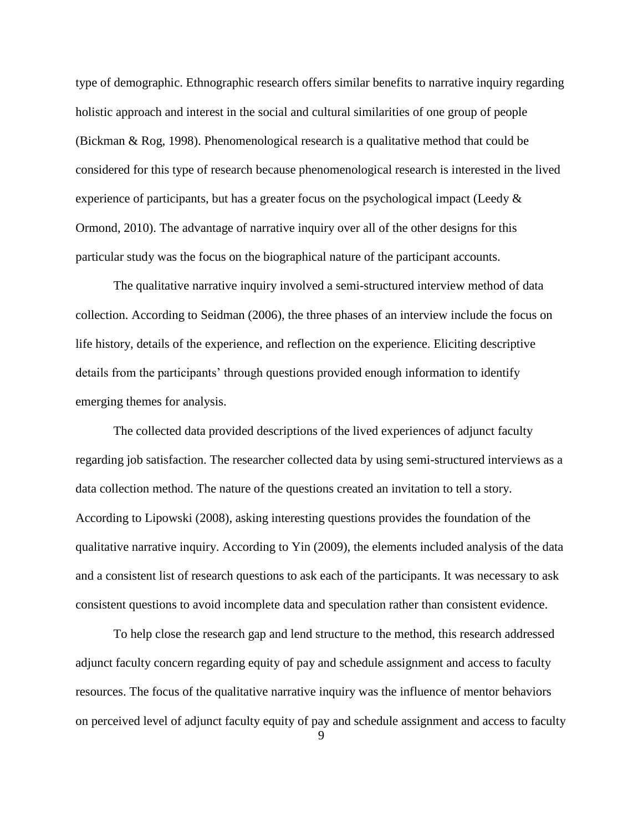type of demographic. Ethnographic research offers similar benefits to narrative inquiry regarding holistic approach and interest in the social and cultural similarities of one group of people (Bickman & Rog, 1998). Phenomenological research is a qualitative method that could be considered for this type of research because phenomenological research is interested in the lived experience of participants, but has a greater focus on the psychological impact (Leedy  $\&$ Ormond, 2010). The advantage of narrative inquiry over all of the other designs for this particular study was the focus on the biographical nature of the participant accounts.

The qualitative narrative inquiry involved a semi-structured interview method of data collection. According to Seidman (2006), the three phases of an interview include the focus on life history, details of the experience, and reflection on the experience. Eliciting descriptive details from the participants' through questions provided enough information to identify emerging themes for analysis.

The collected data provided descriptions of the lived experiences of adjunct faculty regarding job satisfaction. The researcher collected data by using semi-structured interviews as a data collection method. The nature of the questions created an invitation to tell a story. According to Lipowski (2008), asking interesting questions provides the foundation of the qualitative narrative inquiry. According to Yin (2009), the elements included analysis of the data and a consistent list of research questions to ask each of the participants. It was necessary to ask consistent questions to avoid incomplete data and speculation rather than consistent evidence.

To help close the research gap and lend structure to the method, this research addressed adjunct faculty concern regarding equity of pay and schedule assignment and access to faculty resources. The focus of the qualitative narrative inquiry was the influence of mentor behaviors on perceived level of adjunct faculty equity of pay and schedule assignment and access to faculty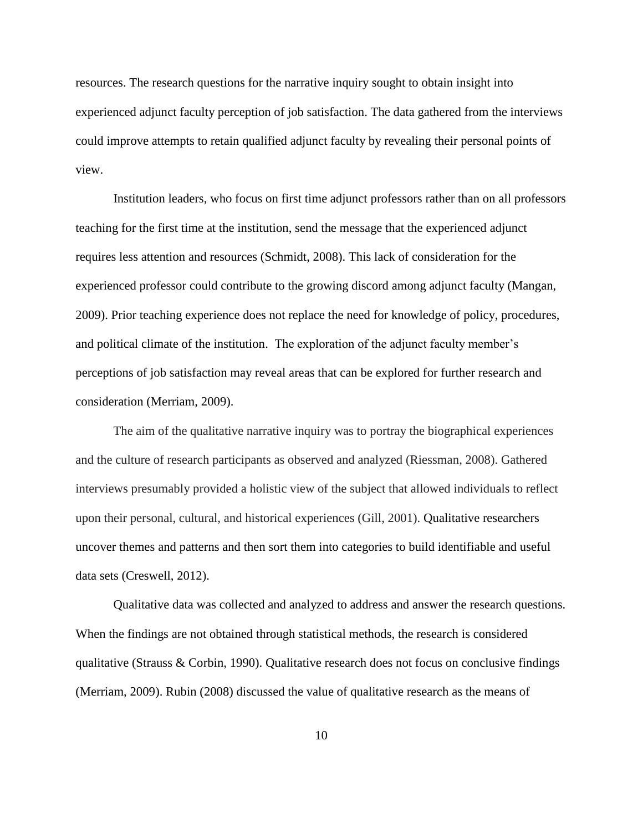resources. The research questions for the narrative inquiry sought to obtain insight into experienced adjunct faculty perception of job satisfaction. The data gathered from the interviews could improve attempts to retain qualified adjunct faculty by revealing their personal points of view.

Institution leaders, who focus on first time adjunct professors rather than on all professors teaching for the first time at the institution, send the message that the experienced adjunct requires less attention and resources (Schmidt, 2008). This lack of consideration for the experienced professor could contribute to the growing discord among adjunct faculty (Mangan, 2009). Prior teaching experience does not replace the need for knowledge of policy, procedures, and political climate of the institution. The exploration of the adjunct faculty member's perceptions of job satisfaction may reveal areas that can be explored for further research and consideration (Merriam, 2009).

The aim of the qualitative narrative inquiry was to portray the biographical experiences and the culture of research participants as observed and analyzed (Riessman, 2008). Gathered interviews presumably provided a holistic view of the subject that allowed individuals to reflect upon their personal, cultural, and historical experiences (Gill, 2001). Qualitative researchers uncover themes and patterns and then sort them into categories to build identifiable and useful data sets (Creswell, 2012).

Qualitative data was collected and analyzed to address and answer the research questions. When the findings are not obtained through statistical methods, the research is considered qualitative (Strauss & Corbin, 1990). Qualitative research does not focus on conclusive findings (Merriam, 2009). Rubin (2008) discussed the value of qualitative research as the means of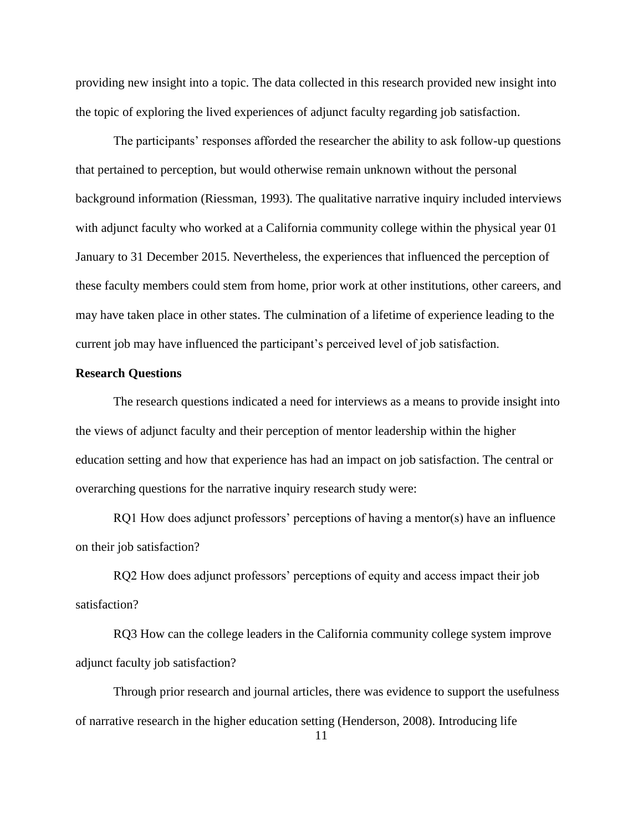providing new insight into a topic. The data collected in this research provided new insight into the topic of exploring the lived experiences of adjunct faculty regarding job satisfaction.

The participants' responses afforded the researcher the ability to ask follow-up questions that pertained to perception, but would otherwise remain unknown without the personal background information (Riessman, 1993). The qualitative narrative inquiry included interviews with adjunct faculty who worked at a California community college within the physical year 01 January to 31 December 2015. Nevertheless, the experiences that influenced the perception of these faculty members could stem from home, prior work at other institutions, other careers, and may have taken place in other states. The culmination of a lifetime of experience leading to the current job may have influenced the participant's perceived level of job satisfaction.

## **Research Questions**

The research questions indicated a need for interviews as a means to provide insight into the views of adjunct faculty and their perception of mentor leadership within the higher education setting and how that experience has had an impact on job satisfaction. The central or overarching questions for the narrative inquiry research study were:

RQ1 How does adjunct professors' perceptions of having a mentor(s) have an influence on their job satisfaction?

RQ2 How does adjunct professors' perceptions of equity and access impact their job satisfaction?

RQ3 How can the college leaders in the California community college system improve adjunct faculty job satisfaction?

Through prior research and journal articles, there was evidence to support the usefulness of narrative research in the higher education setting (Henderson, 2008). Introducing life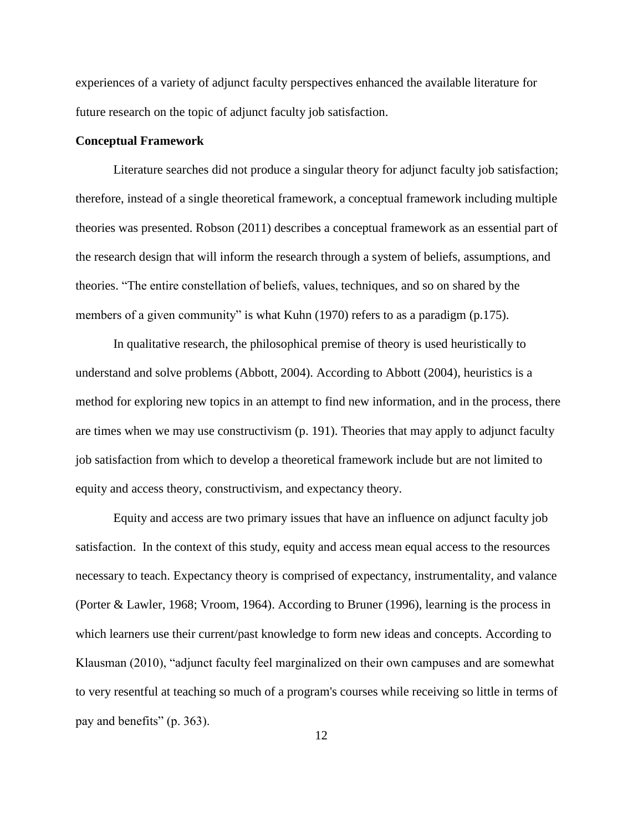experiences of a variety of adjunct faculty perspectives enhanced the available literature for future research on the topic of adjunct faculty job satisfaction.

#### **Conceptual Framework**

Literature searches did not produce a singular theory for adjunct faculty job satisfaction; therefore, instead of a single theoretical framework, a conceptual framework including multiple theories was presented. Robson (2011) describes a conceptual framework as an essential part of the research design that will inform the research through a system of beliefs, assumptions, and theories. "The entire constellation of beliefs, values, techniques, and so on shared by the members of a given community" is what Kuhn (1970) refers to as a paradigm (p.175).

In qualitative research, the philosophical premise of theory is used heuristically to understand and solve problems (Abbott, 2004). According to Abbott (2004), heuristics is a method for exploring new topics in an attempt to find new information, and in the process, there are times when we may use constructivism (p. 191). Theories that may apply to adjunct faculty job satisfaction from which to develop a theoretical framework include but are not limited to equity and access theory, constructivism, and expectancy theory.

Equity and access are two primary issues that have an influence on adjunct faculty job satisfaction. In the context of this study, equity and access mean equal access to the resources necessary to teach. Expectancy theory is comprised of expectancy, instrumentality, and valance (Porter & Lawler, 1968; Vroom, 1964). According to Bruner (1996), learning is the process in which learners use their current/past knowledge to form new ideas and concepts. According to Klausman (2010), "adjunct faculty feel marginalized on their own campuses and are somewhat to very resentful at teaching so much of a program's courses while receiving so little in terms of pay and benefits" (p. 363).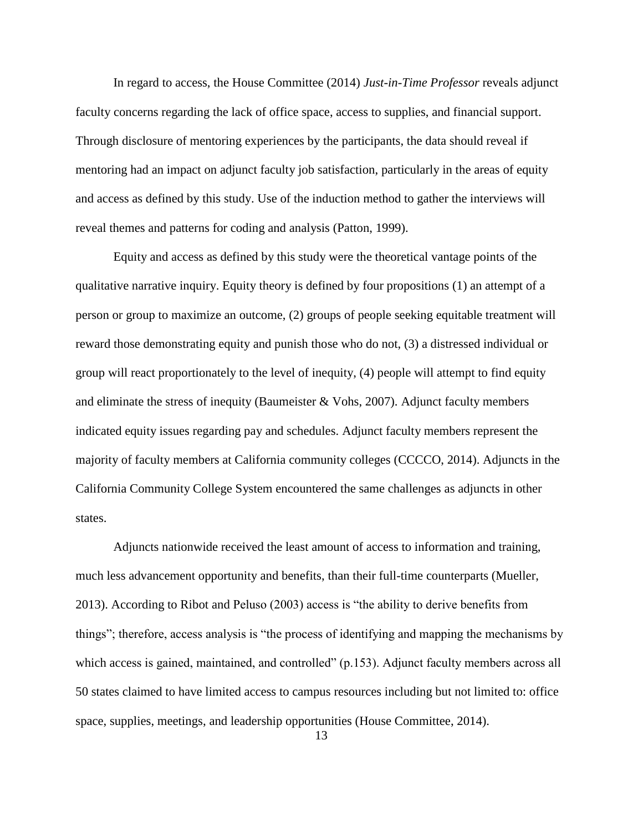In regard to access, the House Committee (2014) *Just-in-Time Professor* reveals adjunct faculty concerns regarding the lack of office space, access to supplies, and financial support. Through disclosure of mentoring experiences by the participants, the data should reveal if mentoring had an impact on adjunct faculty job satisfaction, particularly in the areas of equity and access as defined by this study. Use of the induction method to gather the interviews will reveal themes and patterns for coding and analysis (Patton, 1999).

Equity and access as defined by this study were the theoretical vantage points of the qualitative narrative inquiry. Equity theory is defined by four propositions (1) an attempt of a person or group to maximize an outcome, (2) groups of people seeking equitable treatment will reward those demonstrating equity and punish those who do not, (3) a distressed individual or group will react proportionately to the level of inequity, (4) people will attempt to find equity and eliminate the stress of inequity (Baumeister & Vohs, 2007). Adjunct faculty members indicated equity issues regarding pay and schedules. Adjunct faculty members represent the majority of faculty members at California community colleges (CCCCO, 2014). Adjuncts in the California Community College System encountered the same challenges as adjuncts in other states.

Adjuncts nationwide received the least amount of access to information and training, much less advancement opportunity and benefits, than their full-time counterparts (Mueller, 2013). According to Ribot and Peluso (2003) access is "the ability to derive benefits from things"; therefore, access analysis is "the process of identifying and mapping the mechanisms by which access is gained, maintained, and controlled" (p.153). Adjunct faculty members across all 50 states claimed to have limited access to campus resources including but not limited to: office space, supplies, meetings, and leadership opportunities (House Committee, 2014).

13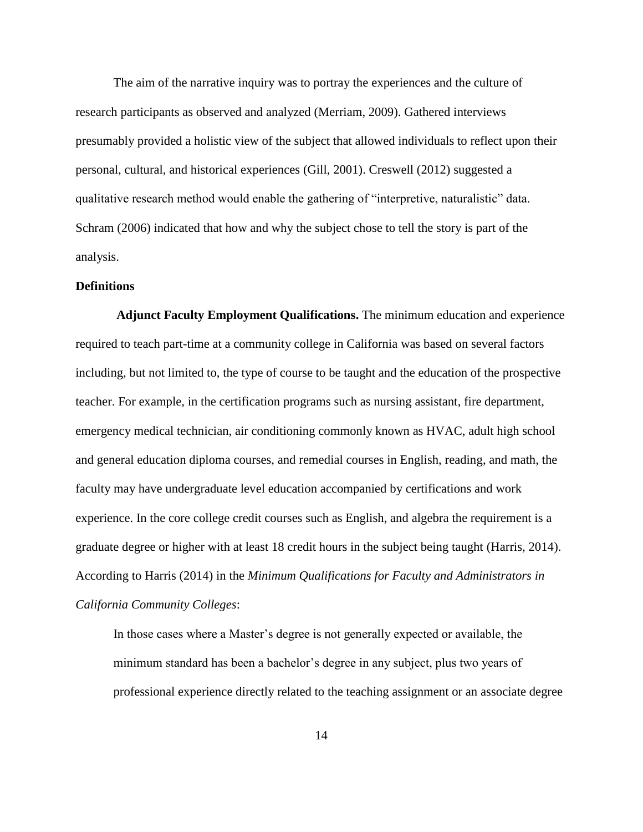The aim of the narrative inquiry was to portray the experiences and the culture of research participants as observed and analyzed (Merriam, 2009). Gathered interviews presumably provided a holistic view of the subject that allowed individuals to reflect upon their personal, cultural, and historical experiences (Gill, 2001). Creswell (2012) suggested a qualitative research method would enable the gathering of "interpretive, naturalistic" data. Schram (2006) indicated that how and why the subject chose to tell the story is part of the analysis.

#### **Definitions**

**Adjunct Faculty Employment Qualifications.** The minimum education and experience required to teach part-time at a community college in California was based on several factors including, but not limited to, the type of course to be taught and the education of the prospective teacher. For example, in the certification programs such as nursing assistant, fire department, emergency medical technician, air conditioning commonly known as HVAC, adult high school and general education diploma courses, and remedial courses in English, reading, and math, the faculty may have undergraduate level education accompanied by certifications and work experience. In the core college credit courses such as English, and algebra the requirement is a graduate degree or higher with at least 18 credit hours in the subject being taught (Harris, 2014). According to Harris (2014) in the *Minimum Qualifications for Faculty and Administrators in California Community Colleges*:

In those cases where a Master's degree is not generally expected or available, the minimum standard has been a bachelor's degree in any subject, plus two years of professional experience directly related to the teaching assignment or an associate degree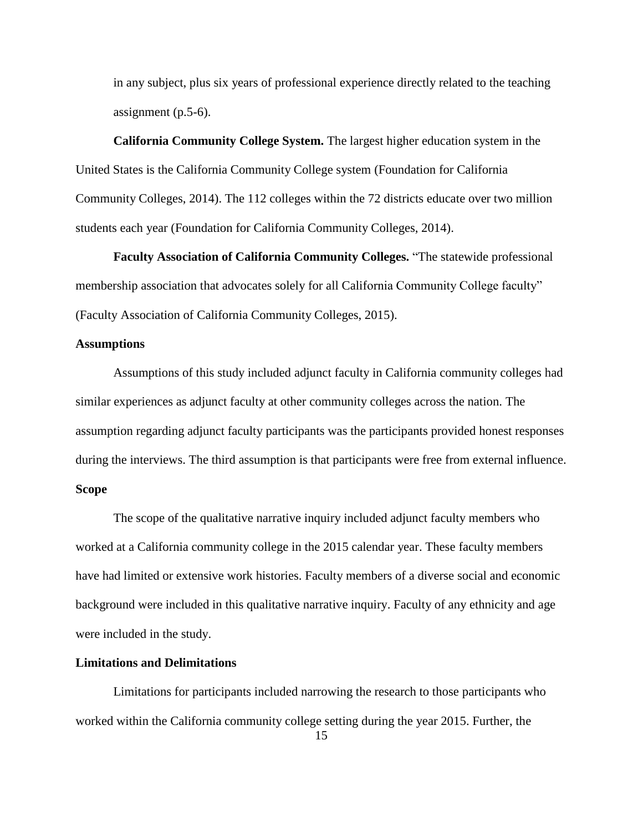in any subject, plus six years of professional experience directly related to the teaching assignment (p.5-6).

# **California Community College System.** The largest higher education system in the United States is the California Community College system (Foundation for California Community Colleges, 2014). The 112 colleges within the 72 districts educate over two million students each year (Foundation for California Community Colleges, 2014).

**Faculty Association of California Community Colleges.** "The statewide professional membership association that advocates solely for all California Community College faculty" (Faculty Association of California Community Colleges, 2015).

### **Assumptions**

Assumptions of this study included adjunct faculty in California community colleges had similar experiences as adjunct faculty at other community colleges across the nation. The assumption regarding adjunct faculty participants was the participants provided honest responses during the interviews. The third assumption is that participants were free from external influence.

# **Scope**

The scope of the qualitative narrative inquiry included adjunct faculty members who worked at a California community college in the 2015 calendar year. These faculty members have had limited or extensive work histories. Faculty members of a diverse social and economic background were included in this qualitative narrative inquiry. Faculty of any ethnicity and age were included in the study.

#### **Limitations and Delimitations**

Limitations for participants included narrowing the research to those participants who worked within the California community college setting during the year 2015. Further, the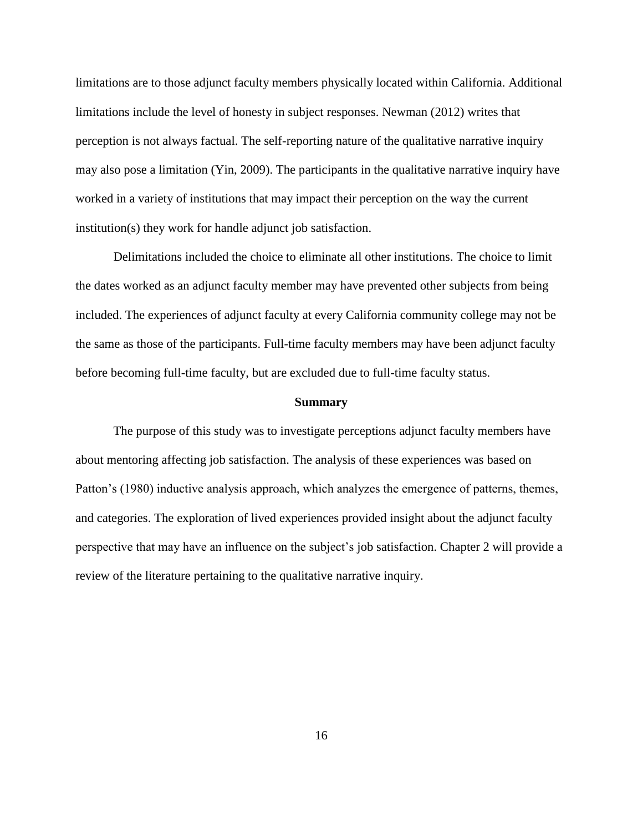limitations are to those adjunct faculty members physically located within California. Additional limitations include the level of honesty in subject responses. Newman (2012) writes that perception is not always factual. The self-reporting nature of the qualitative narrative inquiry may also pose a limitation (Yin, 2009). The participants in the qualitative narrative inquiry have worked in a variety of institutions that may impact their perception on the way the current institution(s) they work for handle adjunct job satisfaction.

Delimitations included the choice to eliminate all other institutions. The choice to limit the dates worked as an adjunct faculty member may have prevented other subjects from being included. The experiences of adjunct faculty at every California community college may not be the same as those of the participants. Full-time faculty members may have been adjunct faculty before becoming full-time faculty, but are excluded due to full-time faculty status.

#### **Summary**

The purpose of this study was to investigate perceptions adjunct faculty members have about mentoring affecting job satisfaction. The analysis of these experiences was based on Patton's (1980) inductive analysis approach, which analyzes the emergence of patterns, themes, and categories. The exploration of lived experiences provided insight about the adjunct faculty perspective that may have an influence on the subject's job satisfaction. Chapter 2 will provide a review of the literature pertaining to the qualitative narrative inquiry.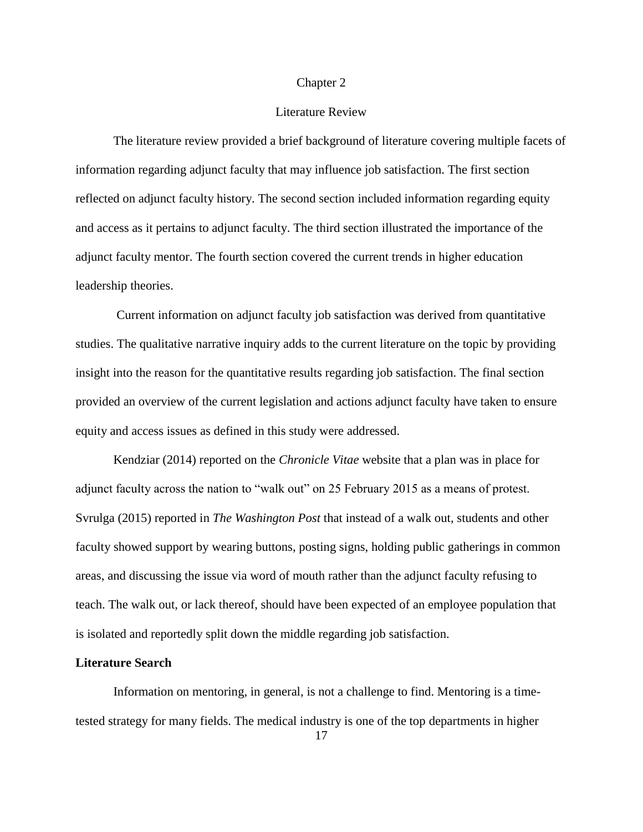#### Chapter 2

# Literature Review

The literature review provided a brief background of literature covering multiple facets of information regarding adjunct faculty that may influence job satisfaction. The first section reflected on adjunct faculty history. The second section included information regarding equity and access as it pertains to adjunct faculty. The third section illustrated the importance of the adjunct faculty mentor. The fourth section covered the current trends in higher education leadership theories.

Current information on adjunct faculty job satisfaction was derived from quantitative studies. The qualitative narrative inquiry adds to the current literature on the topic by providing insight into the reason for the quantitative results regarding job satisfaction. The final section provided an overview of the current legislation and actions adjunct faculty have taken to ensure equity and access issues as defined in this study were addressed.

Kendziar (2014) reported on the *Chronicle Vitae* website that a plan was in place for adjunct faculty across the nation to "walk out" on 25 February 2015 as a means of protest. Svrulga (2015) reported in *The Washington Post* that instead of a walk out, students and other faculty showed support by wearing buttons, posting signs, holding public gatherings in common areas, and discussing the issue via word of mouth rather than the adjunct faculty refusing to teach. The walk out, or lack thereof, should have been expected of an employee population that is isolated and reportedly split down the middle regarding job satisfaction.

#### **Literature Search**

Information on mentoring, in general, is not a challenge to find. Mentoring is a timetested strategy for many fields. The medical industry is one of the top departments in higher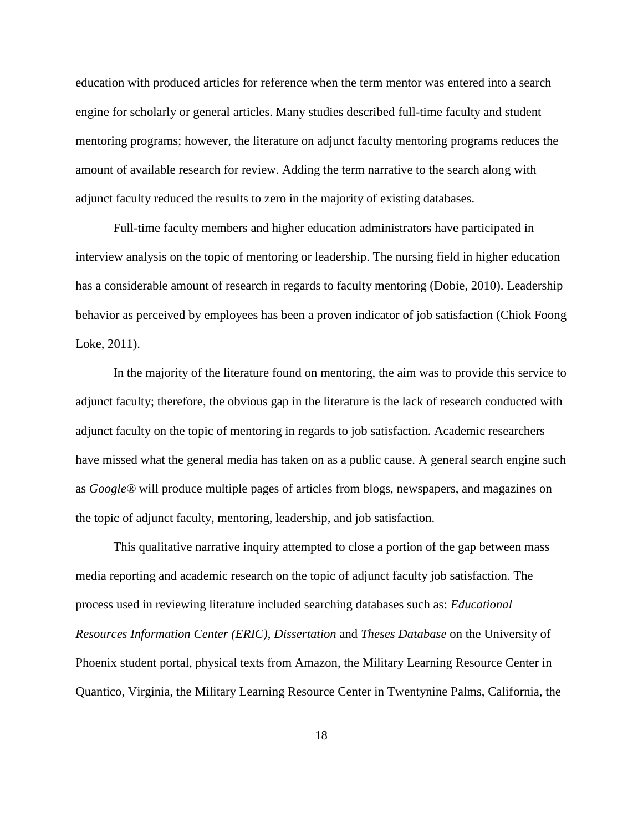education with produced articles for reference when the term mentor was entered into a search engine for scholarly or general articles. Many studies described full-time faculty and student mentoring programs; however, the literature on adjunct faculty mentoring programs reduces the amount of available research for review. Adding the term narrative to the search along with adjunct faculty reduced the results to zero in the majority of existing databases.

Full-time faculty members and higher education administrators have participated in interview analysis on the topic of mentoring or leadership. The nursing field in higher education has a considerable amount of research in regards to faculty mentoring (Dobie, 2010). Leadership behavior as perceived by employees has been a proven indicator of job satisfaction (Chiok Foong Loke, 2011).

In the majority of the literature found on mentoring, the aim was to provide this service to adjunct faculty; therefore, the obvious gap in the literature is the lack of research conducted with adjunct faculty on the topic of mentoring in regards to job satisfaction. Academic researchers have missed what the general media has taken on as a public cause. A general search engine such as *Google®* will produce multiple pages of articles from blogs, newspapers, and magazines on the topic of adjunct faculty, mentoring, leadership, and job satisfaction.

This qualitative narrative inquiry attempted to close a portion of the gap between mass media reporting and academic research on the topic of adjunct faculty job satisfaction. The process used in reviewing literature included searching databases such as: *Educational Resources Information Center (ERIC)*, *Dissertation* and *Theses Database* on the University of Phoenix student portal, physical texts from Amazon, the Military Learning Resource Center in Quantico, Virginia, the Military Learning Resource Center in Twentynine Palms, California, the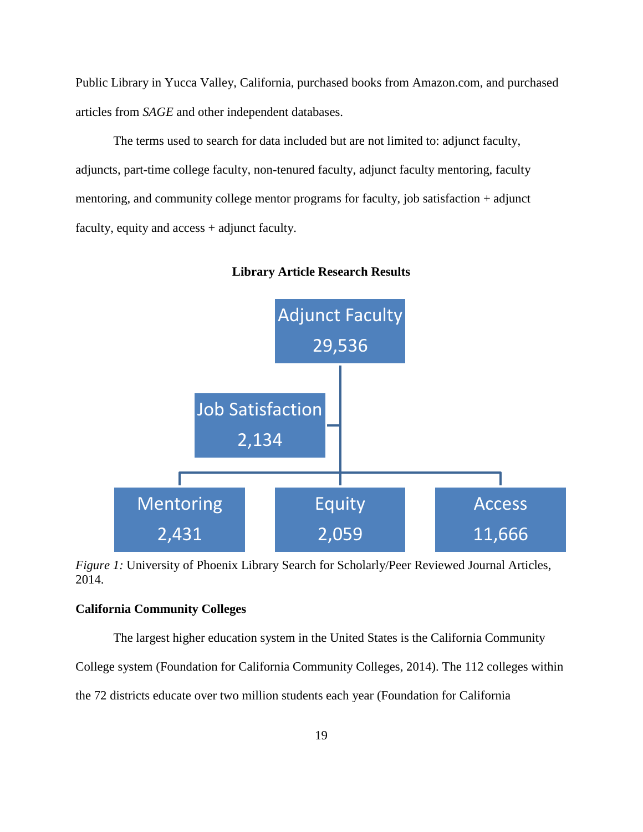Public Library in Yucca Valley, California, purchased books from Amazon.com, and purchased articles from *SAGE* and other independent databases.

The terms used to search for data included but are not limited to: adjunct faculty, adjuncts, part-time college faculty, non-tenured faculty, adjunct faculty mentoring, faculty mentoring, and community college mentor programs for faculty, job satisfaction + adjunct faculty, equity and access + adjunct faculty.



**Library Article Research Results**

*Figure 1:* University of Phoenix Library Search for Scholarly/Peer Reviewed Journal Articles, 2014.

## **California Community Colleges**

The largest higher education system in the United States is the California Community

College system (Foundation for California Community Colleges, 2014). The 112 colleges within

the 72 districts educate over two million students each year (Foundation for California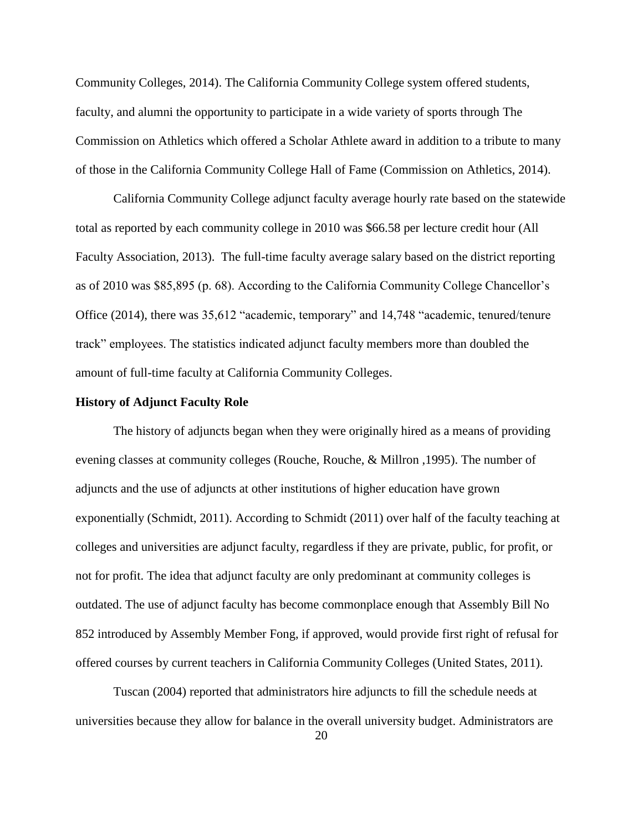Community Colleges, 2014). The California Community College system offered students, faculty, and alumni the opportunity to participate in a wide variety of sports through The Commission on Athletics which offered a Scholar Athlete award in addition to a tribute to many of those in the California Community College Hall of Fame (Commission on Athletics, 2014).

California Community College adjunct faculty average hourly rate based on the statewide total as reported by each community college in 2010 was \$66.58 per lecture credit hour (All Faculty Association, 2013). The full-time faculty average salary based on the district reporting as of 2010 was \$85,895 (p. 68). According to the California Community College Chancellor's Office (2014), there was 35,612 "academic, temporary" and 14,748 "academic, tenured/tenure track" employees. The statistics indicated adjunct faculty members more than doubled the amount of full-time faculty at California Community Colleges.

#### **History of Adjunct Faculty Role**

The history of adjuncts began when they were originally hired as a means of providing evening classes at community colleges (Rouche, Rouche, & Millron ,1995). The number of adjuncts and the use of adjuncts at other institutions of higher education have grown exponentially (Schmidt, 2011). According to Schmidt (2011) over half of the faculty teaching at colleges and universities are adjunct faculty, regardless if they are private, public, for profit, or not for profit. The idea that adjunct faculty are only predominant at community colleges is outdated. The use of adjunct faculty has become commonplace enough that Assembly Bill No 852 introduced by Assembly Member Fong, if approved, would provide first right of refusal for offered courses by current teachers in California Community Colleges (United States, 2011).

Tuscan (2004) reported that administrators hire adjuncts to fill the schedule needs at universities because they allow for balance in the overall university budget. Administrators are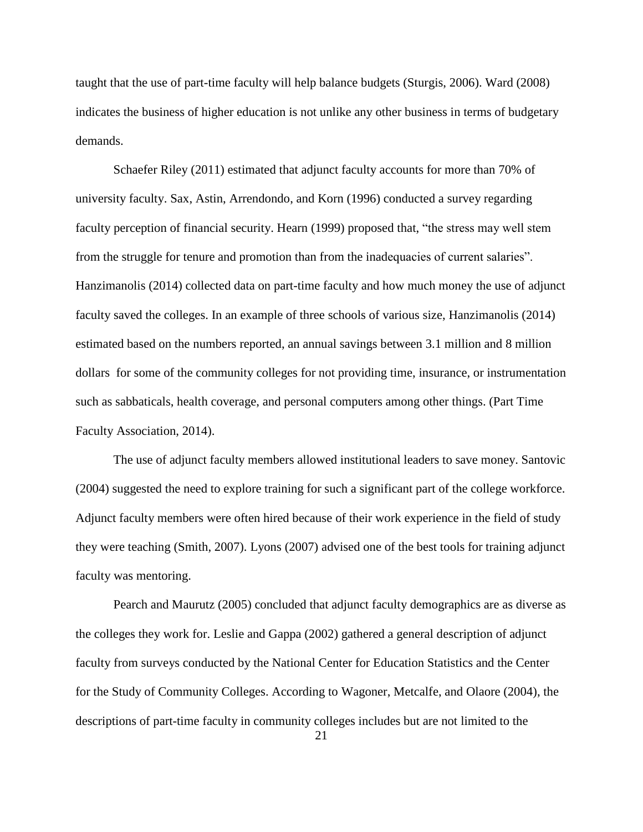taught that the use of part-time faculty will help balance budgets (Sturgis, 2006). Ward (2008) indicates the business of higher education is not unlike any other business in terms of budgetary demands.

Schaefer Riley (2011) estimated that adjunct faculty accounts for more than 70% of university faculty. Sax, Astin, Arrendondo, and Korn (1996) conducted a survey regarding faculty perception of financial security. Hearn (1999) proposed that, "the stress may well stem from the struggle for tenure and promotion than from the inadequacies of current salaries". Hanzimanolis (2014) collected data on part-time faculty and how much money the use of adjunct faculty saved the colleges. In an example of three schools of various size, Hanzimanolis (2014) estimated based on the numbers reported, an annual savings between 3.1 million and 8 million dollars for some of the community colleges for not providing time, insurance, or instrumentation such as sabbaticals, health coverage, and personal computers among other things. (Part Time Faculty Association, 2014).

The use of adjunct faculty members allowed institutional leaders to save money. Santovic (2004) suggested the need to explore training for such a significant part of the college workforce. Adjunct faculty members were often hired because of their work experience in the field of study they were teaching (Smith, 2007). Lyons (2007) advised one of the best tools for training adjunct faculty was mentoring.

Pearch and Maurutz (2005) concluded that adjunct faculty demographics are as diverse as the colleges they work for. Leslie and Gappa (2002) gathered a general description of adjunct faculty from surveys conducted by the National Center for Education Statistics and the Center for the Study of Community Colleges. According to Wagoner, Metcalfe, and Olaore (2004), the descriptions of part-time faculty in community colleges includes but are not limited to the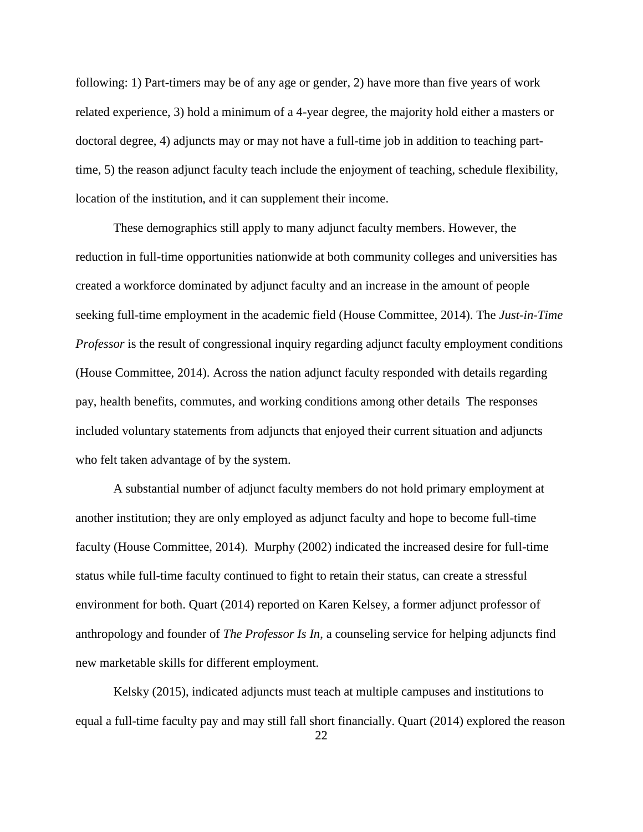following: 1) Part-timers may be of any age or gender, 2) have more than five years of work related experience, 3) hold a minimum of a 4-year degree, the majority hold either a masters or doctoral degree, 4) adjuncts may or may not have a full-time job in addition to teaching parttime, 5) the reason adjunct faculty teach include the enjoyment of teaching, schedule flexibility, location of the institution, and it can supplement their income.

These demographics still apply to many adjunct faculty members. However, the reduction in full-time opportunities nationwide at both community colleges and universities has created a workforce dominated by adjunct faculty and an increase in the amount of people seeking full-time employment in the academic field (House Committee, 2014). The *Just-in-Time Professor* is the result of congressional inquiry regarding adjunct faculty employment conditions (House Committee, 2014). Across the nation adjunct faculty responded with details regarding pay, health benefits, commutes, and working conditions among other details The responses included voluntary statements from adjuncts that enjoyed their current situation and adjuncts who felt taken advantage of by the system.

A substantial number of adjunct faculty members do not hold primary employment at another institution; they are only employed as adjunct faculty and hope to become full-time faculty (House Committee, 2014). Murphy (2002) indicated the increased desire for full-time status while full-time faculty continued to fight to retain their status, can create a stressful environment for both. Quart (2014) reported on Karen Kelsey, a former adjunct professor of anthropology and founder of *The Professor Is In*, a counseling service for helping adjuncts find new marketable skills for different employment.

Kelsky (2015), indicated adjuncts must teach at multiple campuses and institutions to equal a full-time faculty pay and may still fall short financially. Quart (2014) explored the reason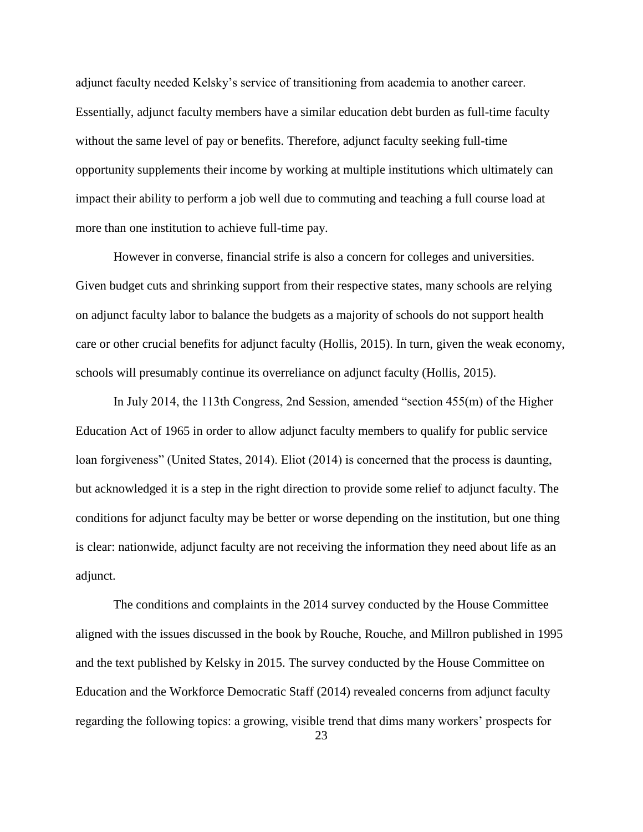adjunct faculty needed Kelsky's service of transitioning from academia to another career. Essentially, adjunct faculty members have a similar education debt burden as full-time faculty without the same level of pay or benefits. Therefore, adjunct faculty seeking full-time opportunity supplements their income by working at multiple institutions which ultimately can impact their ability to perform a job well due to commuting and teaching a full course load at more than one institution to achieve full-time pay.

However in converse, financial strife is also a concern for colleges and universities. Given budget cuts and shrinking support from their respective states, many schools are relying on adjunct faculty labor to balance the budgets as a majority of schools do not support health care or other crucial benefits for adjunct faculty (Hollis, 2015). In turn, given the weak economy, schools will presumably continue its overreliance on adjunct faculty (Hollis, 2015).

In July 2014, the 113th Congress, 2nd Session, amended "section 455(m) of the Higher Education Act of 1965 in order to allow adjunct faculty members to qualify for public service loan forgiveness" (United States, 2014). Eliot (2014) is concerned that the process is daunting, but acknowledged it is a step in the right direction to provide some relief to adjunct faculty. The conditions for adjunct faculty may be better or worse depending on the institution, but one thing is clear: nationwide, adjunct faculty are not receiving the information they need about life as an adjunct.

The conditions and complaints in the 2014 survey conducted by the House Committee aligned with the issues discussed in the book by Rouche, Rouche, and Millron published in 1995 and the text published by Kelsky in 2015. The survey conducted by the House Committee on Education and the Workforce Democratic Staff (2014) revealed concerns from adjunct faculty regarding the following topics: a growing, visible trend that dims many workers' prospects for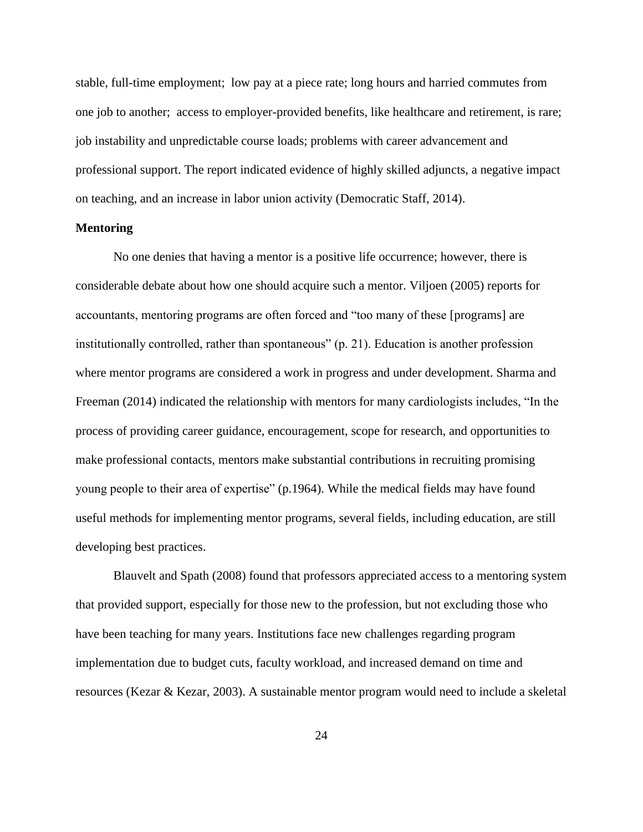stable, full-time employment; low pay at a piece rate; long hours and harried commutes from one job to another; access to employer-provided benefits, like healthcare and retirement, is rare; job instability and unpredictable course loads; problems with career advancement and professional support. The report indicated evidence of highly skilled adjuncts, a negative impact on teaching, and an increase in labor union activity (Democratic Staff, 2014).

#### **Mentoring**

No one denies that having a mentor is a positive life occurrence; however, there is considerable debate about how one should acquire such a mentor. Viljoen (2005) reports for accountants, mentoring programs are often forced and "too many of these [programs] are institutionally controlled, rather than spontaneous" (p. 21). Education is another profession where mentor programs are considered a work in progress and under development. Sharma and Freeman (2014) indicated the relationship with mentors for many cardiologists includes, "In the process of providing career guidance, encouragement, scope for research, and opportunities to make professional contacts, mentors make substantial contributions in recruiting promising young people to their area of expertise" (p.1964). While the medical fields may have found useful methods for implementing mentor programs, several fields, including education, are still developing best practices.

Blauvelt and Spath (2008) found that professors appreciated access to a mentoring system that provided support, especially for those new to the profession, but not excluding those who have been teaching for many years. Institutions face new challenges regarding program implementation due to budget cuts, faculty workload, and increased demand on time and resources (Kezar & Kezar, 2003). A sustainable mentor program would need to include a skeletal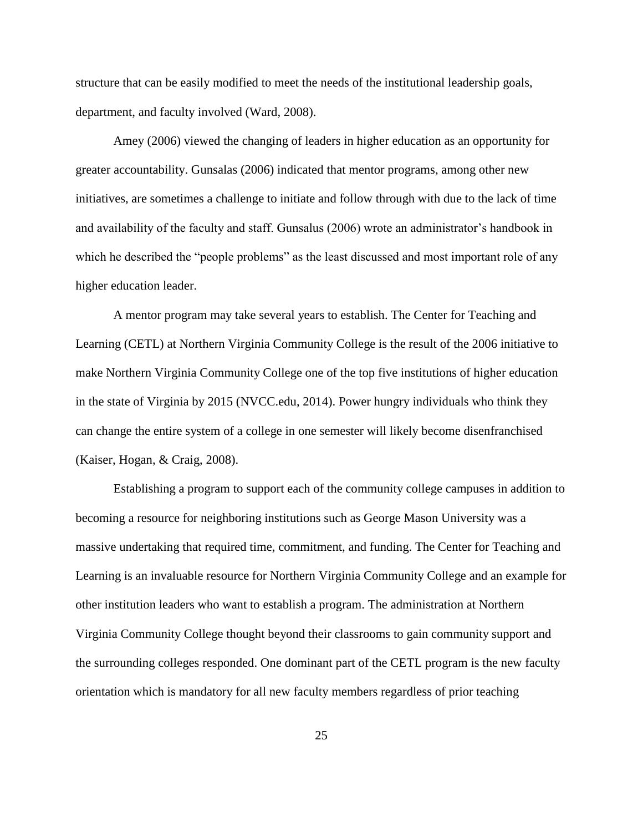structure that can be easily modified to meet the needs of the institutional leadership goals, department, and faculty involved (Ward, 2008).

Amey (2006) viewed the changing of leaders in higher education as an opportunity for greater accountability. Gunsalas (2006) indicated that mentor programs, among other new initiatives, are sometimes a challenge to initiate and follow through with due to the lack of time and availability of the faculty and staff. Gunsalus (2006) wrote an administrator's handbook in which he described the "people problems" as the least discussed and most important role of any higher education leader.

A mentor program may take several years to establish. The Center for Teaching and Learning (CETL) at Northern Virginia Community College is the result of the 2006 initiative to make Northern Virginia Community College one of the top five institutions of higher education in the state of Virginia by 2015 (NVCC.edu, 2014). Power hungry individuals who think they can change the entire system of a college in one semester will likely become disenfranchised (Kaiser, Hogan, & Craig, 2008).

Establishing a program to support each of the community college campuses in addition to becoming a resource for neighboring institutions such as George Mason University was a massive undertaking that required time, commitment, and funding. The Center for Teaching and Learning is an invaluable resource for Northern Virginia Community College and an example for other institution leaders who want to establish a program. The administration at Northern Virginia Community College thought beyond their classrooms to gain community support and the surrounding colleges responded. One dominant part of the CETL program is the new faculty orientation which is mandatory for all new faculty members regardless of prior teaching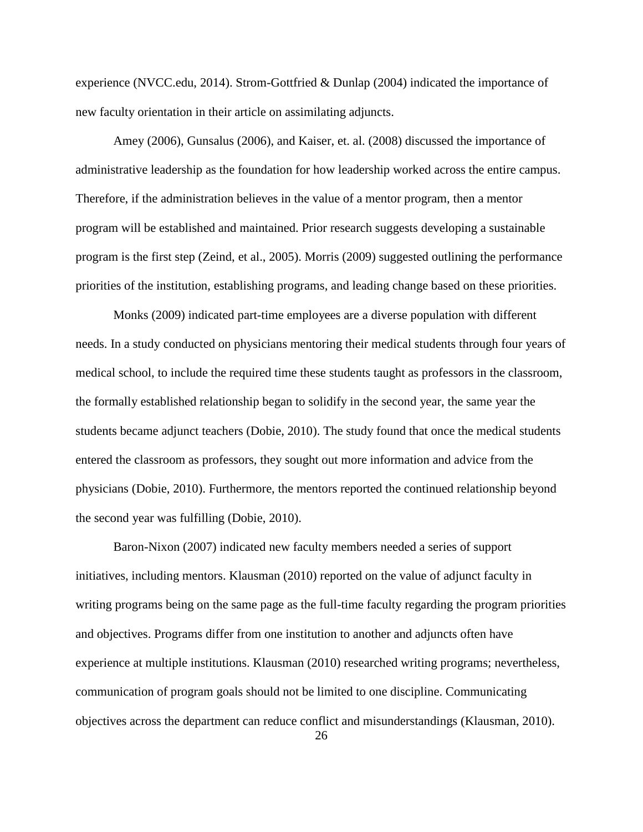experience (NVCC.edu, 2014). Strom-Gottfried & Dunlap (2004) indicated the importance of new faculty orientation in their article on assimilating adjuncts.

Amey (2006), Gunsalus (2006), and Kaiser, et. al. (2008) discussed the importance of administrative leadership as the foundation for how leadership worked across the entire campus. Therefore, if the administration believes in the value of a mentor program, then a mentor program will be established and maintained. Prior research suggests developing a sustainable program is the first step (Zeind, et al., 2005). Morris (2009) suggested outlining the performance priorities of the institution, establishing programs, and leading change based on these priorities.

Monks (2009) indicated part-time employees are a diverse population with different needs. In a study conducted on physicians mentoring their medical students through four years of medical school, to include the required time these students taught as professors in the classroom, the formally established relationship began to solidify in the second year, the same year the students became adjunct teachers (Dobie, 2010). The study found that once the medical students entered the classroom as professors, they sought out more information and advice from the physicians (Dobie, 2010). Furthermore, the mentors reported the continued relationship beyond the second year was fulfilling (Dobie, 2010).

Baron-Nixon (2007) indicated new faculty members needed a series of support initiatives, including mentors. Klausman (2010) reported on the value of adjunct faculty in writing programs being on the same page as the full-time faculty regarding the program priorities and objectives. Programs differ from one institution to another and adjuncts often have experience at multiple institutions. Klausman (2010) researched writing programs; nevertheless, communication of program goals should not be limited to one discipline. Communicating objectives across the department can reduce conflict and misunderstandings (Klausman, 2010).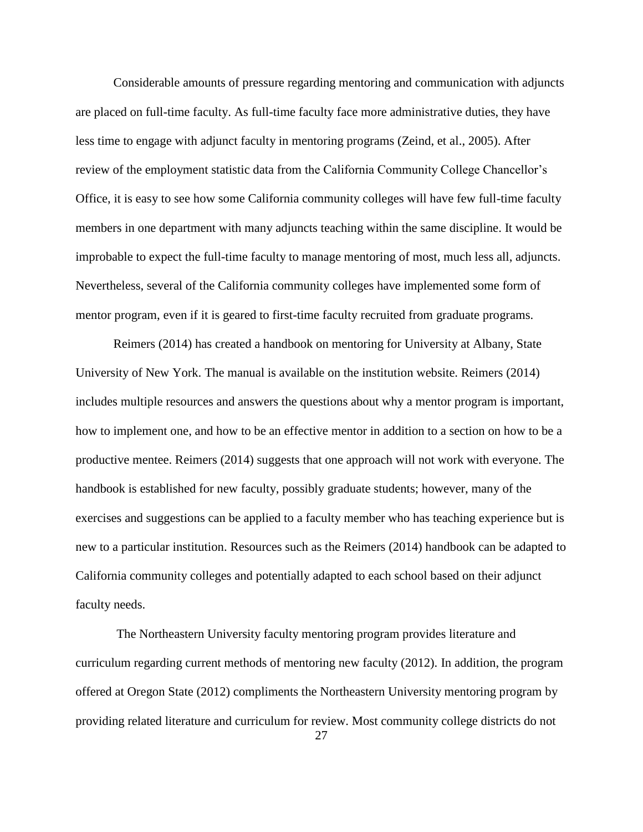Considerable amounts of pressure regarding mentoring and communication with adjuncts are placed on full-time faculty. As full-time faculty face more administrative duties, they have less time to engage with adjunct faculty in mentoring programs (Zeind, et al., 2005). After review of the employment statistic data from the California Community College Chancellor's Office, it is easy to see how some California community colleges will have few full-time faculty members in one department with many adjuncts teaching within the same discipline. It would be improbable to expect the full-time faculty to manage mentoring of most, much less all, adjuncts. Nevertheless, several of the California community colleges have implemented some form of mentor program, even if it is geared to first-time faculty recruited from graduate programs.

Reimers (2014) has created a handbook on mentoring for University at Albany, State University of New York. The manual is available on the institution website. Reimers (2014) includes multiple resources and answers the questions about why a mentor program is important, how to implement one, and how to be an effective mentor in addition to a section on how to be a productive mentee. Reimers (2014) suggests that one approach will not work with everyone. The handbook is established for new faculty, possibly graduate students; however, many of the exercises and suggestions can be applied to a faculty member who has teaching experience but is new to a particular institution. Resources such as the Reimers (2014) handbook can be adapted to California community colleges and potentially adapted to each school based on their adjunct faculty needs.

The Northeastern University faculty mentoring program provides literature and curriculum regarding current methods of mentoring new faculty (2012). In addition, the program offered at Oregon State (2012) compliments the Northeastern University mentoring program by providing related literature and curriculum for review. Most community college districts do not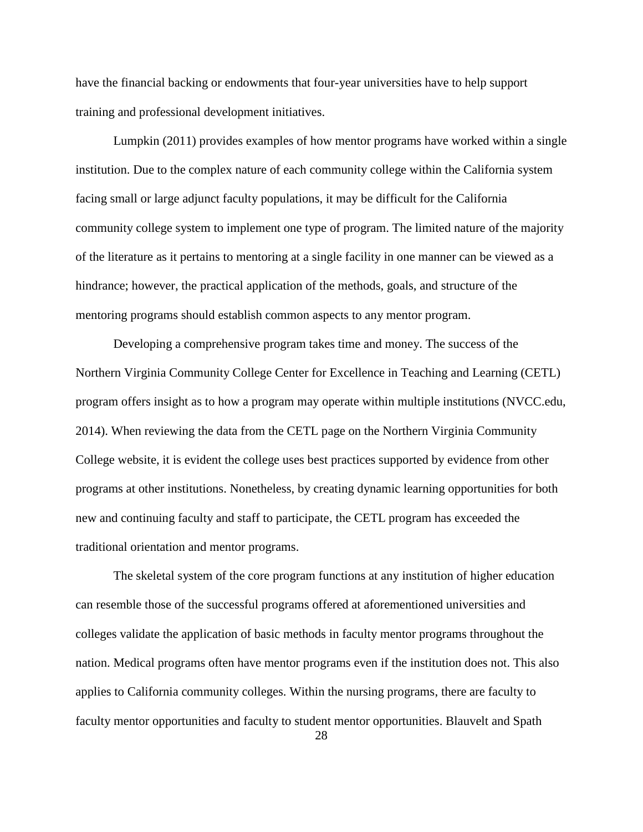have the financial backing or endowments that four-year universities have to help support training and professional development initiatives.

Lumpkin (2011) provides examples of how mentor programs have worked within a single institution. Due to the complex nature of each community college within the California system facing small or large adjunct faculty populations, it may be difficult for the California community college system to implement one type of program. The limited nature of the majority of the literature as it pertains to mentoring at a single facility in one manner can be viewed as a hindrance; however, the practical application of the methods, goals, and structure of the mentoring programs should establish common aspects to any mentor program.

Developing a comprehensive program takes time and money. The success of the Northern Virginia Community College Center for Excellence in Teaching and Learning (CETL) program offers insight as to how a program may operate within multiple institutions (NVCC.edu, 2014). When reviewing the data from the CETL page on the Northern Virginia Community College website, it is evident the college uses best practices supported by evidence from other programs at other institutions. Nonetheless, by creating dynamic learning opportunities for both new and continuing faculty and staff to participate, the CETL program has exceeded the traditional orientation and mentor programs.

The skeletal system of the core program functions at any institution of higher education can resemble those of the successful programs offered at aforementioned universities and colleges validate the application of basic methods in faculty mentor programs throughout the nation. Medical programs often have mentor programs even if the institution does not. This also applies to California community colleges. Within the nursing programs, there are faculty to faculty mentor opportunities and faculty to student mentor opportunities. Blauvelt and Spath

28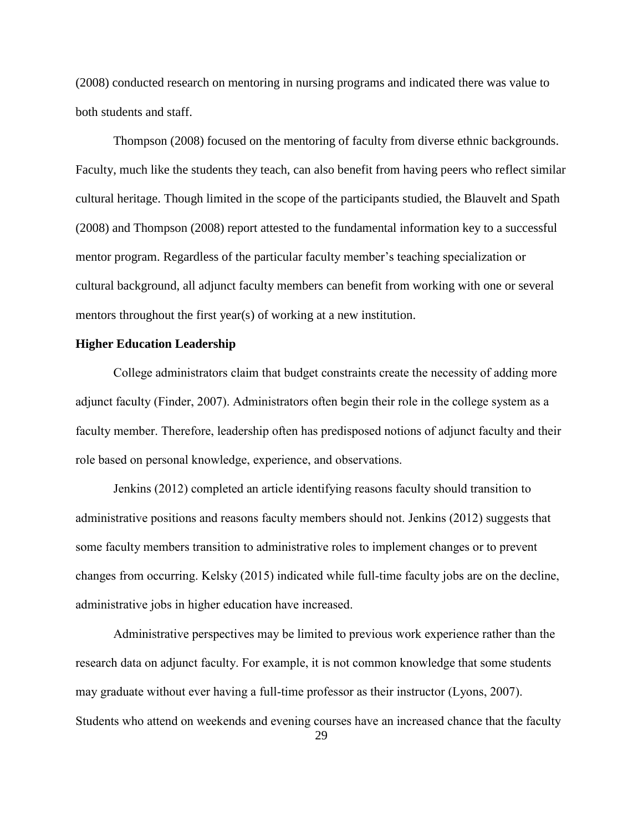(2008) conducted research on mentoring in nursing programs and indicated there was value to both students and staff.

Thompson (2008) focused on the mentoring of faculty from diverse ethnic backgrounds. Faculty, much like the students they teach, can also benefit from having peers who reflect similar cultural heritage. Though limited in the scope of the participants studied, the Blauvelt and Spath (2008) and Thompson (2008) report attested to the fundamental information key to a successful mentor program. Regardless of the particular faculty member's teaching specialization or cultural background, all adjunct faculty members can benefit from working with one or several mentors throughout the first year(s) of working at a new institution.

## **Higher Education Leadership**

College administrators claim that budget constraints create the necessity of adding more adjunct faculty (Finder, 2007). Administrators often begin their role in the college system as a faculty member. Therefore, leadership often has predisposed notions of adjunct faculty and their role based on personal knowledge, experience, and observations.

Jenkins (2012) completed an article identifying reasons faculty should transition to administrative positions and reasons faculty members should not. Jenkins (2012) suggests that some faculty members transition to administrative roles to implement changes or to prevent changes from occurring. Kelsky (2015) indicated while full-time faculty jobs are on the decline, administrative jobs in higher education have increased.

Administrative perspectives may be limited to previous work experience rather than the research data on adjunct faculty. For example, it is not common knowledge that some students may graduate without ever having a full-time professor as their instructor (Lyons, 2007). Students who attend on weekends and evening courses have an increased chance that the faculty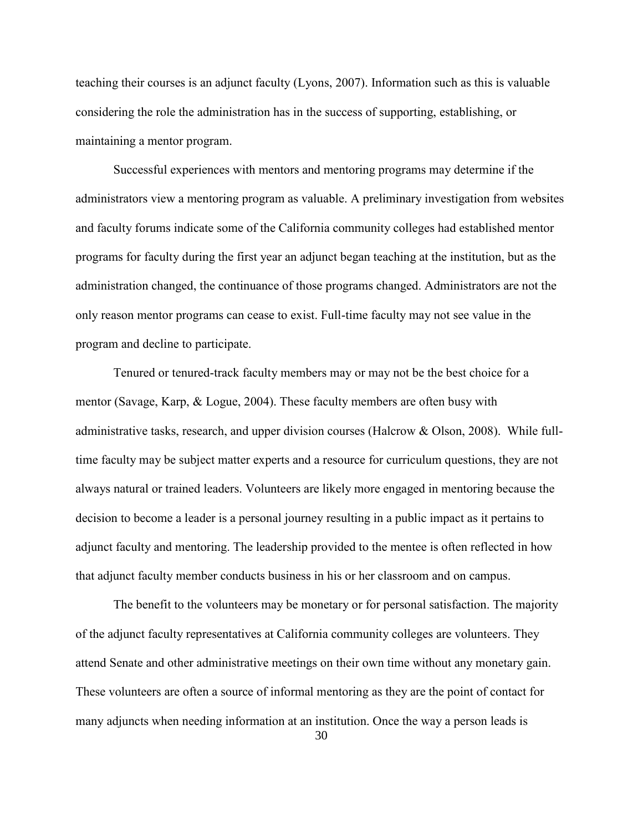teaching their courses is an adjunct faculty (Lyons, 2007). Information such as this is valuable considering the role the administration has in the success of supporting, establishing, or maintaining a mentor program.

Successful experiences with mentors and mentoring programs may determine if the administrators view a mentoring program as valuable. A preliminary investigation from websites and faculty forums indicate some of the California community colleges had established mentor programs for faculty during the first year an adjunct began teaching at the institution, but as the administration changed, the continuance of those programs changed. Administrators are not the only reason mentor programs can cease to exist. Full-time faculty may not see value in the program and decline to participate.

Tenured or tenured-track faculty members may or may not be the best choice for a mentor (Savage, Karp, & Logue, 2004). These faculty members are often busy with administrative tasks, research, and upper division courses (Halcrow & Olson, 2008). While fulltime faculty may be subject matter experts and a resource for curriculum questions, they are not always natural or trained leaders. Volunteers are likely more engaged in mentoring because the decision to become a leader is a personal journey resulting in a public impact as it pertains to adjunct faculty and mentoring. The leadership provided to the mentee is often reflected in how that adjunct faculty member conducts business in his or her classroom and on campus.

The benefit to the volunteers may be monetary or for personal satisfaction. The majority of the adjunct faculty representatives at California community colleges are volunteers. They attend Senate and other administrative meetings on their own time without any monetary gain. These volunteers are often a source of informal mentoring as they are the point of contact for many adjuncts when needing information at an institution. Once the way a person leads is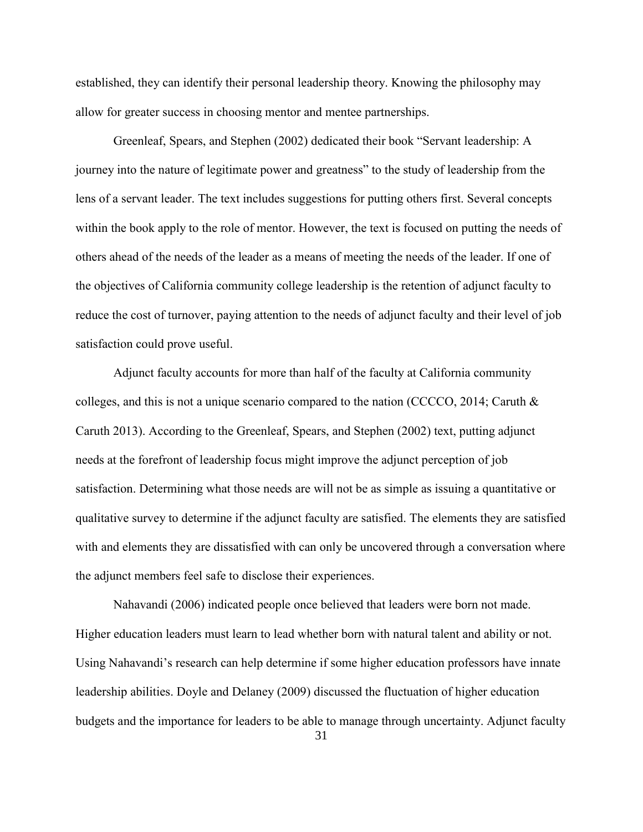established, they can identify their personal leadership theory. Knowing the philosophy may allow for greater success in choosing mentor and mentee partnerships.

Greenleaf, Spears, and Stephen (2002) dedicated their book "Servant leadership: A journey into the nature of legitimate power and greatness" to the study of leadership from the lens of a servant leader. The text includes suggestions for putting others first. Several concepts within the book apply to the role of mentor. However, the text is focused on putting the needs of others ahead of the needs of the leader as a means of meeting the needs of the leader. If one of the objectives of California community college leadership is the retention of adjunct faculty to reduce the cost of turnover, paying attention to the needs of adjunct faculty and their level of job satisfaction could prove useful.

Adjunct faculty accounts for more than half of the faculty at California community colleges, and this is not a unique scenario compared to the nation (CCCCO, 2014; Caruth & Caruth 2013). According to the Greenleaf, Spears, and Stephen (2002) text, putting adjunct needs at the forefront of leadership focus might improve the adjunct perception of job satisfaction. Determining what those needs are will not be as simple as issuing a quantitative or qualitative survey to determine if the adjunct faculty are satisfied. The elements they are satisfied with and elements they are dissatisfied with can only be uncovered through a conversation where the adjunct members feel safe to disclose their experiences.

Nahavandi (2006) indicated people once believed that leaders were born not made. Higher education leaders must learn to lead whether born with natural talent and ability or not. Using Nahavandi's research can help determine if some higher education professors have innate leadership abilities. Doyle and Delaney (2009) discussed the fluctuation of higher education budgets and the importance for leaders to be able to manage through uncertainty. Adjunct faculty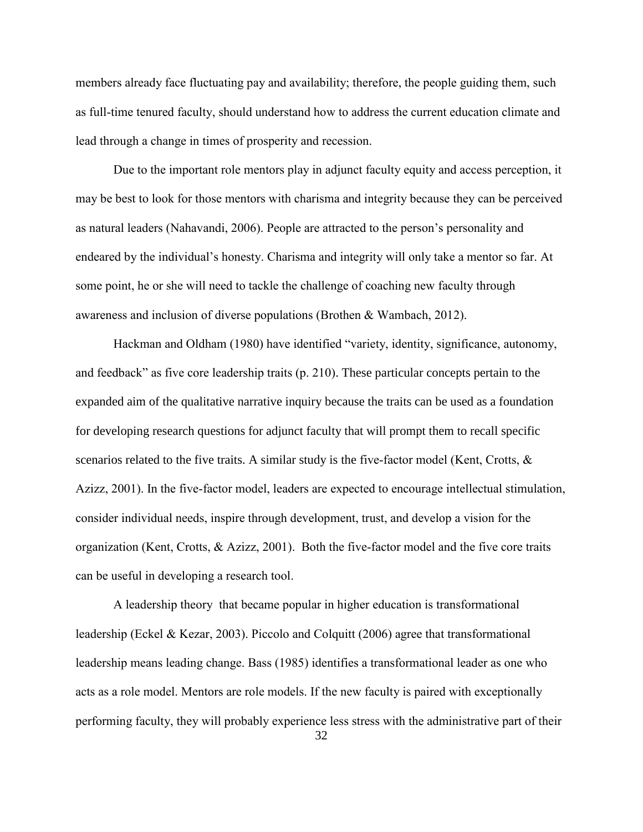members already face fluctuating pay and availability; therefore, the people guiding them, such as full-time tenured faculty, should understand how to address the current education climate and lead through a change in times of prosperity and recession.

Due to the important role mentors play in adjunct faculty equity and access perception, it may be best to look for those mentors with charisma and integrity because they can be perceived as natural leaders (Nahavandi, 2006). People are attracted to the person's personality and endeared by the individual's honesty. Charisma and integrity will only take a mentor so far. At some point, he or she will need to tackle the challenge of coaching new faculty through awareness and inclusion of diverse populations (Brothen & Wambach, 2012).

Hackman and Oldham (1980) have identified "variety, identity, significance, autonomy, and feedback" as five core leadership traits (p. 210). These particular concepts pertain to the expanded aim of the qualitative narrative inquiry because the traits can be used as a foundation for developing research questions for adjunct faculty that will prompt them to recall specific scenarios related to the five traits. A similar study is the five-factor model (Kent, Crotts,  $\&$ Azizz, 2001). In the five-factor model, leaders are expected to encourage intellectual stimulation, consider individual needs, inspire through development, trust, and develop a vision for the organization (Kent, Crotts, & Azizz, 2001). Both the five-factor model and the five core traits can be useful in developing a research tool.

A leadership theory that became popular in higher education is transformational leadership (Eckel & Kezar, 2003). Piccolo and Colquitt (2006) agree that transformational leadership means leading change. Bass (1985) identifies a transformational leader as one who acts as a role model. Mentors are role models. If the new faculty is paired with exceptionally performing faculty, they will probably experience less stress with the administrative part of their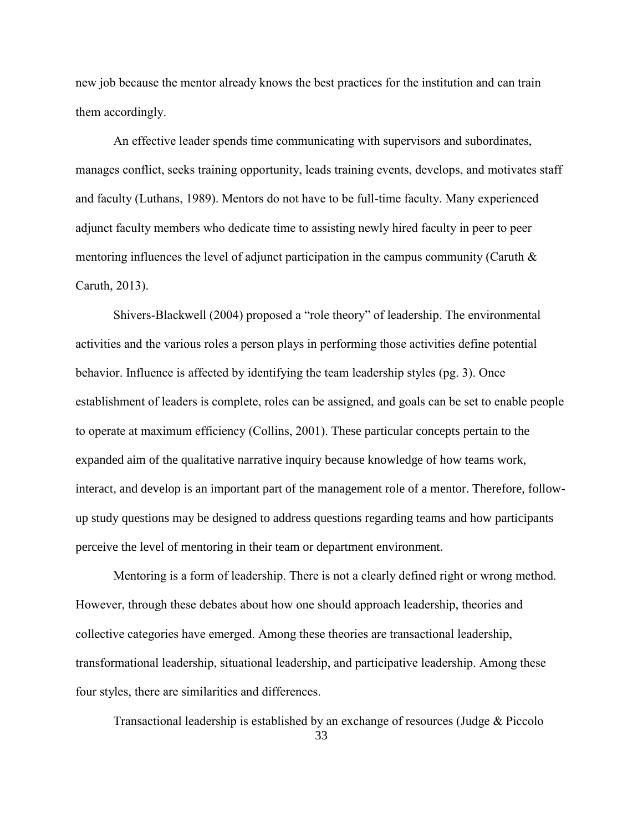new job because the mentor already knows the best practices for the institution and can train them accordingly.

An effective leader spends time communicating with supervisors and subordinates, manages conflict, seeks training opportunity, leads training events, develops, and motivates staff and faculty (Luthans, 1989). Mentors do not have to be full-time faculty. Many experienced adjunct faculty members who dedicate time to assisting newly hired faculty in peer to peer mentoring influences the level of adjunct participation in the campus community (Caruth  $\&$ Caruth, 2013).

Shivers-Blackwell (2004) proposed a "role theory" of leadership. The environmental activities and the various roles a person plays in performing those activities define potential behavior. Influence is affected by identifying the team leadership styles (pg. 3). Once establishment of leaders is complete, roles can be assigned, and goals can be set to enable people to operate at maximum efficiency (Collins, 2001). These particular concepts pertain to the expanded aim of the qualitative narrative inquiry because knowledge of how teams work, interact, and develop is an important part of the management role of a mentor. Therefore, followup study questions may be designed to address questions regarding teams and how participants perceive the level of mentoring in their team or department environment.

Mentoring is a form of leadership. There is not a clearly defined right or wrong method. However, through these debates about how one should approach leadership, theories and collective categories have emerged. Among these theories are transactional leadership, transformational leadership, situational leadership, and participative leadership. Among these four styles, there are similarities and differences.

Transactional leadership is established by an exchange of resources (Judge & Piccolo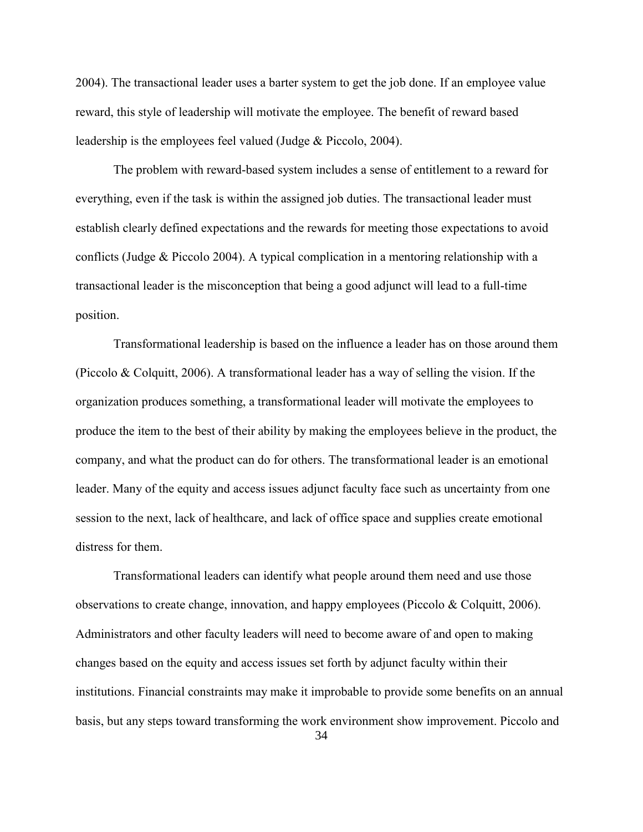2004). The transactional leader uses a barter system to get the job done. If an employee value reward, this style of leadership will motivate the employee. The benefit of reward based leadership is the employees feel valued (Judge & Piccolo, 2004).

The problem with reward-based system includes a sense of entitlement to a reward for everything, even if the task is within the assigned job duties. The transactional leader must establish clearly defined expectations and the rewards for meeting those expectations to avoid conflicts (Judge & Piccolo 2004). A typical complication in a mentoring relationship with a transactional leader is the misconception that being a good adjunct will lead to a full-time position.

Transformational leadership is based on the influence a leader has on those around them (Piccolo & Colquitt, 2006). A transformational leader has a way of selling the vision. If the organization produces something, a transformational leader will motivate the employees to produce the item to the best of their ability by making the employees believe in the product, the company, and what the product can do for others. The transformational leader is an emotional leader. Many of the equity and access issues adjunct faculty face such as uncertainty from one session to the next, lack of healthcare, and lack of office space and supplies create emotional distress for them.

Transformational leaders can identify what people around them need and use those observations to create change, innovation, and happy employees (Piccolo & Colquitt, 2006). Administrators and other faculty leaders will need to become aware of and open to making changes based on the equity and access issues set forth by adjunct faculty within their institutions. Financial constraints may make it improbable to provide some benefits on an annual basis, but any steps toward transforming the work environment show improvement. Piccolo and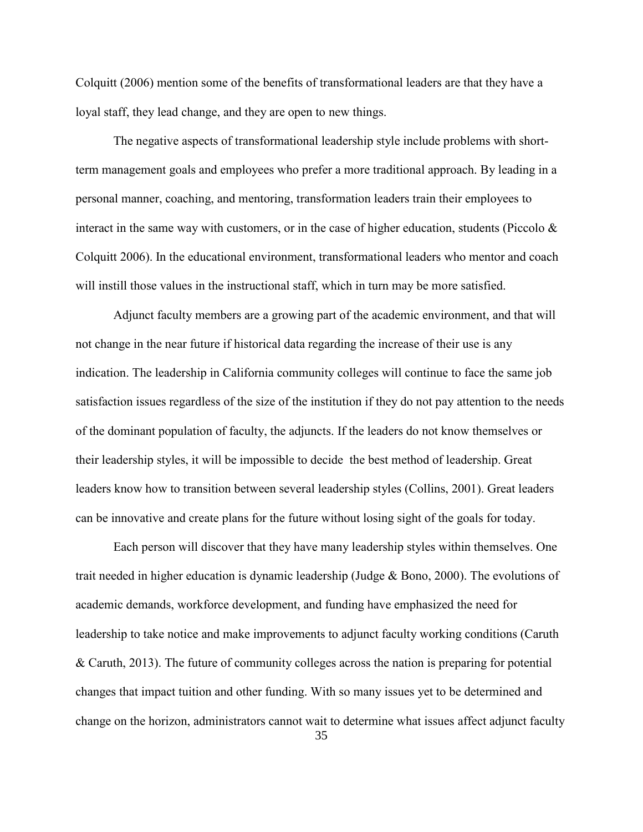Colquitt (2006) mention some of the benefits of transformational leaders are that they have a loyal staff, they lead change, and they are open to new things.

The negative aspects of transformational leadership style include problems with shortterm management goals and employees who prefer a more traditional approach. By leading in a personal manner, coaching, and mentoring, transformation leaders train their employees to interact in the same way with customers, or in the case of higher education, students (Piccolo  $\&$ Colquitt 2006). In the educational environment, transformational leaders who mentor and coach will instill those values in the instructional staff, which in turn may be more satisfied.

Adjunct faculty members are a growing part of the academic environment, and that will not change in the near future if historical data regarding the increase of their use is any indication. The leadership in California community colleges will continue to face the same job satisfaction issues regardless of the size of the institution if they do not pay attention to the needs of the dominant population of faculty, the adjuncts. If the leaders do not know themselves or their leadership styles, it will be impossible to decide the best method of leadership. Great leaders know how to transition between several leadership styles (Collins, 2001). Great leaders can be innovative and create plans for the future without losing sight of the goals for today.

Each person will discover that they have many leadership styles within themselves. One trait needed in higher education is dynamic leadership (Judge & Bono, 2000). The evolutions of academic demands, workforce development, and funding have emphasized the need for leadership to take notice and make improvements to adjunct faculty working conditions (Caruth & Caruth, 2013). The future of community colleges across the nation is preparing for potential changes that impact tuition and other funding. With so many issues yet to be determined and change on the horizon, administrators cannot wait to determine what issues affect adjunct faculty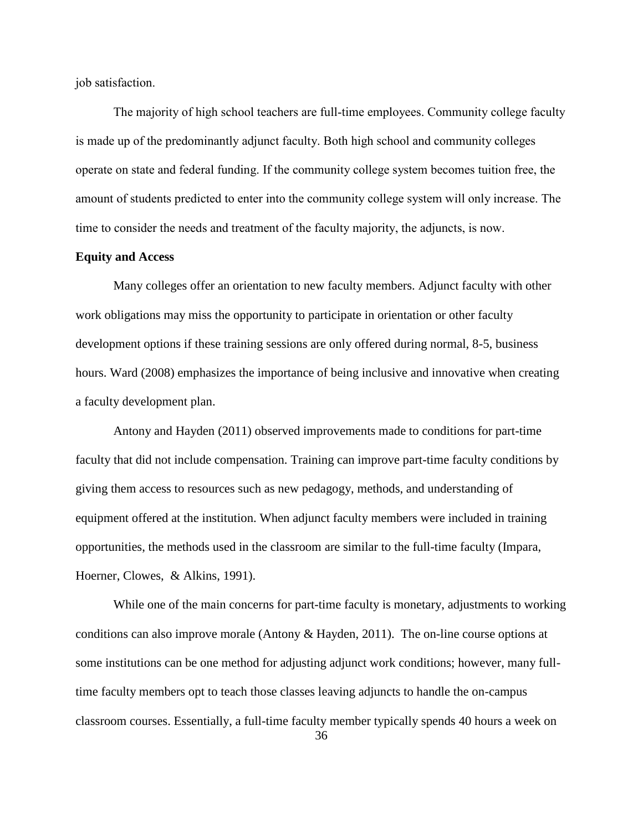job satisfaction.

The majority of high school teachers are full-time employees. Community college faculty is made up of the predominantly adjunct faculty. Both high school and community colleges operate on state and federal funding. If the community college system becomes tuition free, the amount of students predicted to enter into the community college system will only increase. The time to consider the needs and treatment of the faculty majority, the adjuncts, is now.

## **Equity and Access**

Many colleges offer an orientation to new faculty members. Adjunct faculty with other work obligations may miss the opportunity to participate in orientation or other faculty development options if these training sessions are only offered during normal, 8-5, business hours. Ward (2008) emphasizes the importance of being inclusive and innovative when creating a faculty development plan.

Antony and Hayden (2011) observed improvements made to conditions for part-time faculty that did not include compensation. Training can improve part-time faculty conditions by giving them access to resources such as new pedagogy, methods, and understanding of equipment offered at the institution. When adjunct faculty members were included in training opportunities, the methods used in the classroom are similar to the full-time faculty (Impara, Hoerner, Clowes, & Alkins, 1991).

While one of the main concerns for part-time faculty is monetary, adjustments to working conditions can also improve morale (Antony & Hayden, 2011). The on-line course options at some institutions can be one method for adjusting adjunct work conditions; however, many fulltime faculty members opt to teach those classes leaving adjuncts to handle the on-campus classroom courses. Essentially, a full-time faculty member typically spends 40 hours a week on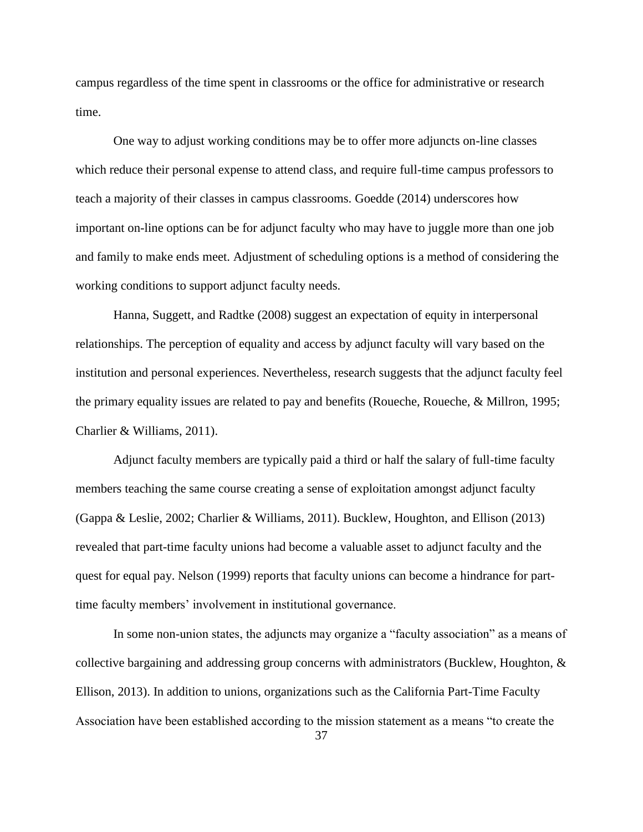campus regardless of the time spent in classrooms or the office for administrative or research time.

One way to adjust working conditions may be to offer more adjuncts on-line classes which reduce their personal expense to attend class, and require full-time campus professors to teach a majority of their classes in campus classrooms. Goedde (2014) underscores how important on-line options can be for adjunct faculty who may have to juggle more than one job and family to make ends meet. Adjustment of scheduling options is a method of considering the working conditions to support adjunct faculty needs.

Hanna, Suggett, and Radtke (2008) suggest an expectation of equity in interpersonal relationships. The perception of equality and access by adjunct faculty will vary based on the institution and personal experiences. Nevertheless, research suggests that the adjunct faculty feel the primary equality issues are related to pay and benefits (Roueche, Roueche, & Millron, 1995; Charlier & Williams, 2011).

Adjunct faculty members are typically paid a third or half the salary of full-time faculty members teaching the same course creating a sense of exploitation amongst adjunct faculty (Gappa & Leslie, 2002; Charlier & Williams, 2011). Bucklew, Houghton, and Ellison (2013) revealed that part-time faculty unions had become a valuable asset to adjunct faculty and the quest for equal pay. Nelson (1999) reports that faculty unions can become a hindrance for parttime faculty members' involvement in institutional governance.

In some non-union states, the adjuncts may organize a "faculty association" as a means of collective bargaining and addressing group concerns with administrators (Bucklew, Houghton, & Ellison, 2013). In addition to unions, organizations such as the California Part-Time Faculty Association have been established according to the mission statement as a means "to create the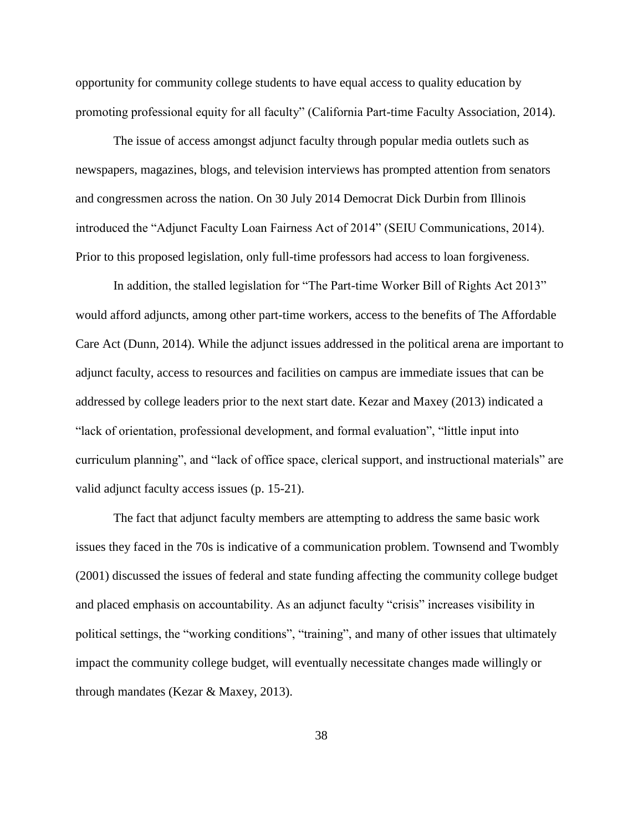opportunity for community college students to have equal access to quality education by promoting professional equity for all faculty" (California Part-time Faculty Association, 2014).

The issue of access amongst adjunct faculty through popular media outlets such as newspapers, magazines, blogs, and television interviews has prompted attention from senators and congressmen across the nation. On 30 July 2014 Democrat Dick Durbin from Illinois introduced the "Adjunct Faculty Loan Fairness Act of 2014" (SEIU Communications, 2014). Prior to this proposed legislation, only full-time professors had access to loan forgiveness.

In addition, the stalled legislation for "The Part-time Worker Bill of Rights Act 2013" would afford adjuncts, among other part-time workers, access to the benefits of The Affordable Care Act (Dunn, 2014). While the adjunct issues addressed in the political arena are important to adjunct faculty, access to resources and facilities on campus are immediate issues that can be addressed by college leaders prior to the next start date. Kezar and Maxey (2013) indicated a "lack of orientation, professional development, and formal evaluation", "little input into curriculum planning", and "lack of office space, clerical support, and instructional materials" are valid adjunct faculty access issues (p. 15-21).

The fact that adjunct faculty members are attempting to address the same basic work issues they faced in the 70s is indicative of a communication problem. Townsend and Twombly (2001) discussed the issues of federal and state funding affecting the community college budget and placed emphasis on accountability. As an adjunct faculty "crisis" increases visibility in political settings, the "working conditions", "training", and many of other issues that ultimately impact the community college budget, will eventually necessitate changes made willingly or through mandates (Kezar & Maxey, 2013).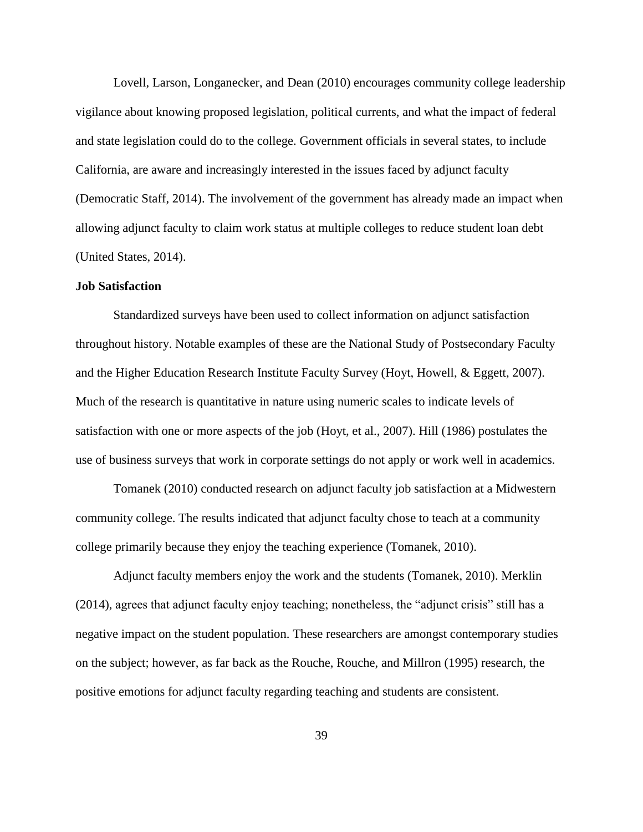Lovell, Larson, Longanecker, and Dean (2010) encourages community college leadership vigilance about knowing proposed legislation, political currents, and what the impact of federal and state legislation could do to the college. Government officials in several states, to include California, are aware and increasingly interested in the issues faced by adjunct faculty (Democratic Staff, 2014). The involvement of the government has already made an impact when allowing adjunct faculty to claim work status at multiple colleges to reduce student loan debt (United States, 2014).

## **Job Satisfaction**

Standardized surveys have been used to collect information on adjunct satisfaction throughout history. Notable examples of these are the National Study of Postsecondary Faculty and the Higher Education Research Institute Faculty Survey (Hoyt, Howell, & Eggett, 2007). Much of the research is quantitative in nature using numeric scales to indicate levels of satisfaction with one or more aspects of the job (Hoyt, et al., 2007). Hill (1986) postulates the use of business surveys that work in corporate settings do not apply or work well in academics.

Tomanek (2010) conducted research on adjunct faculty job satisfaction at a Midwestern community college. The results indicated that adjunct faculty chose to teach at a community college primarily because they enjoy the teaching experience (Tomanek, 2010).

Adjunct faculty members enjoy the work and the students (Tomanek, 2010). Merklin (2014), agrees that adjunct faculty enjoy teaching; nonetheless, the "adjunct crisis" still has a negative impact on the student population. These researchers are amongst contemporary studies on the subject; however, as far back as the Rouche, Rouche, and Millron (1995) research, the positive emotions for adjunct faculty regarding teaching and students are consistent.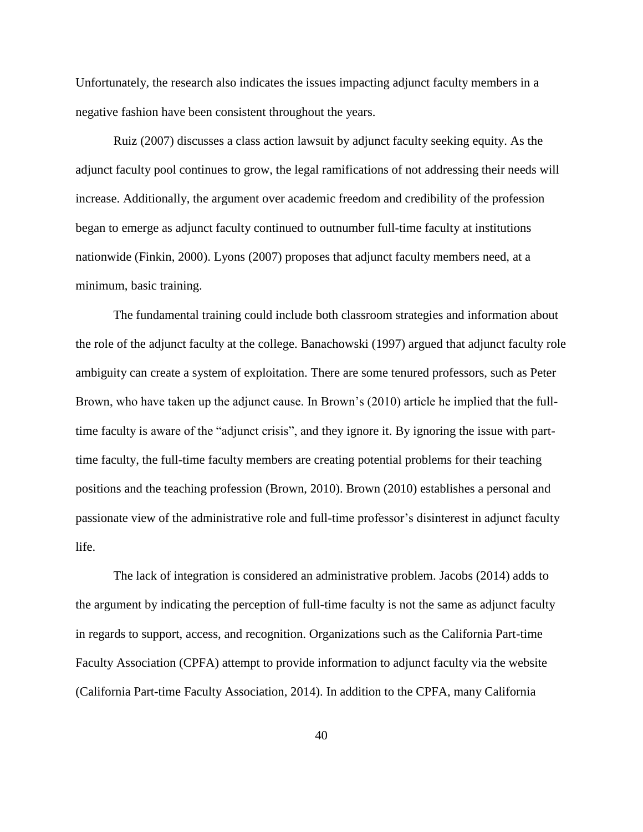Unfortunately, the research also indicates the issues impacting adjunct faculty members in a negative fashion have been consistent throughout the years.

Ruiz (2007) discusses a class action lawsuit by adjunct faculty seeking equity. As the adjunct faculty pool continues to grow, the legal ramifications of not addressing their needs will increase. Additionally, the argument over academic freedom and credibility of the profession began to emerge as adjunct faculty continued to outnumber full-time faculty at institutions nationwide (Finkin, 2000). Lyons (2007) proposes that adjunct faculty members need, at a minimum, basic training.

The fundamental training could include both classroom strategies and information about the role of the adjunct faculty at the college. Banachowski (1997) argued that adjunct faculty role ambiguity can create a system of exploitation. There are some tenured professors, such as Peter Brown, who have taken up the adjunct cause. In Brown's (2010) article he implied that the fulltime faculty is aware of the "adjunct crisis", and they ignore it. By ignoring the issue with parttime faculty, the full-time faculty members are creating potential problems for their teaching positions and the teaching profession (Brown, 2010). Brown (2010) establishes a personal and passionate view of the administrative role and full-time professor's disinterest in adjunct faculty life.

The lack of integration is considered an administrative problem. Jacobs (2014) adds to the argument by indicating the perception of full-time faculty is not the same as adjunct faculty in regards to support, access, and recognition. Organizations such as the California Part-time Faculty Association (CPFA) attempt to provide information to adjunct faculty via the website (California Part-time Faculty Association, 2014). In addition to the CPFA, many California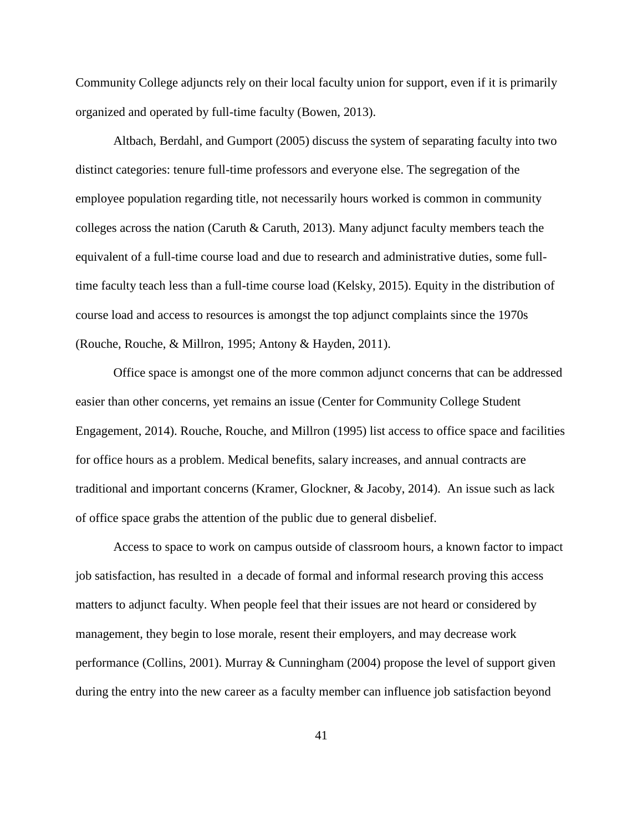Community College adjuncts rely on their local faculty union for support, even if it is primarily organized and operated by full-time faculty (Bowen, 2013).

Altbach, Berdahl, and Gumport (2005) discuss the system of separating faculty into two distinct categories: tenure full-time professors and everyone else. The segregation of the employee population regarding title, not necessarily hours worked is common in community colleges across the nation (Caruth & Caruth, 2013). Many adjunct faculty members teach the equivalent of a full-time course load and due to research and administrative duties, some fulltime faculty teach less than a full-time course load (Kelsky, 2015). Equity in the distribution of course load and access to resources is amongst the top adjunct complaints since the 1970s (Rouche, Rouche, & Millron, 1995; Antony & Hayden, 2011).

Office space is amongst one of the more common adjunct concerns that can be addressed easier than other concerns, yet remains an issue (Center for Community College Student Engagement, 2014). Rouche, Rouche, and Millron (1995) list access to office space and facilities for office hours as a problem. Medical benefits, salary increases, and annual contracts are traditional and important concerns (Kramer, Glockner, & Jacoby, 2014). An issue such as lack of office space grabs the attention of the public due to general disbelief.

Access to space to work on campus outside of classroom hours, a known factor to impact job satisfaction, has resulted in a decade of formal and informal research proving this access matters to adjunct faculty. When people feel that their issues are not heard or considered by management, they begin to lose morale, resent their employers, and may decrease work performance (Collins, 2001). Murray & Cunningham (2004) propose the level of support given during the entry into the new career as a faculty member can influence job satisfaction beyond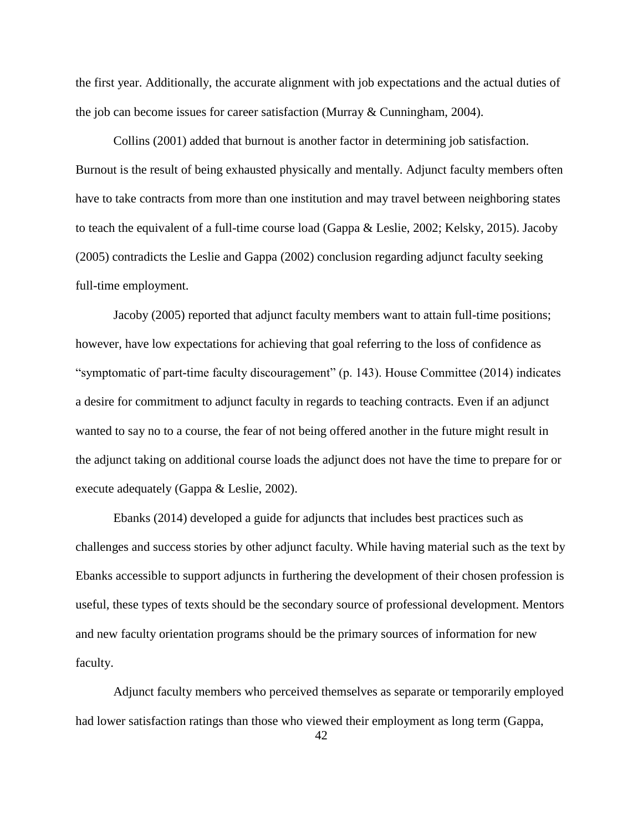the first year. Additionally, the accurate alignment with job expectations and the actual duties of the job can become issues for career satisfaction (Murray & Cunningham, 2004).

Collins (2001) added that burnout is another factor in determining job satisfaction. Burnout is the result of being exhausted physically and mentally. Adjunct faculty members often have to take contracts from more than one institution and may travel between neighboring states to teach the equivalent of a full-time course load (Gappa & Leslie, 2002; Kelsky, 2015). Jacoby (2005) contradicts the Leslie and Gappa (2002) conclusion regarding adjunct faculty seeking full-time employment.

Jacoby (2005) reported that adjunct faculty members want to attain full-time positions; however, have low expectations for achieving that goal referring to the loss of confidence as "symptomatic of part-time faculty discouragement" (p. 143). House Committee (2014) indicates a desire for commitment to adjunct faculty in regards to teaching contracts. Even if an adjunct wanted to say no to a course, the fear of not being offered another in the future might result in the adjunct taking on additional course loads the adjunct does not have the time to prepare for or execute adequately (Gappa & Leslie, 2002).

Ebanks (2014) developed a guide for adjuncts that includes best practices such as challenges and success stories by other adjunct faculty. While having material such as the text by Ebanks accessible to support adjuncts in furthering the development of their chosen profession is useful, these types of texts should be the secondary source of professional development. Mentors and new faculty orientation programs should be the primary sources of information for new faculty.

Adjunct faculty members who perceived themselves as separate or temporarily employed had lower satisfaction ratings than those who viewed their employment as long term (Gappa,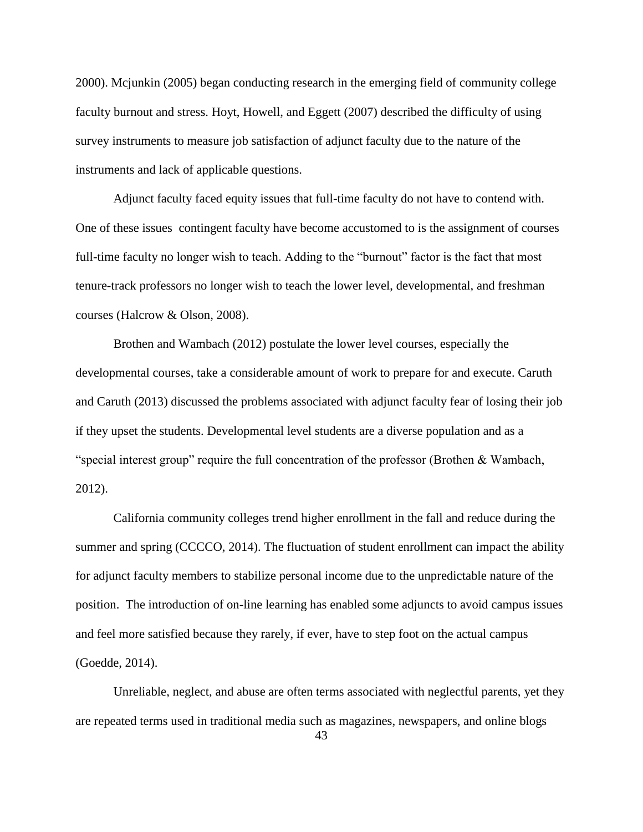2000). Mcjunkin (2005) began conducting research in the emerging field of community college faculty burnout and stress. Hoyt, Howell, and Eggett (2007) described the difficulty of using survey instruments to measure job satisfaction of adjunct faculty due to the nature of the instruments and lack of applicable questions.

Adjunct faculty faced equity issues that full-time faculty do not have to contend with. One of these issues contingent faculty have become accustomed to is the assignment of courses full-time faculty no longer wish to teach. Adding to the "burnout" factor is the fact that most tenure-track professors no longer wish to teach the lower level, developmental, and freshman courses (Halcrow & Olson, 2008).

Brothen and Wambach (2012) postulate the lower level courses, especially the developmental courses, take a considerable amount of work to prepare for and execute. Caruth and Caruth (2013) discussed the problems associated with adjunct faculty fear of losing their job if they upset the students. Developmental level students are a diverse population and as a "special interest group" require the full concentration of the professor (Brothen & Wambach, 2012).

California community colleges trend higher enrollment in the fall and reduce during the summer and spring (CCCCO, 2014). The fluctuation of student enrollment can impact the ability for adjunct faculty members to stabilize personal income due to the unpredictable nature of the position. The introduction of on-line learning has enabled some adjuncts to avoid campus issues and feel more satisfied because they rarely, if ever, have to step foot on the actual campus (Goedde, 2014).

Unreliable, neglect, and abuse are often terms associated with neglectful parents, yet they are repeated terms used in traditional media such as magazines, newspapers, and online blogs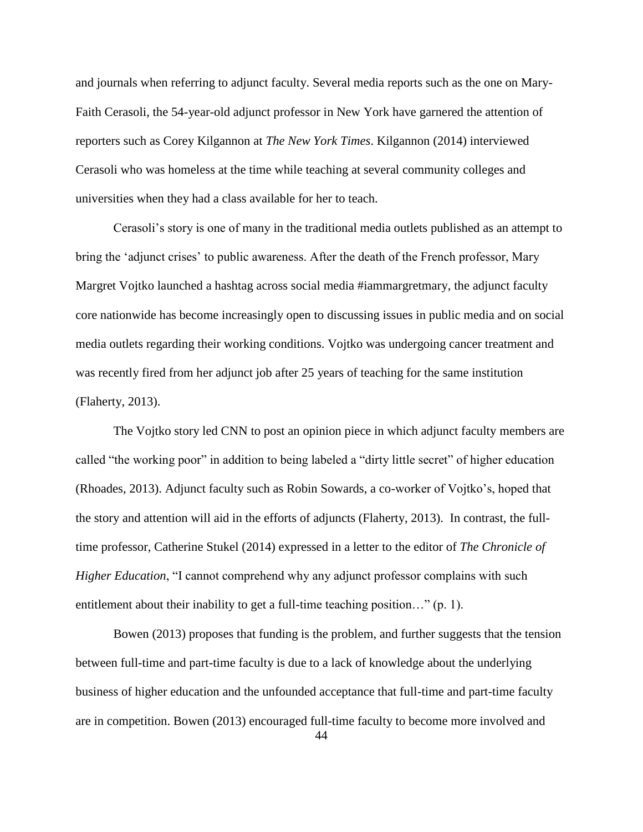and journals when referring to adjunct faculty. Several media reports such as the one on Mary-Faith Cerasoli, the 54-year-old adjunct professor in New York have garnered the attention of reporters such as Corey Kilgannon at *The New York Times*. Kilgannon (2014) interviewed Cerasoli who was homeless at the time while teaching at several community colleges and universities when they had a class available for her to teach.

Cerasoli's story is one of many in the traditional media outlets published as an attempt to bring the 'adjunct crises' to public awareness. After the death of the French professor, Mary Margret Vojtko launched a hashtag across social media #iammargretmary, the adjunct faculty core nationwide has become increasingly open to discussing issues in public media and on social media outlets regarding their working conditions. Vojtko was undergoing cancer treatment and was recently fired from her adjunct job after 25 years of teaching for the same institution (Flaherty, 2013).

The Vojtko story led CNN to post an opinion piece in which adjunct faculty members are called "the working poor" in addition to being labeled a "dirty little secret" of higher education (Rhoades, 2013). Adjunct faculty such as Robin Sowards, a co-worker of Vojtko's, hoped that the story and attention will aid in the efforts of adjuncts (Flaherty, 2013). In contrast, the fulltime professor, Catherine Stukel (2014) expressed in a letter to the editor of *The Chronicle of Higher Education*, "I cannot comprehend why any adjunct professor complains with such entitlement about their inability to get a full-time teaching position..." (p. 1).

Bowen (2013) proposes that funding is the problem, and further suggests that the tension between full-time and part-time faculty is due to a lack of knowledge about the underlying business of higher education and the unfounded acceptance that full-time and part-time faculty are in competition. Bowen (2013) encouraged full-time faculty to become more involved and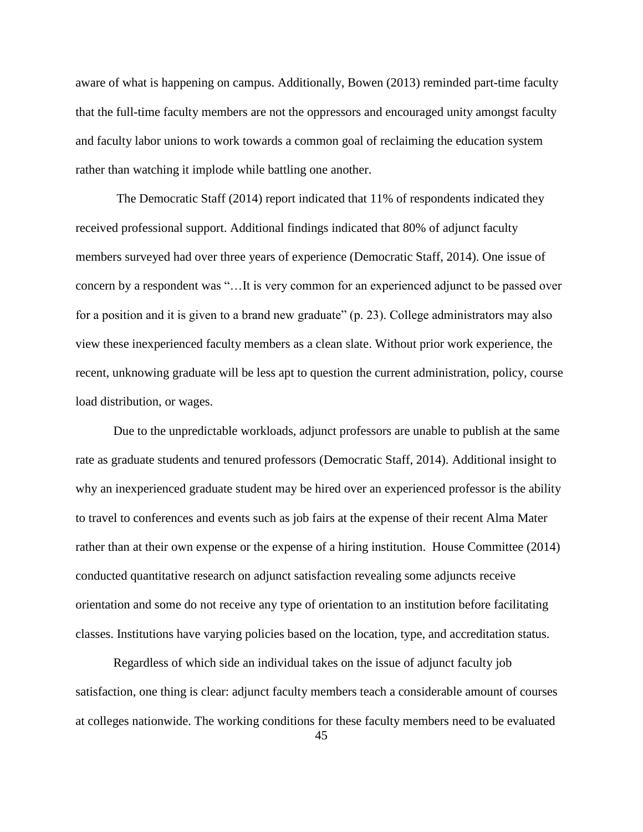aware of what is happening on campus. Additionally, Bowen (2013) reminded part-time faculty that the full-time faculty members are not the oppressors and encouraged unity amongst faculty and faculty labor unions to work towards a common goal of reclaiming the education system rather than watching it implode while battling one another.

The Democratic Staff (2014) report indicated that 11% of respondents indicated they received professional support. Additional findings indicated that 80% of adjunct faculty members surveyed had over three years of experience (Democratic Staff, 2014). One issue of concern by a respondent was "…It is very common for an experienced adjunct to be passed over for a position and it is given to a brand new graduate" (p. 23). College administrators may also view these inexperienced faculty members as a clean slate. Without prior work experience, the recent, unknowing graduate will be less apt to question the current administration, policy, course load distribution, or wages.

Due to the unpredictable workloads, adjunct professors are unable to publish at the same rate as graduate students and tenured professors (Democratic Staff, 2014). Additional insight to why an inexperienced graduate student may be hired over an experienced professor is the ability to travel to conferences and events such as job fairs at the expense of their recent Alma Mater rather than at their own expense or the expense of a hiring institution. House Committee (2014) conducted quantitative research on adjunct satisfaction revealing some adjuncts receive orientation and some do not receive any type of orientation to an institution before facilitating classes. Institutions have varying policies based on the location, type, and accreditation status.

Regardless of which side an individual takes on the issue of adjunct faculty job satisfaction, one thing is clear: adjunct faculty members teach a considerable amount of courses at colleges nationwide. The working conditions for these faculty members need to be evaluated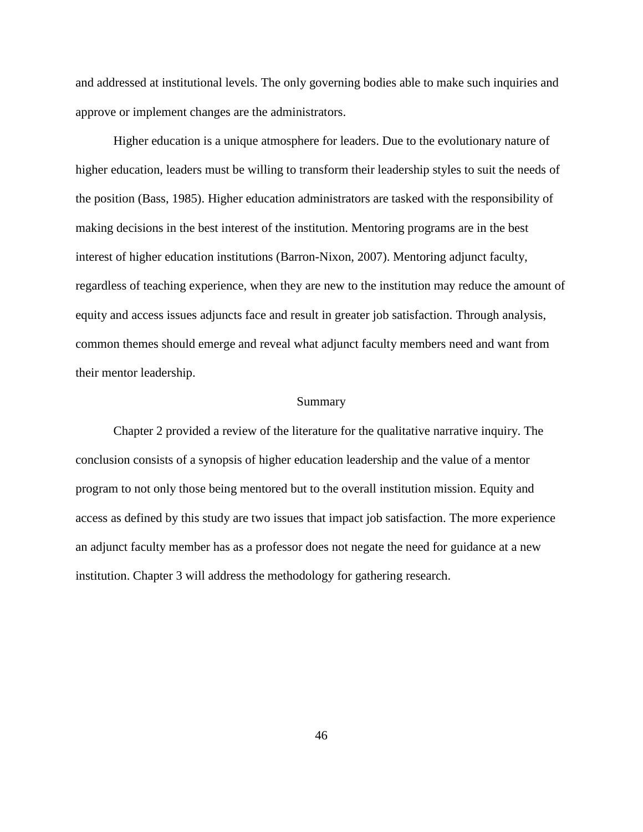and addressed at institutional levels. The only governing bodies able to make such inquiries and approve or implement changes are the administrators.

Higher education is a unique atmosphere for leaders. Due to the evolutionary nature of higher education, leaders must be willing to transform their leadership styles to suit the needs of the position (Bass, 1985). Higher education administrators are tasked with the responsibility of making decisions in the best interest of the institution. Mentoring programs are in the best interest of higher education institutions (Barron-Nixon, 2007). Mentoring adjunct faculty, regardless of teaching experience, when they are new to the institution may reduce the amount of equity and access issues adjuncts face and result in greater job satisfaction. Through analysis, common themes should emerge and reveal what adjunct faculty members need and want from their mentor leadership.

#### Summary

Chapter 2 provided a review of the literature for the qualitative narrative inquiry. The conclusion consists of a synopsis of higher education leadership and the value of a mentor program to not only those being mentored but to the overall institution mission. Equity and access as defined by this study are two issues that impact job satisfaction. The more experience an adjunct faculty member has as a professor does not negate the need for guidance at a new institution. Chapter 3 will address the methodology for gathering research.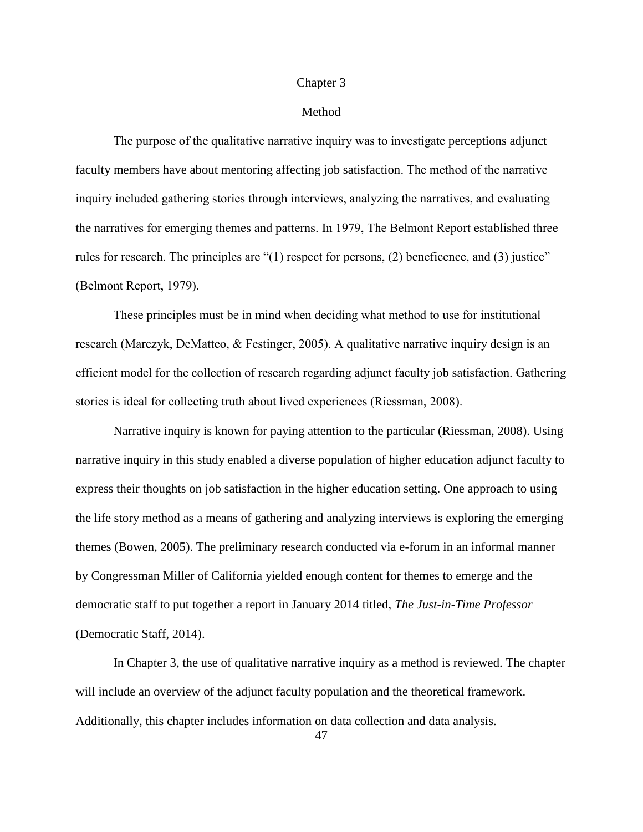#### Chapter 3

#### Method

The purpose of the qualitative narrative inquiry was to investigate perceptions adjunct faculty members have about mentoring affecting job satisfaction. The method of the narrative inquiry included gathering stories through interviews, analyzing the narratives, and evaluating the narratives for emerging themes and patterns. In 1979, The Belmont Report established three rules for research. The principles are "(1) respect for persons, (2) beneficence, and (3) justice" (Belmont Report, 1979).

These principles must be in mind when deciding what method to use for institutional research (Marczyk, DeMatteo, & Festinger, 2005). A qualitative narrative inquiry design is an efficient model for the collection of research regarding adjunct faculty job satisfaction. Gathering stories is ideal for collecting truth about lived experiences (Riessman, 2008).

Narrative inquiry is known for paying attention to the particular (Riessman, 2008). Using narrative inquiry in this study enabled a diverse population of higher education adjunct faculty to express their thoughts on job satisfaction in the higher education setting. One approach to using the life story method as a means of gathering and analyzing interviews is exploring the emerging themes (Bowen, 2005). The preliminary research conducted via e-forum in an informal manner by Congressman Miller of California yielded enough content for themes to emerge and the democratic staff to put together a report in January 2014 titled, *The Just-in-Time Professor* (Democratic Staff, 2014).

In Chapter 3, the use of qualitative narrative inquiry as a method is reviewed. The chapter will include an overview of the adjunct faculty population and the theoretical framework. Additionally, this chapter includes information on data collection and data analysis.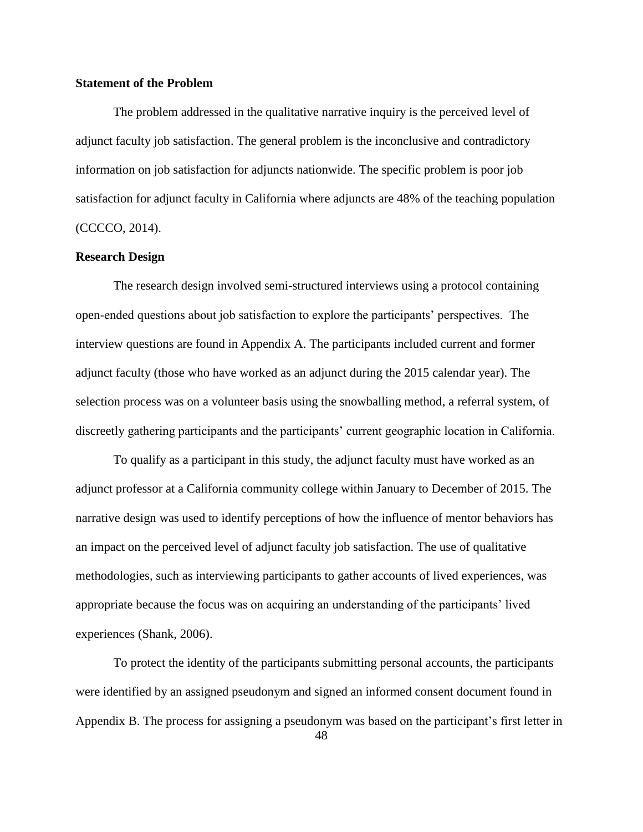## **Statement of the Problem**

The problem addressed in the qualitative narrative inquiry is the perceived level of adjunct faculty job satisfaction. The general problem is the inconclusive and contradictory information on job satisfaction for adjuncts nationwide. The specific problem is poor job satisfaction for adjunct faculty in California where adjuncts are 48% of the teaching population (CCCCO, 2014).

## **Research Design**

The research design involved semi-structured interviews using a protocol containing open-ended questions about job satisfaction to explore the participants' perspectives. The interview questions are found in Appendix A. The participants included current and former adjunct faculty (those who have worked as an adjunct during the 2015 calendar year). The selection process was on a volunteer basis using the snowballing method, a referral system, of discreetly gathering participants and the participants' current geographic location in California.

To qualify as a participant in this study, the adjunct faculty must have worked as an adjunct professor at a California community college within January to December of 2015. The narrative design was used to identify perceptions of how the influence of mentor behaviors has an impact on the perceived level of adjunct faculty job satisfaction. The use of qualitative methodologies, such as interviewing participants to gather accounts of lived experiences, was appropriate because the focus was on acquiring an understanding of the participants' lived experiences (Shank, 2006).

To protect the identity of the participants submitting personal accounts, the participants were identified by an assigned pseudonym and signed an informed consent document found in Appendix B. The process for assigning a pseudonym was based on the participant's first letter in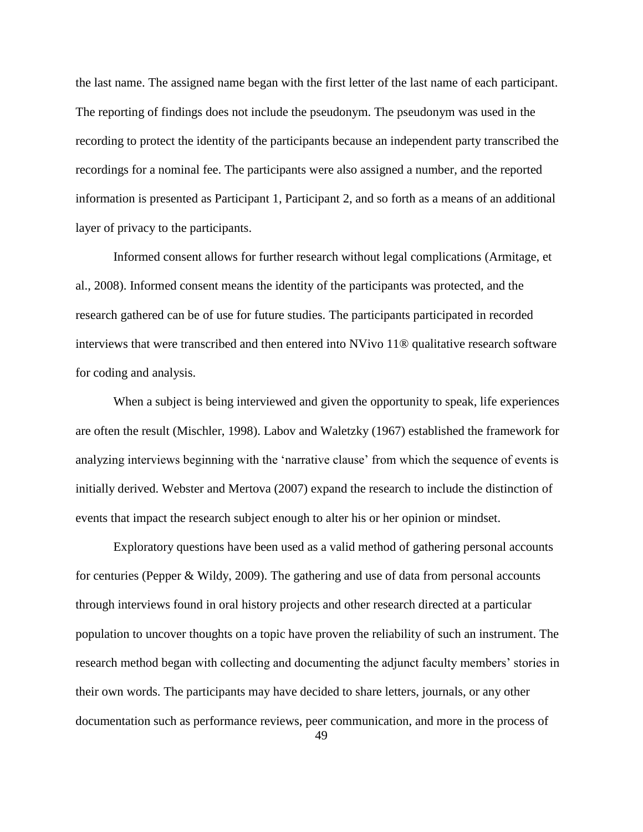the last name. The assigned name began with the first letter of the last name of each participant. The reporting of findings does not include the pseudonym. The pseudonym was used in the recording to protect the identity of the participants because an independent party transcribed the recordings for a nominal fee. The participants were also assigned a number, and the reported information is presented as Participant 1, Participant 2, and so forth as a means of an additional layer of privacy to the participants.

Informed consent allows for further research without legal complications (Armitage, et al., 2008). Informed consent means the identity of the participants was protected, and the research gathered can be of use for future studies. The participants participated in recorded interviews that were transcribed and then entered into NVivo 11® qualitative research software for coding and analysis.

When a subject is being interviewed and given the opportunity to speak, life experiences are often the result (Mischler, 1998). Labov and Waletzky (1967) established the framework for analyzing interviews beginning with the 'narrative clause' from which the sequence of events is initially derived. Webster and Mertova (2007) expand the research to include the distinction of events that impact the research subject enough to alter his or her opinion or mindset.

Exploratory questions have been used as a valid method of gathering personal accounts for centuries (Pepper & Wildy, 2009). The gathering and use of data from personal accounts through interviews found in oral history projects and other research directed at a particular population to uncover thoughts on a topic have proven the reliability of such an instrument. The research method began with collecting and documenting the adjunct faculty members' stories in their own words. The participants may have decided to share letters, journals, or any other documentation such as performance reviews, peer communication, and more in the process of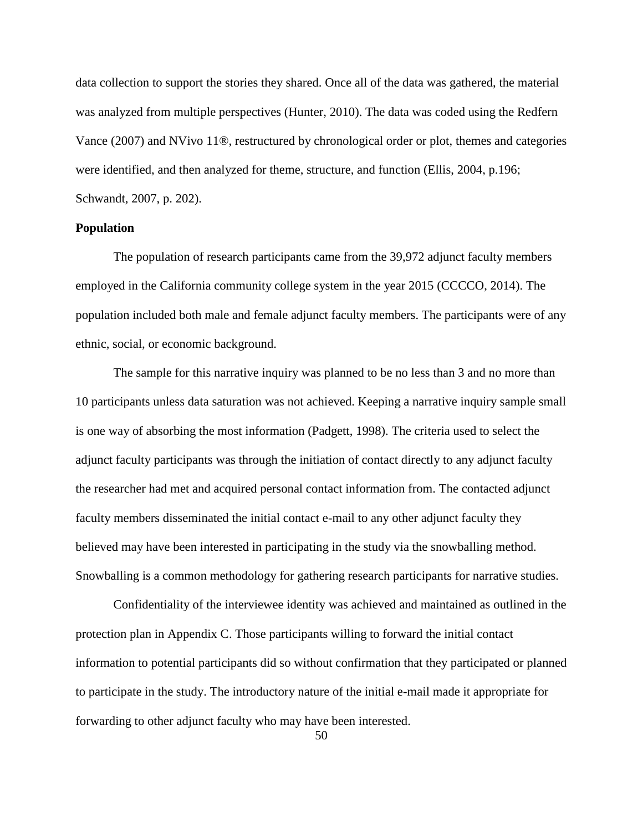data collection to support the stories they shared. Once all of the data was gathered, the material was analyzed from multiple perspectives (Hunter, 2010). The data was coded using the Redfern Vance (2007) and NVivo 11®, restructured by chronological order or plot, themes and categories were identified, and then analyzed for theme, structure, and function (Ellis, 2004, p.196; Schwandt, 2007, p. 202).

## **Population**

The population of research participants came from the 39,972 adjunct faculty members employed in the California community college system in the year 2015 (CCCCO, 2014). The population included both male and female adjunct faculty members. The participants were of any ethnic, social, or economic background.

The sample for this narrative inquiry was planned to be no less than 3 and no more than 10 participants unless data saturation was not achieved. Keeping a narrative inquiry sample small is one way of absorbing the most information (Padgett, 1998). The criteria used to select the adjunct faculty participants was through the initiation of contact directly to any adjunct faculty the researcher had met and acquired personal contact information from. The contacted adjunct faculty members disseminated the initial contact e-mail to any other adjunct faculty they believed may have been interested in participating in the study via the snowballing method. Snowballing is a common methodology for gathering research participants for narrative studies.

Confidentiality of the interviewee identity was achieved and maintained as outlined in the protection plan in Appendix C. Those participants willing to forward the initial contact information to potential participants did so without confirmation that they participated or planned to participate in the study. The introductory nature of the initial e-mail made it appropriate for forwarding to other adjunct faculty who may have been interested.

50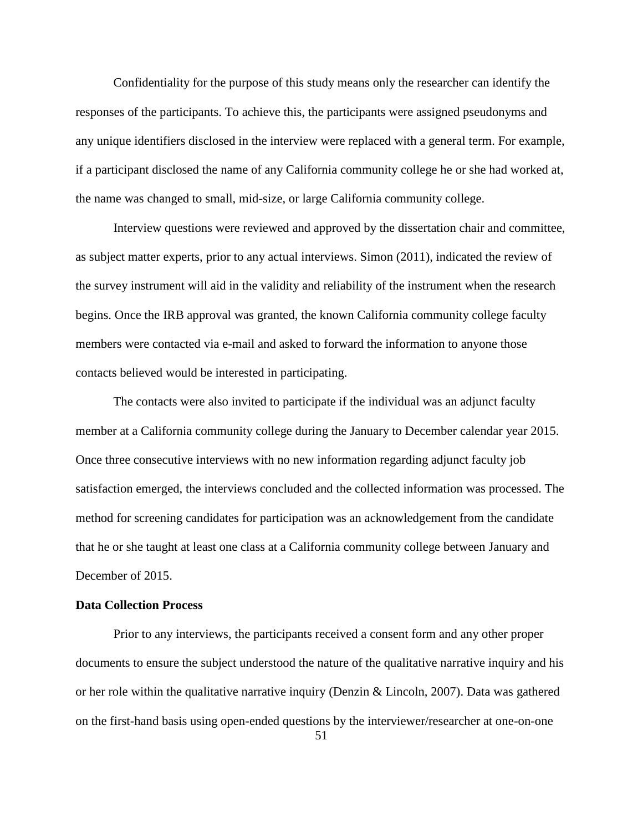Confidentiality for the purpose of this study means only the researcher can identify the responses of the participants. To achieve this, the participants were assigned pseudonyms and any unique identifiers disclosed in the interview were replaced with a general term. For example, if a participant disclosed the name of any California community college he or she had worked at, the name was changed to small, mid-size, or large California community college.

Interview questions were reviewed and approved by the dissertation chair and committee, as subject matter experts, prior to any actual interviews. Simon (2011), indicated the review of the survey instrument will aid in the validity and reliability of the instrument when the research begins. Once the IRB approval was granted, the known California community college faculty members were contacted via e-mail and asked to forward the information to anyone those contacts believed would be interested in participating.

The contacts were also invited to participate if the individual was an adjunct faculty member at a California community college during the January to December calendar year 2015. Once three consecutive interviews with no new information regarding adjunct faculty job satisfaction emerged, the interviews concluded and the collected information was processed. The method for screening candidates for participation was an acknowledgement from the candidate that he or she taught at least one class at a California community college between January and December of 2015.

#### **Data Collection Process**

Prior to any interviews, the participants received a consent form and any other proper documents to ensure the subject understood the nature of the qualitative narrative inquiry and his or her role within the qualitative narrative inquiry (Denzin & Lincoln, 2007). Data was gathered on the first-hand basis using open-ended questions by the interviewer/researcher at one-on-one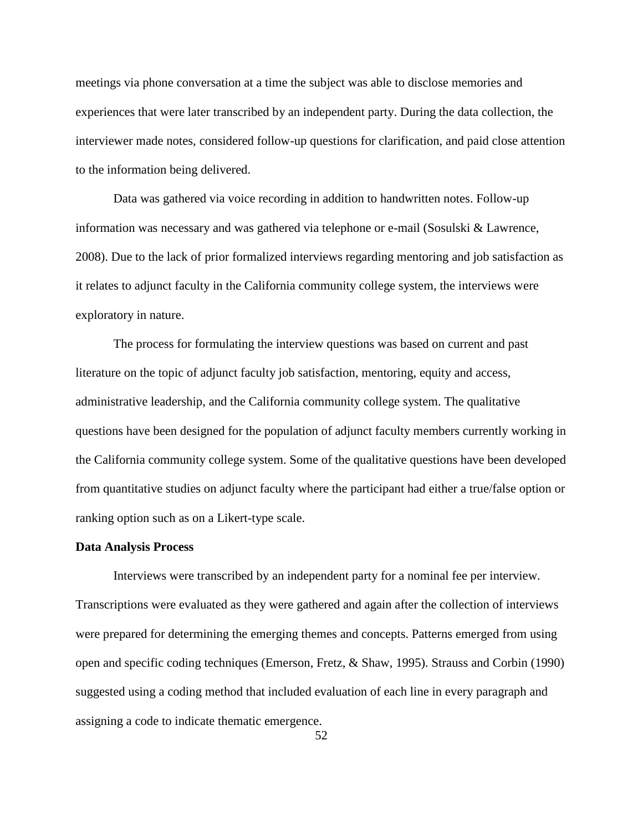meetings via phone conversation at a time the subject was able to disclose memories and experiences that were later transcribed by an independent party. During the data collection, the interviewer made notes, considered follow-up questions for clarification, and paid close attention to the information being delivered.

Data was gathered via voice recording in addition to handwritten notes. Follow-up information was necessary and was gathered via telephone or e-mail (Sosulski & Lawrence, 2008). Due to the lack of prior formalized interviews regarding mentoring and job satisfaction as it relates to adjunct faculty in the California community college system, the interviews were exploratory in nature.

The process for formulating the interview questions was based on current and past literature on the topic of adjunct faculty job satisfaction, mentoring, equity and access, administrative leadership, and the California community college system. The qualitative questions have been designed for the population of adjunct faculty members currently working in the California community college system. Some of the qualitative questions have been developed from quantitative studies on adjunct faculty where the participant had either a true/false option or ranking option such as on a Likert-type scale.

#### **Data Analysis Process**

Interviews were transcribed by an independent party for a nominal fee per interview. Transcriptions were evaluated as they were gathered and again after the collection of interviews were prepared for determining the emerging themes and concepts. Patterns emerged from using open and specific coding techniques (Emerson, Fretz, & Shaw, 1995). Strauss and Corbin (1990) suggested using a coding method that included evaluation of each line in every paragraph and assigning a code to indicate thematic emergence.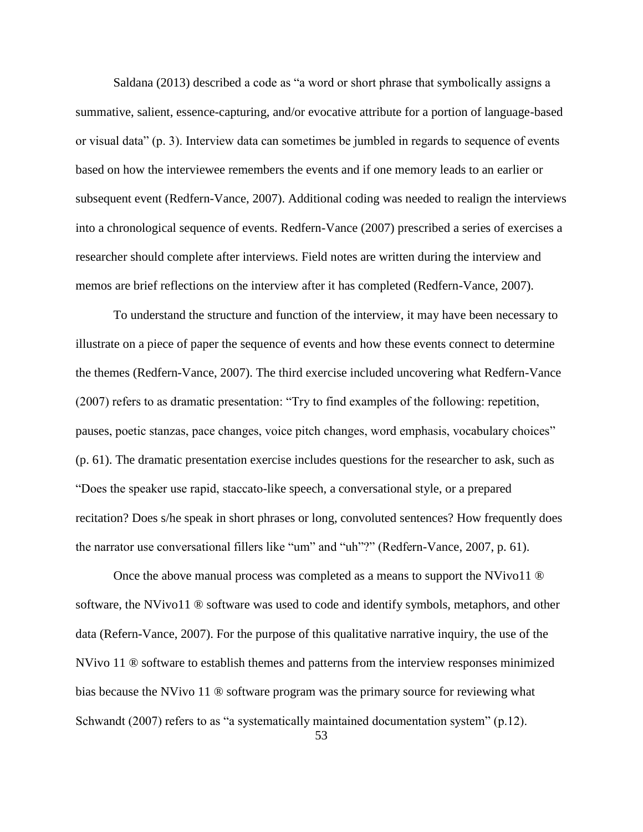Saldana (2013) described a code as "a word or short phrase that symbolically assigns a summative, salient, essence-capturing, and/or evocative attribute for a portion of language-based or visual data" (p. 3). Interview data can sometimes be jumbled in regards to sequence of events based on how the interviewee remembers the events and if one memory leads to an earlier or subsequent event (Redfern-Vance, 2007). Additional coding was needed to realign the interviews into a chronological sequence of events. Redfern-Vance (2007) prescribed a series of exercises a researcher should complete after interviews. Field notes are written during the interview and memos are brief reflections on the interview after it has completed (Redfern-Vance, 2007).

To understand the structure and function of the interview, it may have been necessary to illustrate on a piece of paper the sequence of events and how these events connect to determine the themes (Redfern-Vance, 2007). The third exercise included uncovering what Redfern-Vance (2007) refers to as dramatic presentation: "Try to find examples of the following: repetition, pauses, poetic stanzas, pace changes, voice pitch changes, word emphasis, vocabulary choices" (p. 61). The dramatic presentation exercise includes questions for the researcher to ask, such as "Does the speaker use rapid, staccato-like speech, a conversational style, or a prepared recitation? Does s/he speak in short phrases or long, convoluted sentences? How frequently does the narrator use conversational fillers like "um" and "uh"?" (Redfern-Vance, 2007, p. 61).

Once the above manual process was completed as a means to support the NVivo11 ® software, the NVivo11 ® software was used to code and identify symbols, metaphors, and other data (Refern-Vance, 2007). For the purpose of this qualitative narrative inquiry, the use of the NVivo 11 ® software to establish themes and patterns from the interview responses minimized bias because the NVivo 11 ® software program was the primary source for reviewing what Schwandt (2007) refers to as "a systematically maintained documentation system" (p.12).

53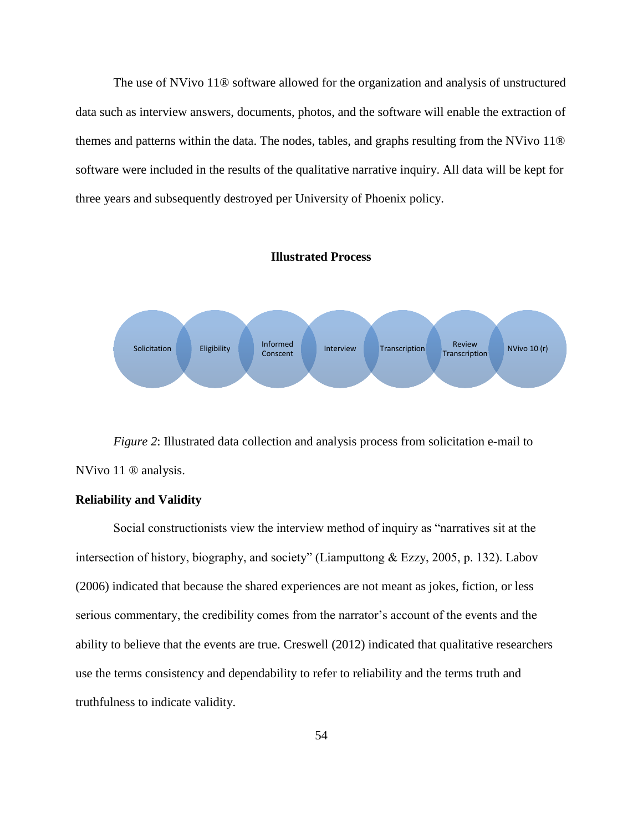The use of NVivo 11® software allowed for the organization and analysis of unstructured data such as interview answers, documents, photos, and the software will enable the extraction of themes and patterns within the data. The nodes, tables, and graphs resulting from the NVivo 11® software were included in the results of the qualitative narrative inquiry. All data will be kept for three years and subsequently destroyed per University of Phoenix policy.

#### **Illustrated Process**



*Figure 2*: Illustrated data collection and analysis process from solicitation e-mail to NVivo 11 ® analysis.

#### **Reliability and Validity**

Social constructionists view the interview method of inquiry as "narratives sit at the intersection of history, biography, and society" (Liamputtong & Ezzy, 2005, p. 132). Labov (2006) indicated that because the shared experiences are not meant as jokes, fiction, or less serious commentary, the credibility comes from the narrator's account of the events and the ability to believe that the events are true. Creswell (2012) indicated that qualitative researchers use the terms consistency and dependability to refer to reliability and the terms truth and truthfulness to indicate validity.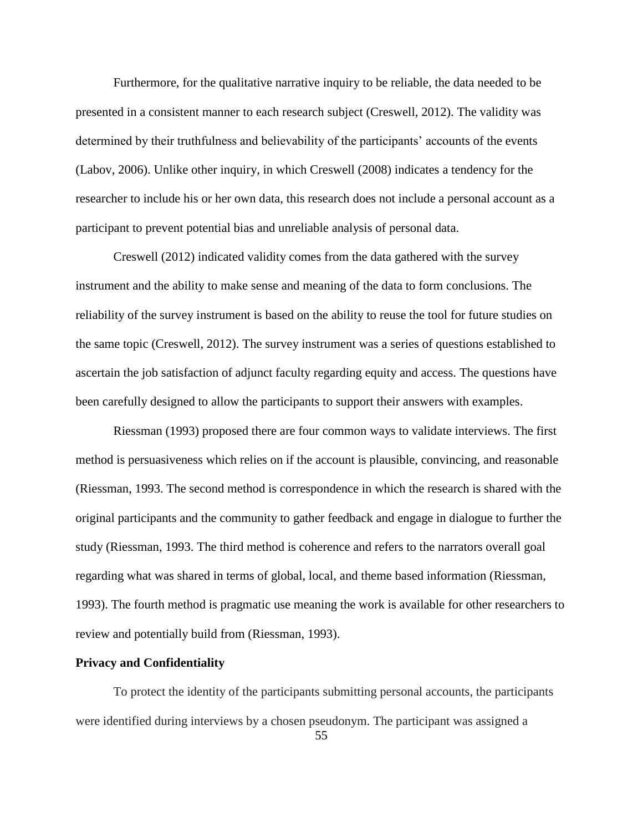Furthermore, for the qualitative narrative inquiry to be reliable, the data needed to be presented in a consistent manner to each research subject (Creswell, 2012). The validity was determined by their truthfulness and believability of the participants' accounts of the events (Labov, 2006). Unlike other inquiry, in which Creswell (2008) indicates a tendency for the researcher to include his or her own data, this research does not include a personal account as a participant to prevent potential bias and unreliable analysis of personal data.

Creswell (2012) indicated validity comes from the data gathered with the survey instrument and the ability to make sense and meaning of the data to form conclusions. The reliability of the survey instrument is based on the ability to reuse the tool for future studies on the same topic (Creswell, 2012). The survey instrument was a series of questions established to ascertain the job satisfaction of adjunct faculty regarding equity and access. The questions have been carefully designed to allow the participants to support their answers with examples.

Riessman (1993) proposed there are four common ways to validate interviews. The first method is persuasiveness which relies on if the account is plausible, convincing, and reasonable (Riessman, 1993. The second method is correspondence in which the research is shared with the original participants and the community to gather feedback and engage in dialogue to further the study (Riessman, 1993. The third method is coherence and refers to the narrators overall goal regarding what was shared in terms of global, local, and theme based information (Riessman, 1993). The fourth method is pragmatic use meaning the work is available for other researchers to review and potentially build from (Riessman, 1993).

## **Privacy and Confidentiality**

To protect the identity of the participants submitting personal accounts, the participants were identified during interviews by a chosen pseudonym. The participant was assigned a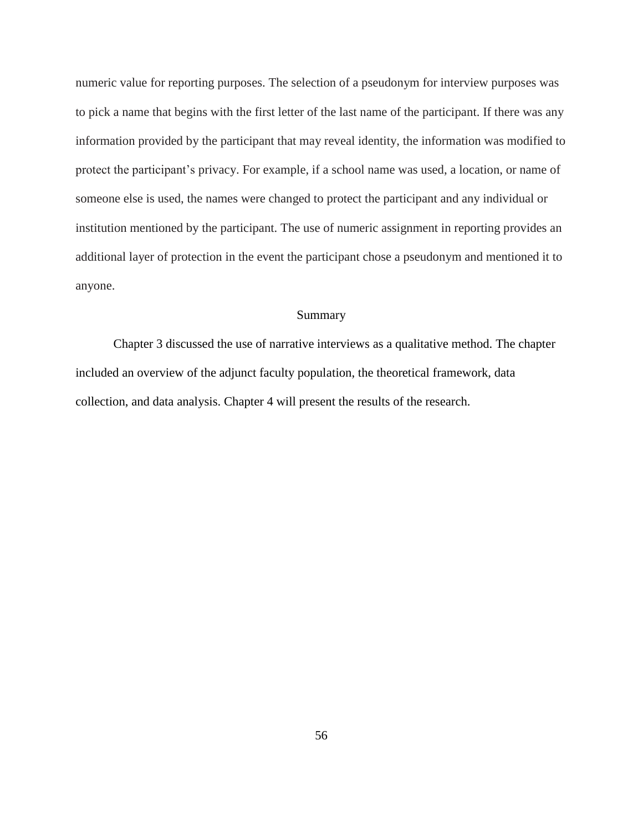numeric value for reporting purposes. The selection of a pseudonym for interview purposes was to pick a name that begins with the first letter of the last name of the participant. If there was any information provided by the participant that may reveal identity, the information was modified to protect the participant's privacy. For example, if a school name was used, a location, or name of someone else is used, the names were changed to protect the participant and any individual or institution mentioned by the participant. The use of numeric assignment in reporting provides an additional layer of protection in the event the participant chose a pseudonym and mentioned it to anyone.

## Summary

Chapter 3 discussed the use of narrative interviews as a qualitative method. The chapter included an overview of the adjunct faculty population, the theoretical framework, data collection, and data analysis. Chapter 4 will present the results of the research.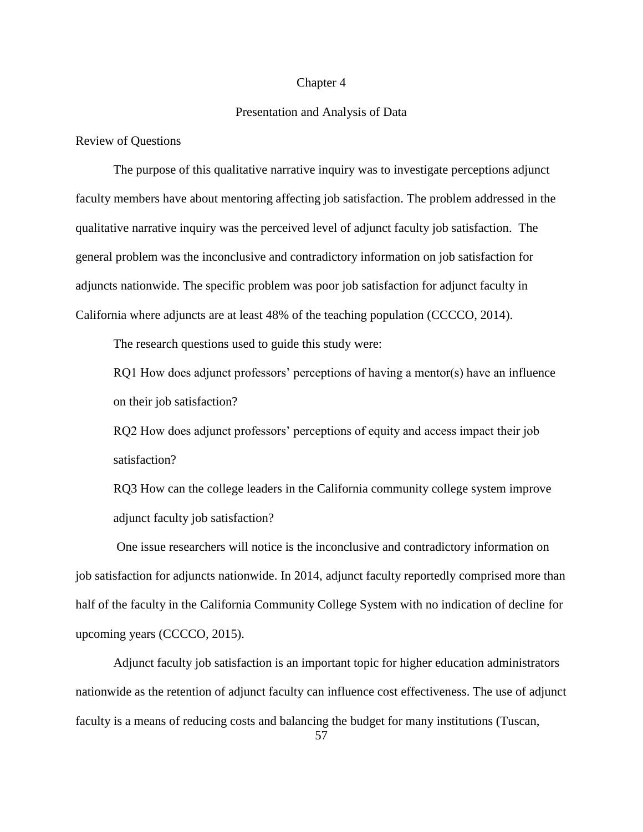#### Chapter 4

## Presentation and Analysis of Data

Review of Questions

The purpose of this qualitative narrative inquiry was to investigate perceptions adjunct faculty members have about mentoring affecting job satisfaction. The problem addressed in the qualitative narrative inquiry was the perceived level of adjunct faculty job satisfaction. The general problem was the inconclusive and contradictory information on job satisfaction for adjuncts nationwide. The specific problem was poor job satisfaction for adjunct faculty in California where adjuncts are at least 48% of the teaching population (CCCCO, 2014).

The research questions used to guide this study were:

RQ1 How does adjunct professors' perceptions of having a mentor(s) have an influence on their job satisfaction?

RQ2 How does adjunct professors' perceptions of equity and access impact their job satisfaction?

RQ3 How can the college leaders in the California community college system improve adjunct faculty job satisfaction?

One issue researchers will notice is the inconclusive and contradictory information on job satisfaction for adjuncts nationwide. In 2014, adjunct faculty reportedly comprised more than half of the faculty in the California Community College System with no indication of decline for upcoming years (CCCCO, 2015).

Adjunct faculty job satisfaction is an important topic for higher education administrators nationwide as the retention of adjunct faculty can influence cost effectiveness. The use of adjunct faculty is a means of reducing costs and balancing the budget for many institutions (Tuscan,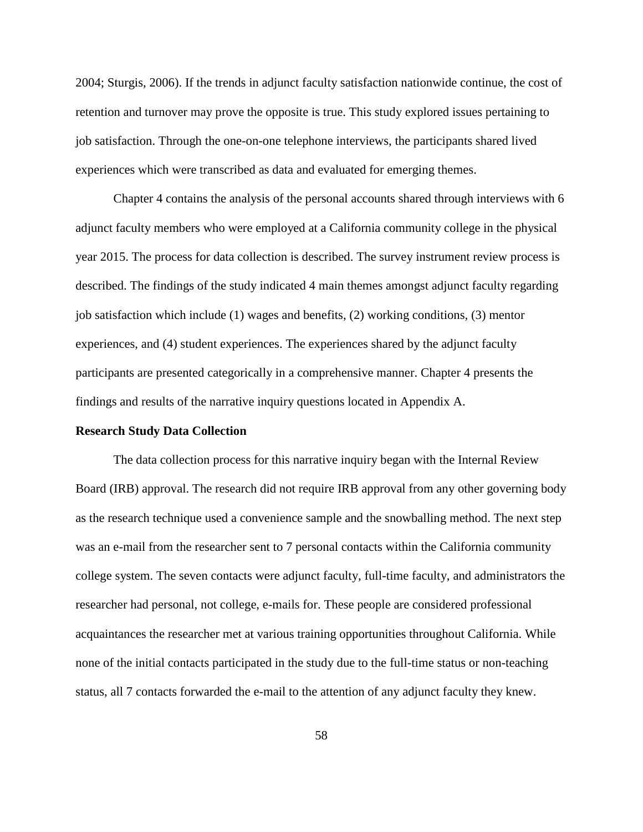2004; Sturgis, 2006). If the trends in adjunct faculty satisfaction nationwide continue, the cost of retention and turnover may prove the opposite is true. This study explored issues pertaining to job satisfaction. Through the one-on-one telephone interviews, the participants shared lived experiences which were transcribed as data and evaluated for emerging themes.

Chapter 4 contains the analysis of the personal accounts shared through interviews with 6 adjunct faculty members who were employed at a California community college in the physical year 2015. The process for data collection is described. The survey instrument review process is described. The findings of the study indicated 4 main themes amongst adjunct faculty regarding job satisfaction which include (1) wages and benefits, (2) working conditions, (3) mentor experiences, and (4) student experiences. The experiences shared by the adjunct faculty participants are presented categorically in a comprehensive manner. Chapter 4 presents the findings and results of the narrative inquiry questions located in Appendix A.

#### **Research Study Data Collection**

The data collection process for this narrative inquiry began with the Internal Review Board (IRB) approval. The research did not require IRB approval from any other governing body as the research technique used a convenience sample and the snowballing method. The next step was an e-mail from the researcher sent to 7 personal contacts within the California community college system. The seven contacts were adjunct faculty, full-time faculty, and administrators the researcher had personal, not college, e-mails for. These people are considered professional acquaintances the researcher met at various training opportunities throughout California. While none of the initial contacts participated in the study due to the full-time status or non-teaching status, all 7 contacts forwarded the e-mail to the attention of any adjunct faculty they knew.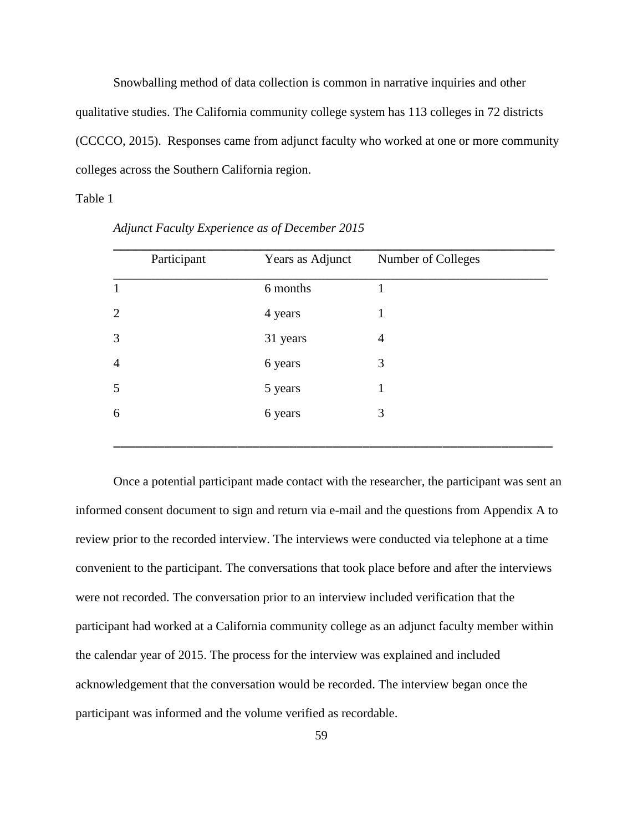Snowballing method of data collection is common in narrative inquiries and other qualitative studies. The California community college system has 113 colleges in 72 districts (CCCCO, 2015). Responses came from adjunct faculty who worked at one or more community colleges across the Southern California region.

## Table 1

| Participant    | Years as Adjunct | Number of Colleges |
|----------------|------------------|--------------------|
| $\mathbf{1}$   | 6 months         |                    |
| $\overline{2}$ | 4 years          | 1                  |
| 3              | 31 years         | $\overline{4}$     |
| $\overline{4}$ | 6 years          | 3                  |
| 5              | 5 years          | 1                  |
| 6              | 6 years          | 3                  |
|                |                  |                    |

*Adjunct Faculty Experience as of December 2015*

Once a potential participant made contact with the researcher, the participant was sent an informed consent document to sign and return via e-mail and the questions from Appendix A to review prior to the recorded interview. The interviews were conducted via telephone at a time convenient to the participant. The conversations that took place before and after the interviews were not recorded. The conversation prior to an interview included verification that the participant had worked at a California community college as an adjunct faculty member within the calendar year of 2015. The process for the interview was explained and included acknowledgement that the conversation would be recorded. The interview began once the participant was informed and the volume verified as recordable.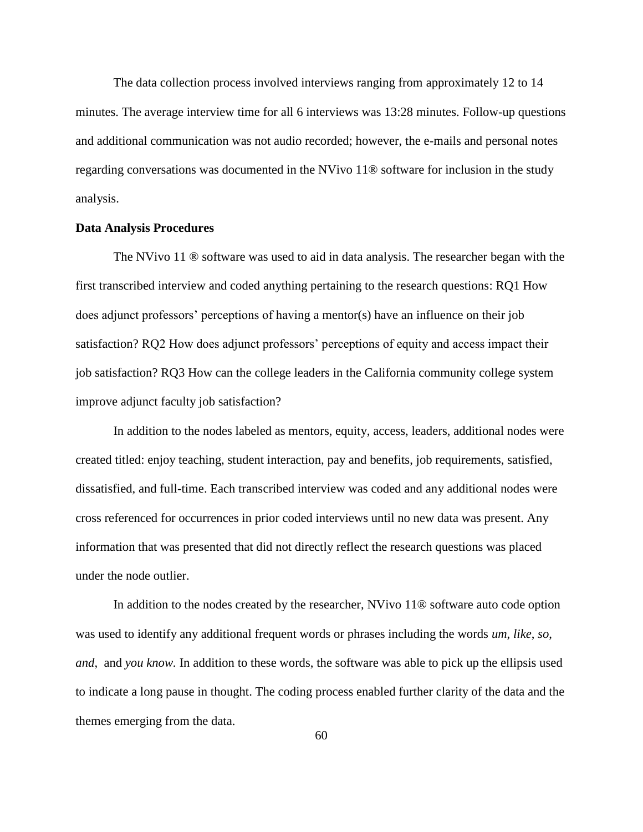The data collection process involved interviews ranging from approximately 12 to 14 minutes. The average interview time for all 6 interviews was 13:28 minutes. Follow-up questions and additional communication was not audio recorded; however, the e-mails and personal notes regarding conversations was documented in the NVivo 11® software for inclusion in the study analysis.

#### **Data Analysis Procedures**

The NVivo 11 ® software was used to aid in data analysis. The researcher began with the first transcribed interview and coded anything pertaining to the research questions: RQ1 How does adjunct professors' perceptions of having a mentor(s) have an influence on their job satisfaction? RQ2 How does adjunct professors' perceptions of equity and access impact their job satisfaction? RQ3 How can the college leaders in the California community college system improve adjunct faculty job satisfaction?

In addition to the nodes labeled as mentors, equity, access, leaders, additional nodes were created titled: enjoy teaching, student interaction, pay and benefits, job requirements, satisfied, dissatisfied, and full-time. Each transcribed interview was coded and any additional nodes were cross referenced for occurrences in prior coded interviews until no new data was present. Any information that was presented that did not directly reflect the research questions was placed under the node outlier.

In addition to the nodes created by the researcher, NVivo 11® software auto code option was used to identify any additional frequent words or phrases including the words *um*, *like*, *so*, *and*, and *you know.* In addition to these words, the software was able to pick up the ellipsis used to indicate a long pause in thought. The coding process enabled further clarity of the data and the themes emerging from the data.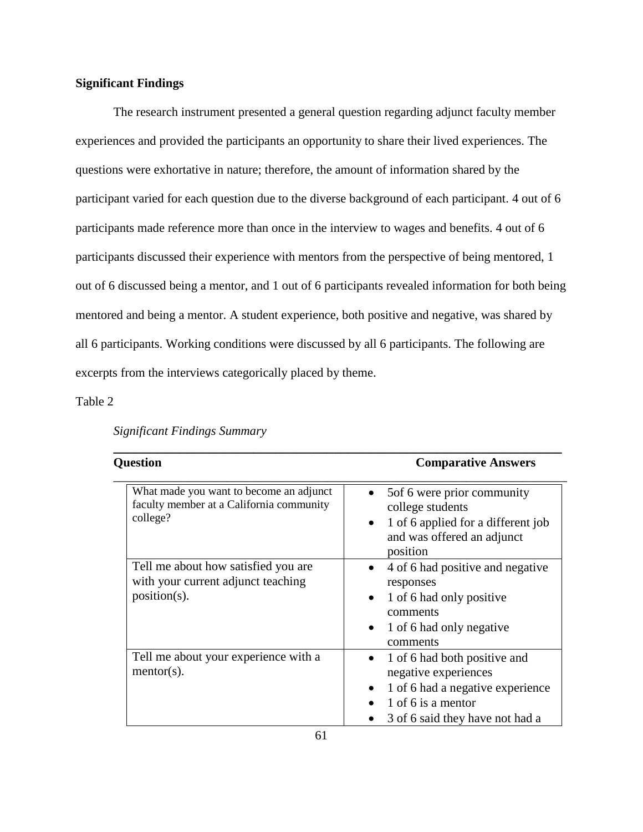# **Significant Findings**

The research instrument presented a general question regarding adjunct faculty member experiences and provided the participants an opportunity to share their lived experiences. The questions were exhortative in nature; therefore, the amount of information shared by the participant varied for each question due to the diverse background of each participant. 4 out of 6 participants made reference more than once in the interview to wages and benefits. 4 out of 6 participants discussed their experience with mentors from the perspective of being mentored, 1 out of 6 discussed being a mentor, and 1 out of 6 participants revealed information for both being mentored and being a mentor. A student experience, both positive and negative, was shared by all 6 participants. Working conditions were discussed by all 6 participants. The following are excerpts from the interviews categorically placed by theme.

Table 2

| <b>Significant Findings Summary</b> |  |
|-------------------------------------|--|
|                                     |  |

| <b>Ouestion</b>                                                                                 | <b>Comparative Answers</b>                                                                                                                                                  |  |
|-------------------------------------------------------------------------------------------------|-----------------------------------------------------------------------------------------------------------------------------------------------------------------------------|--|
| What made you want to become an adjunct<br>faculty member at a California community<br>college? | 5 of 6 were prior community<br>college students<br>1 of 6 applied for a different job<br>$\bullet$<br>and was offered an adjunct<br>position                                |  |
| Tell me about how satisfied you are<br>with your current adjunct teaching<br>$position(s)$ .    | 4 of 6 had positive and negative<br>$\bullet$<br>responses<br>1 of 6 had only positive<br>$\bullet$<br>comments<br>1 of 6 had only negative<br>$\bullet$<br>comments        |  |
| Tell me about your experience with a<br>$mentor(s)$ .                                           | 1 of 6 had both positive and<br>$\bullet$<br>negative experiences<br>1 of 6 had a negative experience<br>$\bullet$<br>1 of 6 is a mentor<br>3 of 6 said they have not had a |  |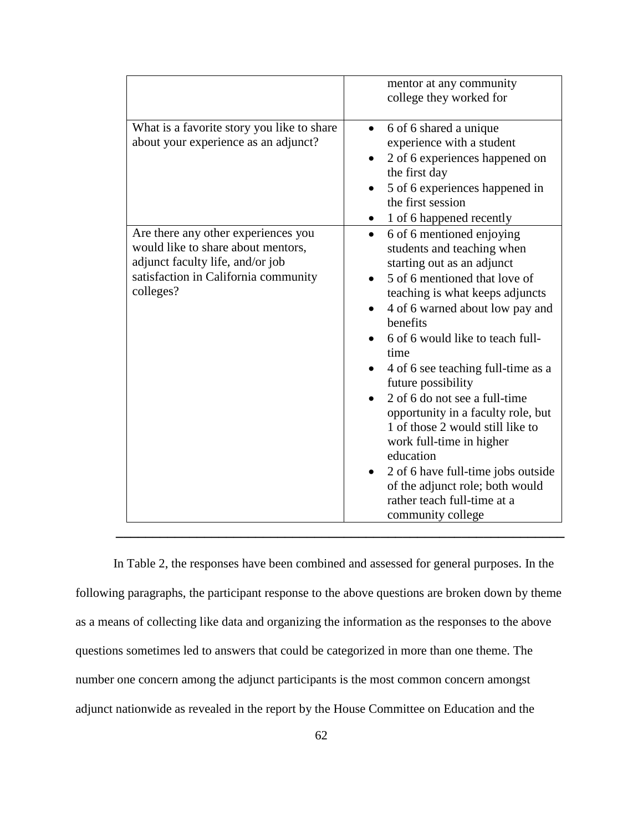|                                                                                                                                                                    | mentor at any community<br>college they worked for                                                                                                                                                                                                                                                                                                                                                                                                                                                                                                                                                             |
|--------------------------------------------------------------------------------------------------------------------------------------------------------------------|----------------------------------------------------------------------------------------------------------------------------------------------------------------------------------------------------------------------------------------------------------------------------------------------------------------------------------------------------------------------------------------------------------------------------------------------------------------------------------------------------------------------------------------------------------------------------------------------------------------|
| What is a favorite story you like to share<br>about your experience as an adjunct?                                                                                 | 6 of 6 shared a unique<br>$\bullet$<br>experience with a student<br>2 of 6 experiences happened on<br>the first day<br>5 of 6 experiences happened in<br>the first session<br>1 of 6 happened recently                                                                                                                                                                                                                                                                                                                                                                                                         |
| Are there any other experiences you<br>would like to share about mentors,<br>adjunct faculty life, and/or job<br>satisfaction in California community<br>colleges? | 6 of 6 mentioned enjoying<br>$\bullet$<br>students and teaching when<br>starting out as an adjunct<br>5 of 6 mentioned that love of<br>teaching is what keeps adjuncts<br>4 of 6 warned about low pay and<br>benefits<br>6 of 6 would like to teach full-<br>time<br>4 of 6 see teaching full-time as a<br>future possibility<br>2 of 6 do not see a full-time<br>opportunity in a faculty role, but<br>1 of those 2 would still like to<br>work full-time in higher<br>education<br>2 of 6 have full-time jobs outside<br>of the adjunct role; both would<br>rather teach full-time at a<br>community college |

In Table 2, the responses have been combined and assessed for general purposes. In the following paragraphs, the participant response to the above questions are broken down by theme as a means of collecting like data and organizing the information as the responses to the above questions sometimes led to answers that could be categorized in more than one theme. The number one concern among the adjunct participants is the most common concern amongst adjunct nationwide as revealed in the report by the House Committee on Education and the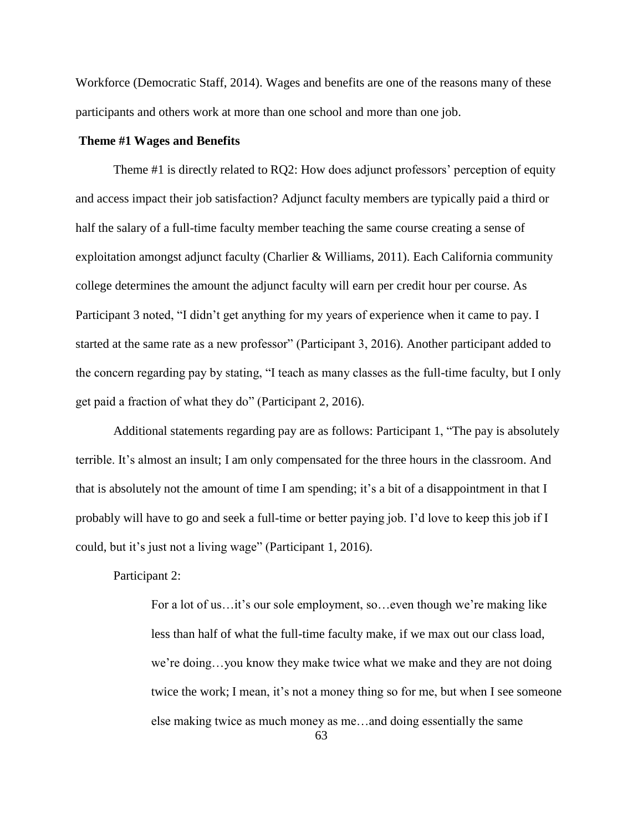Workforce (Democratic Staff, 2014). Wages and benefits are one of the reasons many of these participants and others work at more than one school and more than one job.

## **Theme #1 Wages and Benefits**

Theme #1 is directly related to RQ2: How does adjunct professors' perception of equity and access impact their job satisfaction? Adjunct faculty members are typically paid a third or half the salary of a full-time faculty member teaching the same course creating a sense of exploitation amongst adjunct faculty (Charlier & Williams, 2011). Each California community college determines the amount the adjunct faculty will earn per credit hour per course. As Participant 3 noted, "I didn't get anything for my years of experience when it came to pay. I started at the same rate as a new professor" (Participant 3, 2016). Another participant added to the concern regarding pay by stating, "I teach as many classes as the full-time faculty, but I only get paid a fraction of what they do" (Participant 2, 2016).

Additional statements regarding pay are as follows: Participant 1, "The pay is absolutely terrible. It's almost an insult; I am only compensated for the three hours in the classroom. And that is absolutely not the amount of time I am spending; it's a bit of a disappointment in that I probably will have to go and seek a full-time or better paying job. I'd love to keep this job if I could, but it's just not a living wage" (Participant 1, 2016).

# Participant 2:

For a lot of us…it's our sole employment, so…even though we're making like less than half of what the full-time faculty make, if we max out our class load, we're doing…you know they make twice what we make and they are not doing twice the work; I mean, it's not a money thing so for me, but when I see someone else making twice as much money as me…and doing essentially the same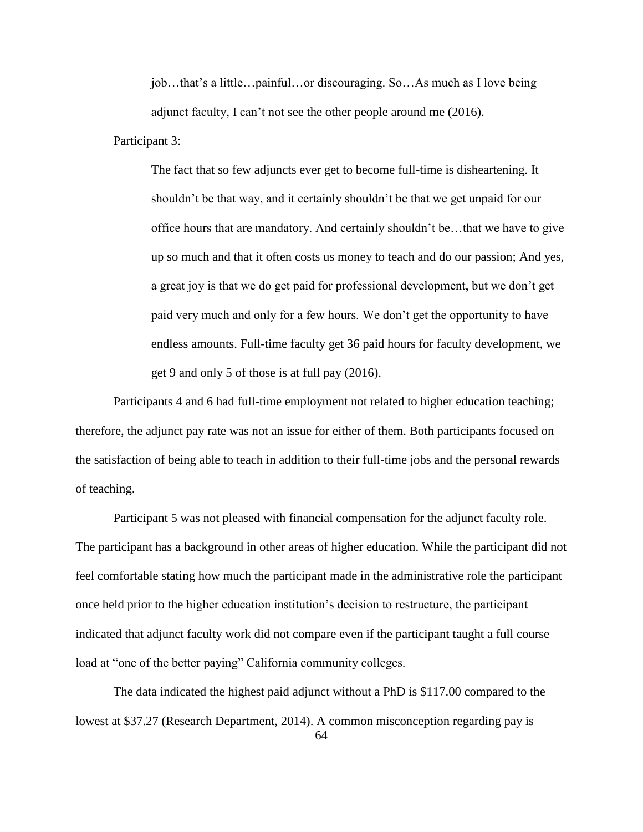job…that's a little…painful…or discouraging. So…As much as I love being adjunct faculty, I can't not see the other people around me (2016).

Participant 3:

The fact that so few adjuncts ever get to become full-time is disheartening. It shouldn't be that way, and it certainly shouldn't be that we get unpaid for our office hours that are mandatory. And certainly shouldn't be…that we have to give up so much and that it often costs us money to teach and do our passion; And yes, a great joy is that we do get paid for professional development, but we don't get paid very much and only for a few hours. We don't get the opportunity to have endless amounts. Full-time faculty get 36 paid hours for faculty development, we get 9 and only 5 of those is at full pay (2016).

Participants 4 and 6 had full-time employment not related to higher education teaching; therefore, the adjunct pay rate was not an issue for either of them. Both participants focused on the satisfaction of being able to teach in addition to their full-time jobs and the personal rewards of teaching.

Participant 5 was not pleased with financial compensation for the adjunct faculty role. The participant has a background in other areas of higher education. While the participant did not feel comfortable stating how much the participant made in the administrative role the participant once held prior to the higher education institution's decision to restructure, the participant indicated that adjunct faculty work did not compare even if the participant taught a full course load at "one of the better paying" California community colleges.

The data indicated the highest paid adjunct without a PhD is \$117.00 compared to the lowest at \$37.27 (Research Department, 2014). A common misconception regarding pay is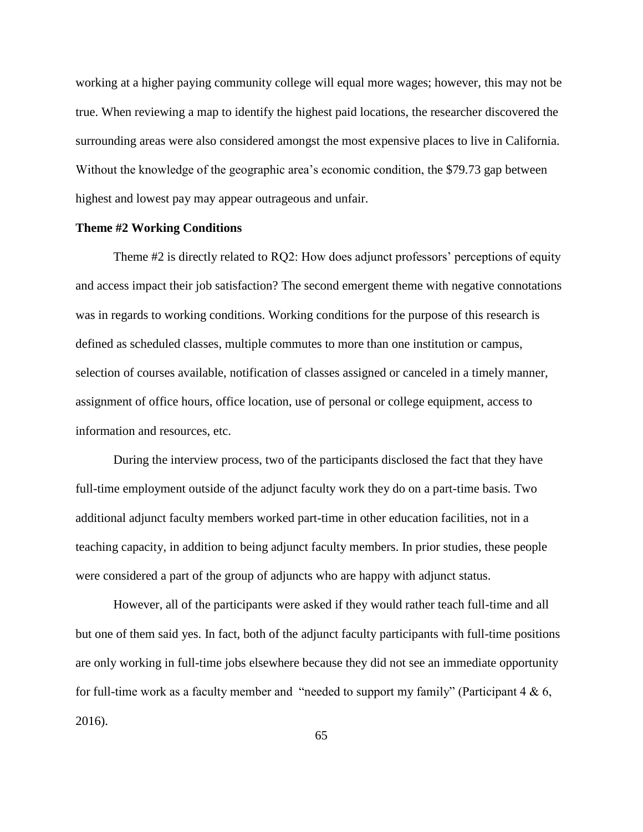working at a higher paying community college will equal more wages; however, this may not be true. When reviewing a map to identify the highest paid locations, the researcher discovered the surrounding areas were also considered amongst the most expensive places to live in California. Without the knowledge of the geographic area's economic condition, the \$79.73 gap between highest and lowest pay may appear outrageous and unfair.

## **Theme #2 Working Conditions**

Theme #2 is directly related to RQ2: How does adjunct professors' perceptions of equity and access impact their job satisfaction? The second emergent theme with negative connotations was in regards to working conditions. Working conditions for the purpose of this research is defined as scheduled classes, multiple commutes to more than one institution or campus, selection of courses available, notification of classes assigned or canceled in a timely manner, assignment of office hours, office location, use of personal or college equipment, access to information and resources, etc.

During the interview process, two of the participants disclosed the fact that they have full-time employment outside of the adjunct faculty work they do on a part-time basis. Two additional adjunct faculty members worked part-time in other education facilities, not in a teaching capacity, in addition to being adjunct faculty members. In prior studies, these people were considered a part of the group of adjuncts who are happy with adjunct status.

However, all of the participants were asked if they would rather teach full-time and all but one of them said yes. In fact, both of the adjunct faculty participants with full-time positions are only working in full-time jobs elsewhere because they did not see an immediate opportunity for full-time work as a faculty member and "needed to support my family" (Participant  $4 \& 6$ , 2016).

65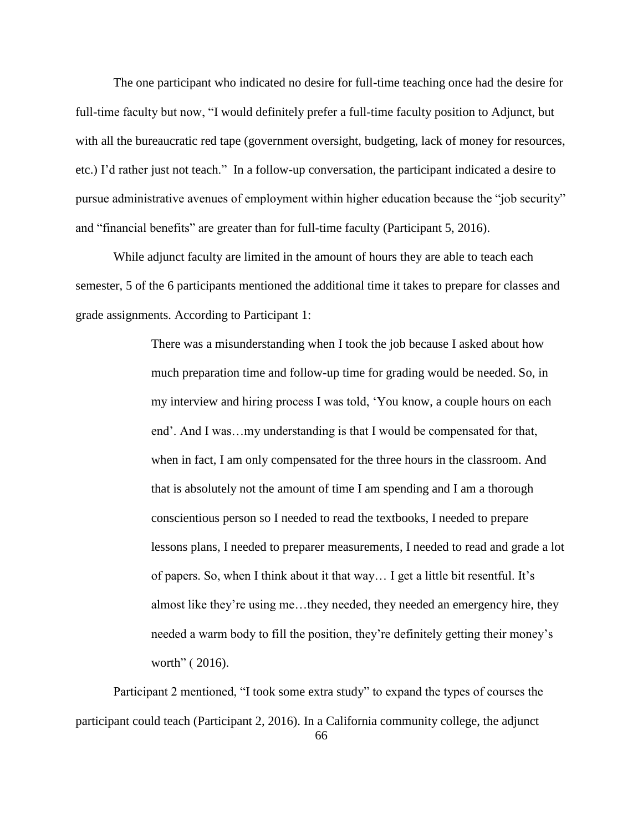The one participant who indicated no desire for full-time teaching once had the desire for full-time faculty but now, "I would definitely prefer a full-time faculty position to Adjunct, but with all the bureaucratic red tape (government oversight, budgeting, lack of money for resources, etc.) I'd rather just not teach." In a follow-up conversation, the participant indicated a desire to pursue administrative avenues of employment within higher education because the "job security" and "financial benefits" are greater than for full-time faculty (Participant 5, 2016).

While adjunct faculty are limited in the amount of hours they are able to teach each semester, 5 of the 6 participants mentioned the additional time it takes to prepare for classes and grade assignments. According to Participant 1:

> There was a misunderstanding when I took the job because I asked about how much preparation time and follow-up time for grading would be needed. So, in my interview and hiring process I was told, 'You know, a couple hours on each end'. And I was…my understanding is that I would be compensated for that, when in fact, I am only compensated for the three hours in the classroom. And that is absolutely not the amount of time I am spending and I am a thorough conscientious person so I needed to read the textbooks, I needed to prepare lessons plans, I needed to preparer measurements, I needed to read and grade a lot of papers. So, when I think about it that way… I get a little bit resentful. It's almost like they're using me…they needed, they needed an emergency hire, they needed a warm body to fill the position, they're definitely getting their money's worth" ( 2016).

Participant 2 mentioned, "I took some extra study" to expand the types of courses the participant could teach (Participant 2, 2016). In a California community college, the adjunct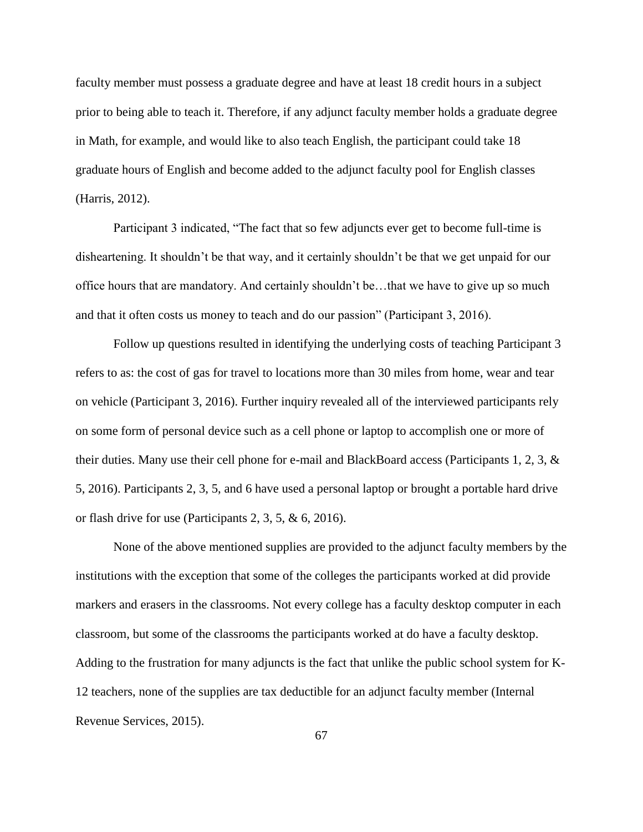faculty member must possess a graduate degree and have at least 18 credit hours in a subject prior to being able to teach it. Therefore, if any adjunct faculty member holds a graduate degree in Math, for example, and would like to also teach English, the participant could take 18 graduate hours of English and become added to the adjunct faculty pool for English classes (Harris, 2012).

Participant 3 indicated, "The fact that so few adjuncts ever get to become full-time is disheartening. It shouldn't be that way, and it certainly shouldn't be that we get unpaid for our office hours that are mandatory. And certainly shouldn't be…that we have to give up so much and that it often costs us money to teach and do our passion" (Participant 3, 2016).

Follow up questions resulted in identifying the underlying costs of teaching Participant 3 refers to as: the cost of gas for travel to locations more than 30 miles from home, wear and tear on vehicle (Participant 3, 2016). Further inquiry revealed all of the interviewed participants rely on some form of personal device such as a cell phone or laptop to accomplish one or more of their duties. Many use their cell phone for e-mail and BlackBoard access (Participants 1, 2, 3, & 5, 2016). Participants 2, 3, 5, and 6 have used a personal laptop or brought a portable hard drive or flash drive for use (Participants 2, 3, 5, & 6, 2016).

None of the above mentioned supplies are provided to the adjunct faculty members by the institutions with the exception that some of the colleges the participants worked at did provide markers and erasers in the classrooms. Not every college has a faculty desktop computer in each classroom, but some of the classrooms the participants worked at do have a faculty desktop. Adding to the frustration for many adjuncts is the fact that unlike the public school system for K-12 teachers, none of the supplies are tax deductible for an adjunct faculty member (Internal Revenue Services, 2015).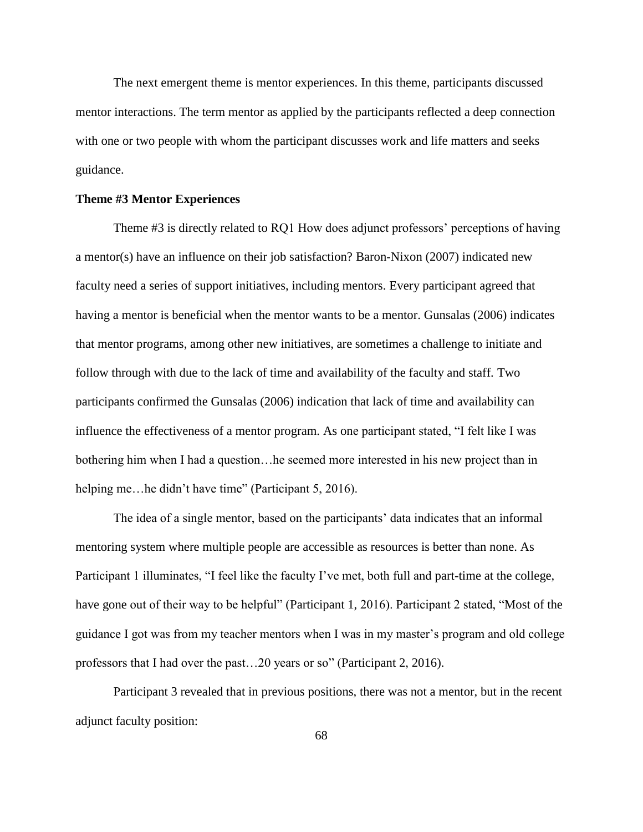The next emergent theme is mentor experiences. In this theme, participants discussed mentor interactions. The term mentor as applied by the participants reflected a deep connection with one or two people with whom the participant discusses work and life matters and seeks guidance.

# **Theme #3 Mentor Experiences**

Theme #3 is directly related to RQ1 How does adjunct professors' perceptions of having a mentor(s) have an influence on their job satisfaction? Baron-Nixon (2007) indicated new faculty need a series of support initiatives, including mentors. Every participant agreed that having a mentor is beneficial when the mentor wants to be a mentor. Gunsalas (2006) indicates that mentor programs, among other new initiatives, are sometimes a challenge to initiate and follow through with due to the lack of time and availability of the faculty and staff. Two participants confirmed the Gunsalas (2006) indication that lack of time and availability can influence the effectiveness of a mentor program. As one participant stated, "I felt like I was bothering him when I had a question…he seemed more interested in his new project than in helping me...he didn't have time" (Participant 5, 2016).

The idea of a single mentor, based on the participants' data indicates that an informal mentoring system where multiple people are accessible as resources is better than none. As Participant 1 illuminates, "I feel like the faculty I've met, both full and part-time at the college, have gone out of their way to be helpful" (Participant 1, 2016). Participant 2 stated, "Most of the guidance I got was from my teacher mentors when I was in my master's program and old college professors that I had over the past…20 years or so" (Participant 2, 2016).

Participant 3 revealed that in previous positions, there was not a mentor, but in the recent adjunct faculty position: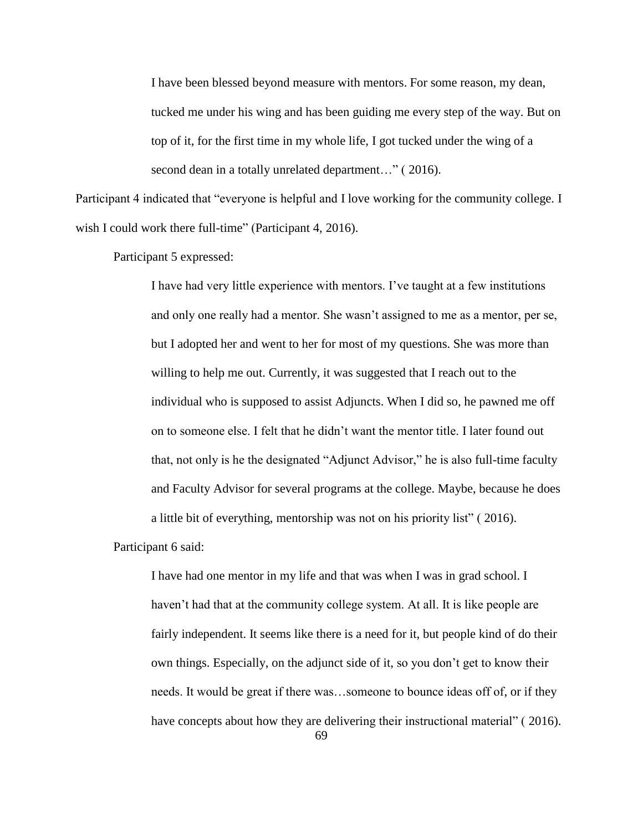I have been blessed beyond measure with mentors. For some reason, my dean, tucked me under his wing and has been guiding me every step of the way. But on top of it, for the first time in my whole life, I got tucked under the wing of a second dean in a totally unrelated department..." (2016).

Participant 4 indicated that "everyone is helpful and I love working for the community college. I wish I could work there full-time" (Participant 4, 2016).

Participant 5 expressed:

I have had very little experience with mentors. I've taught at a few institutions and only one really had a mentor. She wasn't assigned to me as a mentor, per se, but I adopted her and went to her for most of my questions. She was more than willing to help me out. Currently, it was suggested that I reach out to the individual who is supposed to assist Adjuncts. When I did so, he pawned me off on to someone else. I felt that he didn't want the mentor title. I later found out that, not only is he the designated "Adjunct Advisor," he is also full-time faculty and Faculty Advisor for several programs at the college. Maybe, because he does a little bit of everything, mentorship was not on his priority list" ( 2016).

Participant 6 said:

I have had one mentor in my life and that was when I was in grad school. I haven't had that at the community college system. At all. It is like people are fairly independent. It seems like there is a need for it, but people kind of do their own things. Especially, on the adjunct side of it, so you don't get to know their needs. It would be great if there was…someone to bounce ideas off of, or if they have concepts about how they are delivering their instructional material" ( 2016).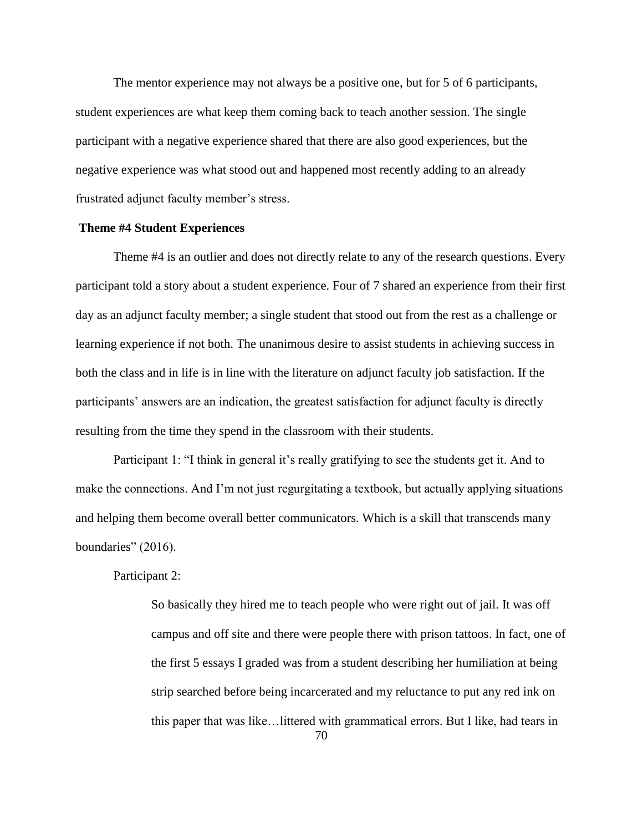The mentor experience may not always be a positive one, but for 5 of 6 participants, student experiences are what keep them coming back to teach another session. The single participant with a negative experience shared that there are also good experiences, but the negative experience was what stood out and happened most recently adding to an already frustrated adjunct faculty member's stress.

## **Theme #4 Student Experiences**

Theme #4 is an outlier and does not directly relate to any of the research questions. Every participant told a story about a student experience. Four of 7 shared an experience from their first day as an adjunct faculty member; a single student that stood out from the rest as a challenge or learning experience if not both. The unanimous desire to assist students in achieving success in both the class and in life is in line with the literature on adjunct faculty job satisfaction. If the participants' answers are an indication, the greatest satisfaction for adjunct faculty is directly resulting from the time they spend in the classroom with their students.

Participant 1: "I think in general it's really gratifying to see the students get it. And to make the connections. And I'm not just regurgitating a textbook, but actually applying situations and helping them become overall better communicators. Which is a skill that transcends many boundaries" (2016).

### Participant 2:

So basically they hired me to teach people who were right out of jail. It was off campus and off site and there were people there with prison tattoos. In fact, one of the first 5 essays I graded was from a student describing her humiliation at being strip searched before being incarcerated and my reluctance to put any red ink on this paper that was like…littered with grammatical errors. But I like, had tears in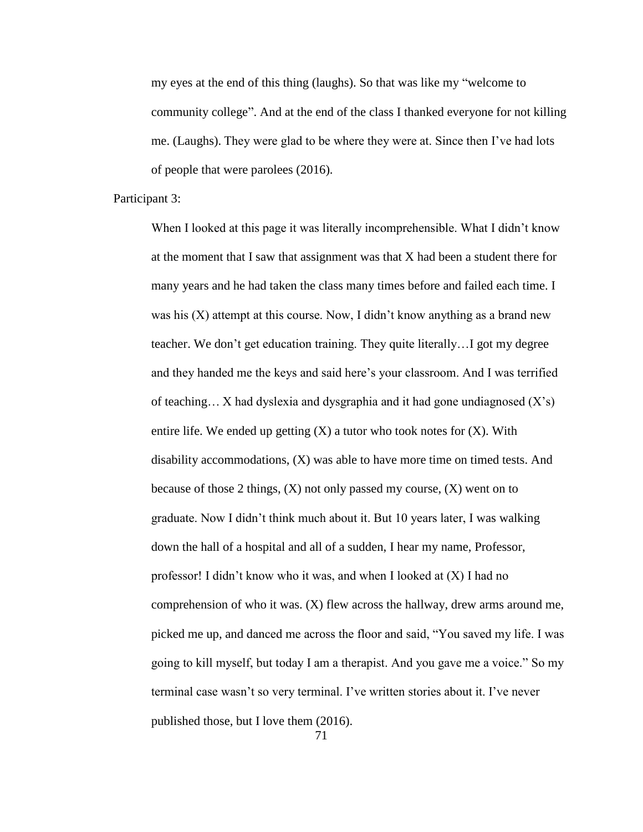my eyes at the end of this thing (laughs). So that was like my "welcome to community college". And at the end of the class I thanked everyone for not killing me. (Laughs). They were glad to be where they were at. Since then I've had lots of people that were parolees (2016).

Participant 3:

When I looked at this page it was literally incomprehensible. What I didn't know at the moment that I saw that assignment was that X had been a student there for many years and he had taken the class many times before and failed each time. I was his (X) attempt at this course. Now, I didn't know anything as a brand new teacher. We don't get education training. They quite literally…I got my degree and they handed me the keys and said here's your classroom. And I was terrified of teaching... X had dyslexia and dysgraphia and it had gone undiagnosed  $(X's)$ entire life. We ended up getting  $(X)$  a tutor who took notes for  $(X)$ . With disability accommodations, (X) was able to have more time on timed tests. And because of those 2 things,  $(X)$  not only passed my course,  $(X)$  went on to graduate. Now I didn't think much about it. But 10 years later, I was walking down the hall of a hospital and all of a sudden, I hear my name, Professor, professor! I didn't know who it was, and when I looked at (X) I had no comprehension of who it was. (X) flew across the hallway, drew arms around me, picked me up, and danced me across the floor and said, "You saved my life. I was going to kill myself, but today I am a therapist. And you gave me a voice." So my terminal case wasn't so very terminal. I've written stories about it. I've never published those, but I love them (2016).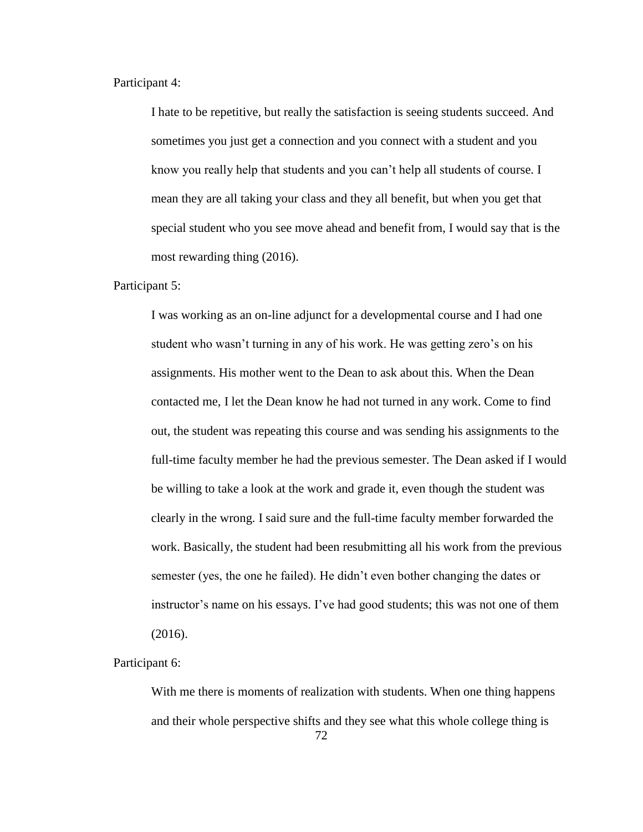Participant 4:

I hate to be repetitive, but really the satisfaction is seeing students succeed. And sometimes you just get a connection and you connect with a student and you know you really help that students and you can't help all students of course. I mean they are all taking your class and they all benefit, but when you get that special student who you see move ahead and benefit from, I would say that is the most rewarding thing (2016).

Participant 5:

I was working as an on-line adjunct for a developmental course and I had one student who wasn't turning in any of his work. He was getting zero's on his assignments. His mother went to the Dean to ask about this. When the Dean contacted me, I let the Dean know he had not turned in any work. Come to find out, the student was repeating this course and was sending his assignments to the full-time faculty member he had the previous semester. The Dean asked if I would be willing to take a look at the work and grade it, even though the student was clearly in the wrong. I said sure and the full-time faculty member forwarded the work. Basically, the student had been resubmitting all his work from the previous semester (yes, the one he failed). He didn't even bother changing the dates or instructor's name on his essays. I've had good students; this was not one of them (2016).

Participant 6:

72 With me there is moments of realization with students. When one thing happens and their whole perspective shifts and they see what this whole college thing is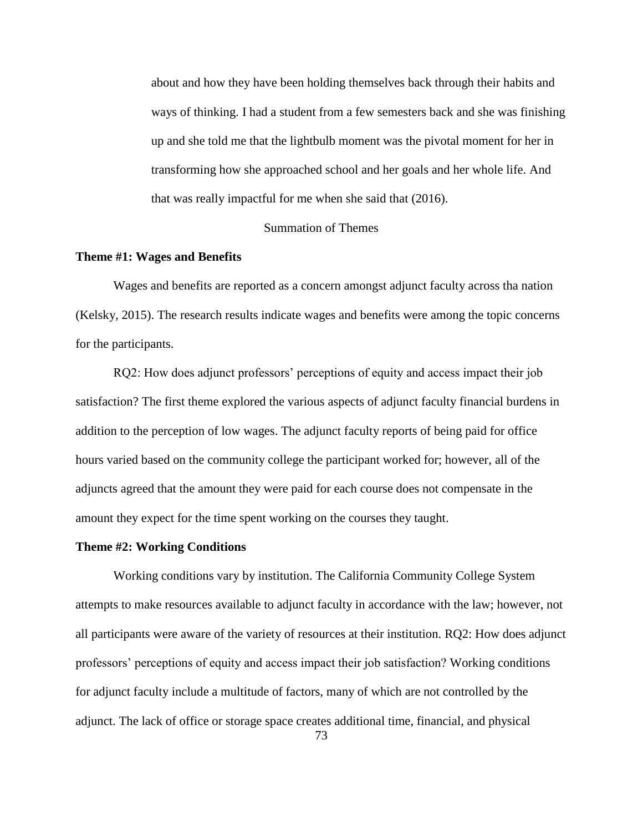about and how they have been holding themselves back through their habits and ways of thinking. I had a student from a few semesters back and she was finishing up and she told me that the lightbulb moment was the pivotal moment for her in transforming how she approached school and her goals and her whole life. And that was really impactful for me when she said that (2016).

# Summation of Themes

### **Theme #1: Wages and Benefits**

Wages and benefits are reported as a concern amongst adjunct faculty across tha nation (Kelsky, 2015). The research results indicate wages and benefits were among the topic concerns for the participants.

RQ2: How does adjunct professors' perceptions of equity and access impact their job satisfaction? The first theme explored the various aspects of adjunct faculty financial burdens in addition to the perception of low wages. The adjunct faculty reports of being paid for office hours varied based on the community college the participant worked for; however, all of the adjuncts agreed that the amount they were paid for each course does not compensate in the amount they expect for the time spent working on the courses they taught.

#### **Theme #2: Working Conditions**

Working conditions vary by institution. The California Community College System attempts to make resources available to adjunct faculty in accordance with the law; however, not all participants were aware of the variety of resources at their institution. RQ2: How does adjunct professors' perceptions of equity and access impact their job satisfaction? Working conditions for adjunct faculty include a multitude of factors, many of which are not controlled by the adjunct. The lack of office or storage space creates additional time, financial, and physical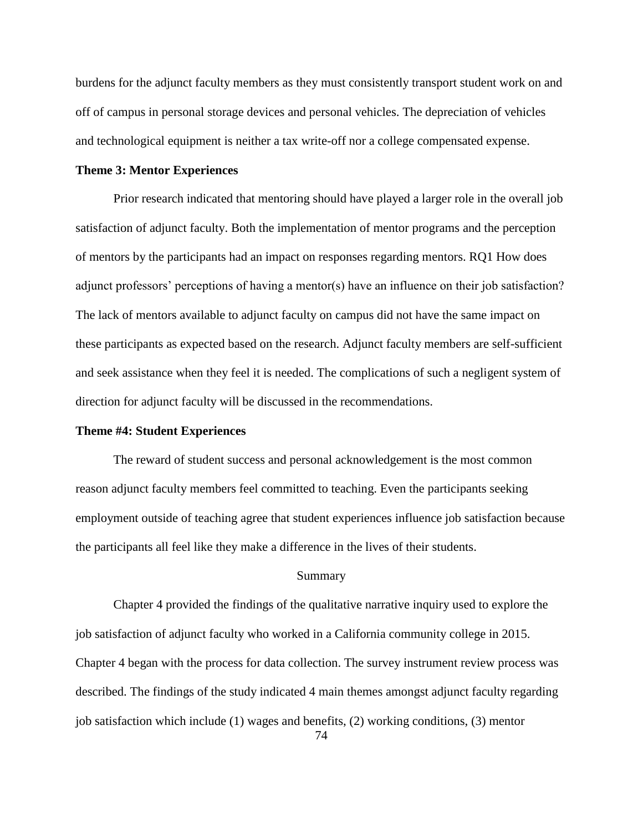burdens for the adjunct faculty members as they must consistently transport student work on and off of campus in personal storage devices and personal vehicles. The depreciation of vehicles and technological equipment is neither a tax write-off nor a college compensated expense.

## **Theme 3: Mentor Experiences**

Prior research indicated that mentoring should have played a larger role in the overall job satisfaction of adjunct faculty. Both the implementation of mentor programs and the perception of mentors by the participants had an impact on responses regarding mentors. RQ1 How does adjunct professors' perceptions of having a mentor(s) have an influence on their job satisfaction? The lack of mentors available to adjunct faculty on campus did not have the same impact on these participants as expected based on the research. Adjunct faculty members are self-sufficient and seek assistance when they feel it is needed. The complications of such a negligent system of direction for adjunct faculty will be discussed in the recommendations.

# **Theme #4: Student Experiences**

The reward of student success and personal acknowledgement is the most common reason adjunct faculty members feel committed to teaching. Even the participants seeking employment outside of teaching agree that student experiences influence job satisfaction because the participants all feel like they make a difference in the lives of their students.

### Summary

Chapter 4 provided the findings of the qualitative narrative inquiry used to explore the job satisfaction of adjunct faculty who worked in a California community college in 2015. Chapter 4 began with the process for data collection. The survey instrument review process was described. The findings of the study indicated 4 main themes amongst adjunct faculty regarding job satisfaction which include (1) wages and benefits, (2) working conditions, (3) mentor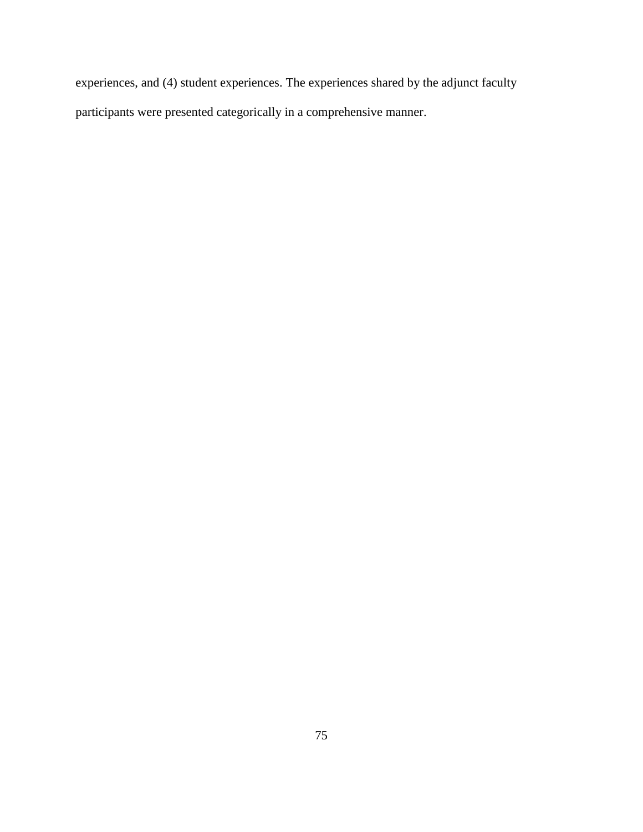experiences, and (4) student experiences. The experiences shared by the adjunct faculty participants were presented categorically in a comprehensive manner.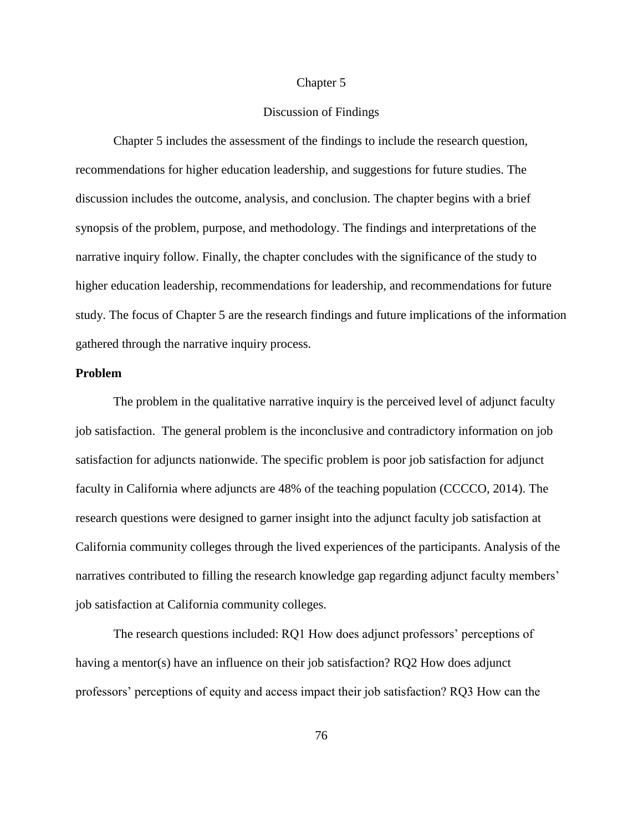### Chapter 5

# Discussion of Findings

Chapter 5 includes the assessment of the findings to include the research question, recommendations for higher education leadership, and suggestions for future studies. The discussion includes the outcome, analysis, and conclusion. The chapter begins with a brief synopsis of the problem, purpose, and methodology. The findings and interpretations of the narrative inquiry follow. Finally, the chapter concludes with the significance of the study to higher education leadership, recommendations for leadership, and recommendations for future study. The focus of Chapter 5 are the research findings and future implications of the information gathered through the narrative inquiry process.

# **Problem**

The problem in the qualitative narrative inquiry is the perceived level of adjunct faculty job satisfaction. The general problem is the inconclusive and contradictory information on job satisfaction for adjuncts nationwide. The specific problem is poor job satisfaction for adjunct faculty in California where adjuncts are 48% of the teaching population (CCCCO, 2014). The research questions were designed to garner insight into the adjunct faculty job satisfaction at California community colleges through the lived experiences of the participants. Analysis of the narratives contributed to filling the research knowledge gap regarding adjunct faculty members' job satisfaction at California community colleges.

The research questions included: RQ1 How does adjunct professors' perceptions of having a mentor(s) have an influence on their job satisfaction? RQ2 How does adjunct professors' perceptions of equity and access impact their job satisfaction? RQ3 How can the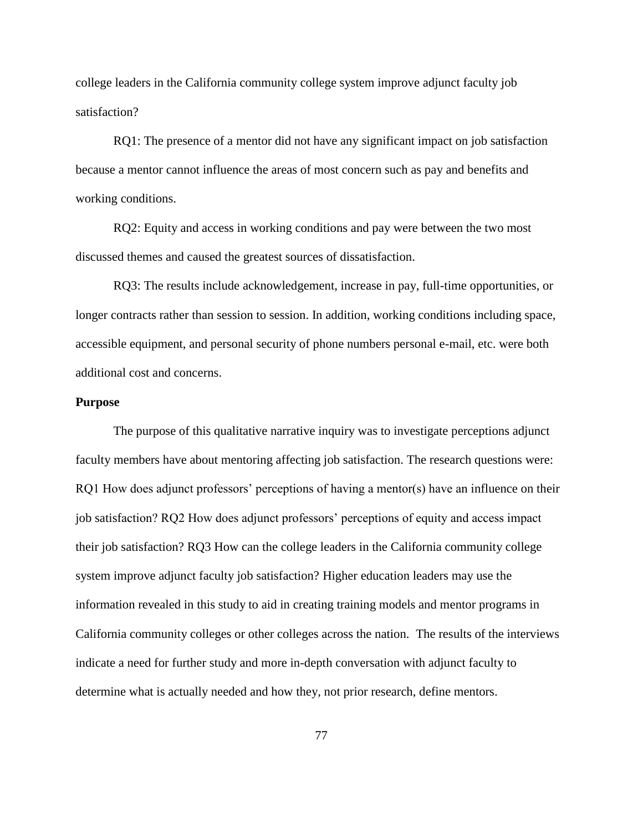college leaders in the California community college system improve adjunct faculty job satisfaction?

RQ1: The presence of a mentor did not have any significant impact on job satisfaction because a mentor cannot influence the areas of most concern such as pay and benefits and working conditions.

RQ2: Equity and access in working conditions and pay were between the two most discussed themes and caused the greatest sources of dissatisfaction.

RQ3: The results include acknowledgement, increase in pay, full-time opportunities, or longer contracts rather than session to session. In addition, working conditions including space, accessible equipment, and personal security of phone numbers personal e-mail, etc. were both additional cost and concerns.

#### **Purpose**

The purpose of this qualitative narrative inquiry was to investigate perceptions adjunct faculty members have about mentoring affecting job satisfaction. The research questions were: RQ1 How does adjunct professors' perceptions of having a mentor(s) have an influence on their job satisfaction? RQ2 How does adjunct professors' perceptions of equity and access impact their job satisfaction? RQ3 How can the college leaders in the California community college system improve adjunct faculty job satisfaction? Higher education leaders may use the information revealed in this study to aid in creating training models and mentor programs in California community colleges or other colleges across the nation. The results of the interviews indicate a need for further study and more in-depth conversation with adjunct faculty to determine what is actually needed and how they, not prior research, define mentors.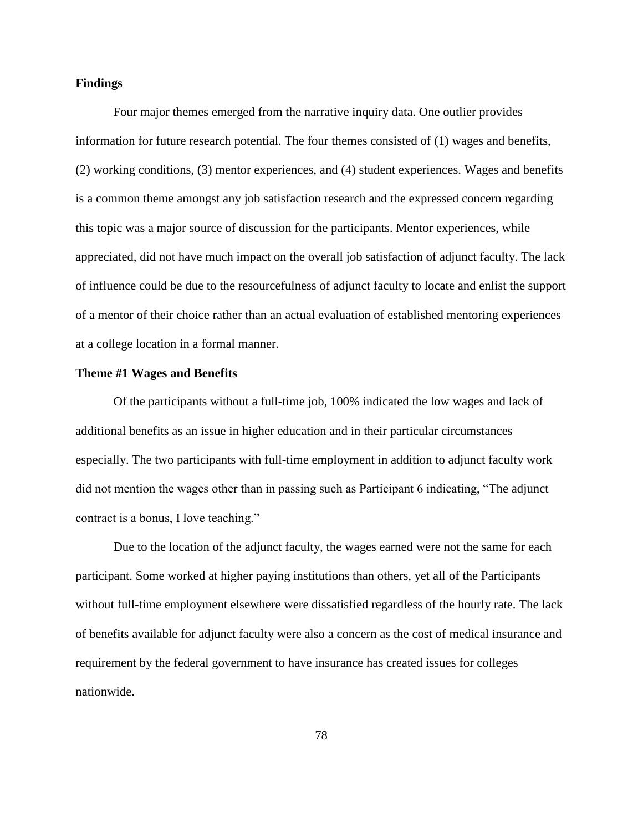# **Findings**

Four major themes emerged from the narrative inquiry data. One outlier provides information for future research potential. The four themes consisted of (1) wages and benefits, (2) working conditions, (3) mentor experiences, and (4) student experiences. Wages and benefits is a common theme amongst any job satisfaction research and the expressed concern regarding this topic was a major source of discussion for the participants. Mentor experiences, while appreciated, did not have much impact on the overall job satisfaction of adjunct faculty. The lack of influence could be due to the resourcefulness of adjunct faculty to locate and enlist the support of a mentor of their choice rather than an actual evaluation of established mentoring experiences at a college location in a formal manner.

### **Theme #1 Wages and Benefits**

Of the participants without a full-time job, 100% indicated the low wages and lack of additional benefits as an issue in higher education and in their particular circumstances especially. The two participants with full-time employment in addition to adjunct faculty work did not mention the wages other than in passing such as Participant 6 indicating, "The adjunct contract is a bonus, I love teaching."

Due to the location of the adjunct faculty, the wages earned were not the same for each participant. Some worked at higher paying institutions than others, yet all of the Participants without full-time employment elsewhere were dissatisfied regardless of the hourly rate. The lack of benefits available for adjunct faculty were also a concern as the cost of medical insurance and requirement by the federal government to have insurance has created issues for colleges nationwide.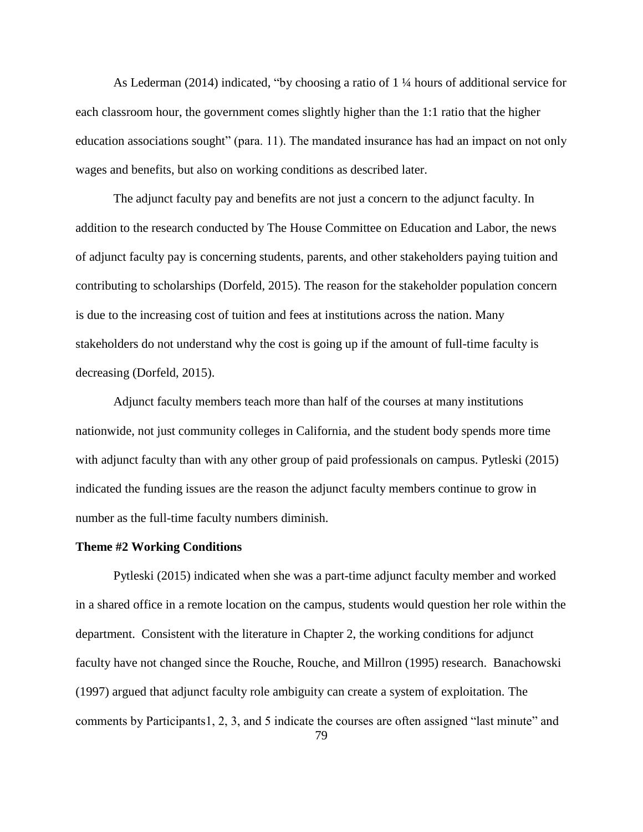As Lederman (2014) indicated, "by choosing a ratio of 1 ¼ hours of additional service for each classroom hour, the government comes slightly higher than the 1:1 ratio that the higher education associations sought" (para. 11). The mandated insurance has had an impact on not only wages and benefits, but also on working conditions as described later.

The adjunct faculty pay and benefits are not just a concern to the adjunct faculty. In addition to the research conducted by The House Committee on Education and Labor, the news of adjunct faculty pay is concerning students, parents, and other stakeholders paying tuition and contributing to scholarships (Dorfeld, 2015). The reason for the stakeholder population concern is due to the increasing cost of tuition and fees at institutions across the nation. Many stakeholders do not understand why the cost is going up if the amount of full-time faculty is decreasing (Dorfeld, 2015).

Adjunct faculty members teach more than half of the courses at many institutions nationwide, not just community colleges in California, and the student body spends more time with adjunct faculty than with any other group of paid professionals on campus. Pytleski (2015) indicated the funding issues are the reason the adjunct faculty members continue to grow in number as the full-time faculty numbers diminish.

#### **Theme #2 Working Conditions**

Pytleski (2015) indicated when she was a part-time adjunct faculty member and worked in a shared office in a remote location on the campus, students would question her role within the department. Consistent with the literature in Chapter 2, the working conditions for adjunct faculty have not changed since the Rouche, Rouche, and Millron (1995) research. Banachowski (1997) argued that adjunct faculty role ambiguity can create a system of exploitation. The comments by Participants1, 2, 3, and 5 indicate the courses are often assigned "last minute" and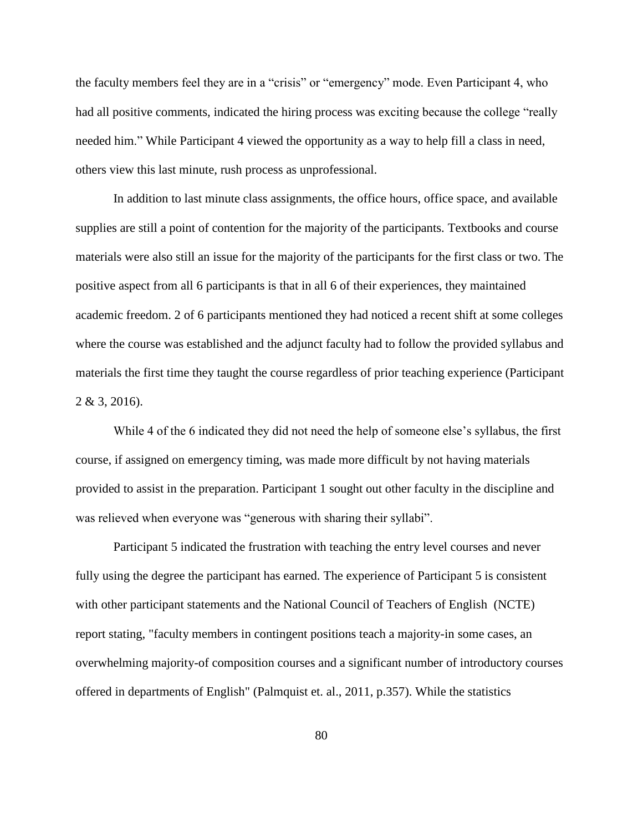the faculty members feel they are in a "crisis" or "emergency" mode. Even Participant 4, who had all positive comments, indicated the hiring process was exciting because the college "really needed him." While Participant 4 viewed the opportunity as a way to help fill a class in need, others view this last minute, rush process as unprofessional.

In addition to last minute class assignments, the office hours, office space, and available supplies are still a point of contention for the majority of the participants. Textbooks and course materials were also still an issue for the majority of the participants for the first class or two. The positive aspect from all 6 participants is that in all 6 of their experiences, they maintained academic freedom. 2 of 6 participants mentioned they had noticed a recent shift at some colleges where the course was established and the adjunct faculty had to follow the provided syllabus and materials the first time they taught the course regardless of prior teaching experience (Participant 2 & 3, 2016).

While 4 of the 6 indicated they did not need the help of someone else's syllabus, the first course, if assigned on emergency timing, was made more difficult by not having materials provided to assist in the preparation. Participant 1 sought out other faculty in the discipline and was relieved when everyone was "generous with sharing their syllabi".

Participant 5 indicated the frustration with teaching the entry level courses and never fully using the degree the participant has earned. The experience of Participant 5 is consistent with other participant statements and the National Council of Teachers of English (NCTE) report stating, "faculty members in contingent positions teach a majority-in some cases, an overwhelming majority-of composition courses and a significant number of introductory courses offered in departments of English" (Palmquist et. al., 2011, p.357). While the statistics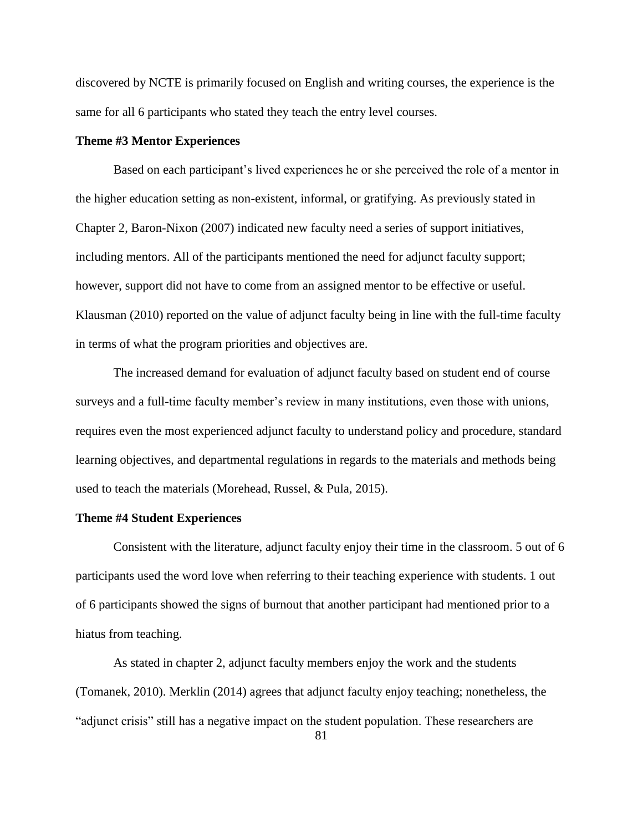discovered by NCTE is primarily focused on English and writing courses, the experience is the same for all 6 participants who stated they teach the entry level courses.

# **Theme #3 Mentor Experiences**

Based on each participant's lived experiences he or she perceived the role of a mentor in the higher education setting as non-existent, informal, or gratifying. As previously stated in Chapter 2, Baron-Nixon (2007) indicated new faculty need a series of support initiatives, including mentors. All of the participants mentioned the need for adjunct faculty support; however, support did not have to come from an assigned mentor to be effective or useful. Klausman (2010) reported on the value of adjunct faculty being in line with the full-time faculty in terms of what the program priorities and objectives are.

The increased demand for evaluation of adjunct faculty based on student end of course surveys and a full-time faculty member's review in many institutions, even those with unions, requires even the most experienced adjunct faculty to understand policy and procedure, standard learning objectives, and departmental regulations in regards to the materials and methods being used to teach the materials (Morehead, Russel, & Pula, 2015).

### **Theme #4 Student Experiences**

Consistent with the literature, adjunct faculty enjoy their time in the classroom. 5 out of 6 participants used the word love when referring to their teaching experience with students. 1 out of 6 participants showed the signs of burnout that another participant had mentioned prior to a hiatus from teaching.

As stated in chapter 2, adjunct faculty members enjoy the work and the students (Tomanek, 2010). Merklin (2014) agrees that adjunct faculty enjoy teaching; nonetheless, the "adjunct crisis" still has a negative impact on the student population. These researchers are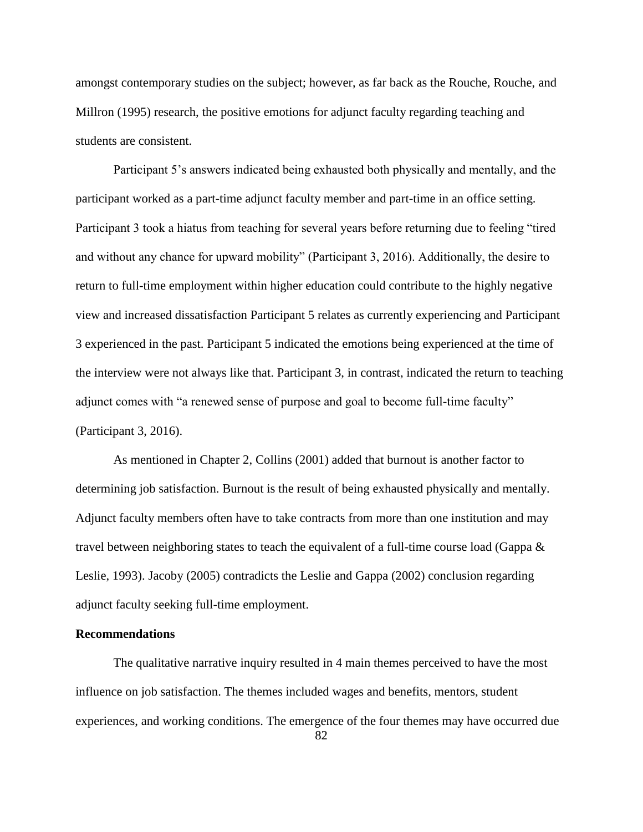amongst contemporary studies on the subject; however, as far back as the Rouche, Rouche, and Millron (1995) research, the positive emotions for adjunct faculty regarding teaching and students are consistent.

Participant 5's answers indicated being exhausted both physically and mentally, and the participant worked as a part-time adjunct faculty member and part-time in an office setting. Participant 3 took a hiatus from teaching for several years before returning due to feeling "tired and without any chance for upward mobility" (Participant 3, 2016). Additionally, the desire to return to full-time employment within higher education could contribute to the highly negative view and increased dissatisfaction Participant 5 relates as currently experiencing and Participant 3 experienced in the past. Participant 5 indicated the emotions being experienced at the time of the interview were not always like that. Participant 3, in contrast, indicated the return to teaching adjunct comes with "a renewed sense of purpose and goal to become full-time faculty" (Participant 3, 2016).

As mentioned in Chapter 2, Collins (2001) added that burnout is another factor to determining job satisfaction. Burnout is the result of being exhausted physically and mentally. Adjunct faculty members often have to take contracts from more than one institution and may travel between neighboring states to teach the equivalent of a full-time course load (Gappa & Leslie, 1993). Jacoby (2005) contradicts the Leslie and Gappa (2002) conclusion regarding adjunct faculty seeking full-time employment.

# **Recommendations**

The qualitative narrative inquiry resulted in 4 main themes perceived to have the most influence on job satisfaction. The themes included wages and benefits, mentors, student experiences, and working conditions. The emergence of the four themes may have occurred due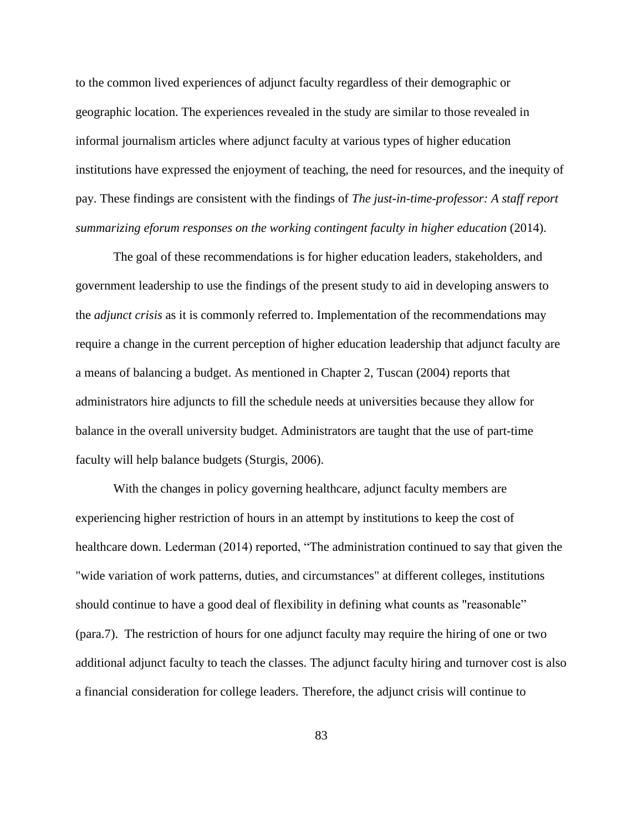to the common lived experiences of adjunct faculty regardless of their demographic or geographic location. The experiences revealed in the study are similar to those revealed in informal journalism articles where adjunct faculty at various types of higher education institutions have expressed the enjoyment of teaching, the need for resources, and the inequity of pay. These findings are consistent with the findings of *The just-in-time-professor: A staff report summarizing eforum responses on the working contingent faculty in higher education* (2014).

The goal of these recommendations is for higher education leaders, stakeholders, and government leadership to use the findings of the present study to aid in developing answers to the *adjunct crisis* as it is commonly referred to. Implementation of the recommendations may require a change in the current perception of higher education leadership that adjunct faculty are a means of balancing a budget. As mentioned in Chapter 2, Tuscan (2004) reports that administrators hire adjuncts to fill the schedule needs at universities because they allow for balance in the overall university budget. Administrators are taught that the use of part-time faculty will help balance budgets (Sturgis, 2006).

With the changes in policy governing healthcare, adjunct faculty members are experiencing higher restriction of hours in an attempt by institutions to keep the cost of healthcare down. Lederman (2014) reported, "The administration continued to say that given the "wide variation of work patterns, duties, and circumstances" at different colleges, institutions should continue to have a good deal of flexibility in defining what counts as "reasonable" (para.7). The restriction of hours for one adjunct faculty may require the hiring of one or two additional adjunct faculty to teach the classes. The adjunct faculty hiring and turnover cost is also a financial consideration for college leaders. Therefore, the adjunct crisis will continue to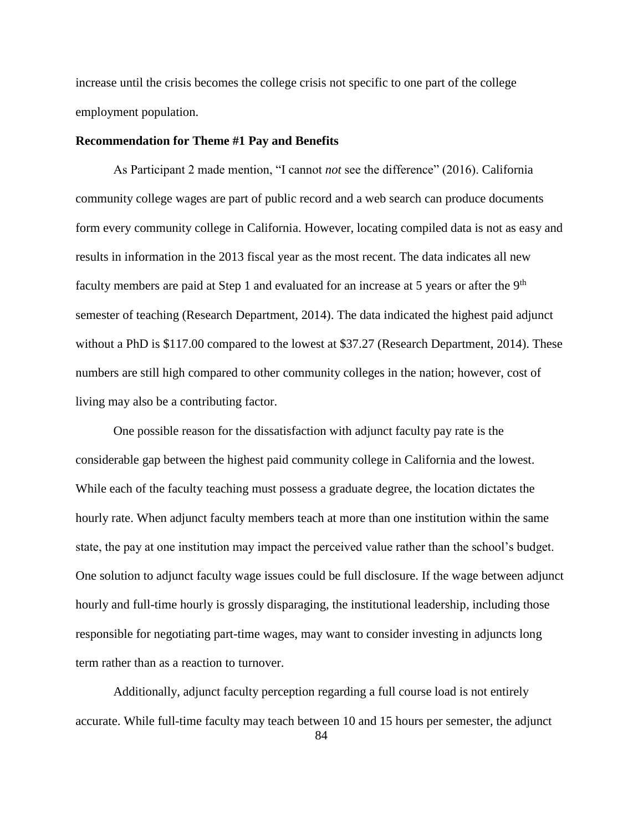increase until the crisis becomes the college crisis not specific to one part of the college employment population.

### **Recommendation for Theme #1 Pay and Benefits**

As Participant 2 made mention, "I cannot *not* see the difference" (2016). California community college wages are part of public record and a web search can produce documents form every community college in California. However, locating compiled data is not as easy and results in information in the 2013 fiscal year as the most recent. The data indicates all new faculty members are paid at Step 1 and evaluated for an increase at 5 years or after the 9<sup>th</sup> semester of teaching (Research Department, 2014). The data indicated the highest paid adjunct without a PhD is \$117.00 compared to the lowest at \$37.27 (Research Department, 2014). These numbers are still high compared to other community colleges in the nation; however, cost of living may also be a contributing factor.

One possible reason for the dissatisfaction with adjunct faculty pay rate is the considerable gap between the highest paid community college in California and the lowest. While each of the faculty teaching must possess a graduate degree, the location dictates the hourly rate. When adjunct faculty members teach at more than one institution within the same state, the pay at one institution may impact the perceived value rather than the school's budget. One solution to adjunct faculty wage issues could be full disclosure. If the wage between adjunct hourly and full-time hourly is grossly disparaging, the institutional leadership, including those responsible for negotiating part-time wages, may want to consider investing in adjuncts long term rather than as a reaction to turnover.

Additionally, adjunct faculty perception regarding a full course load is not entirely accurate. While full-time faculty may teach between 10 and 15 hours per semester, the adjunct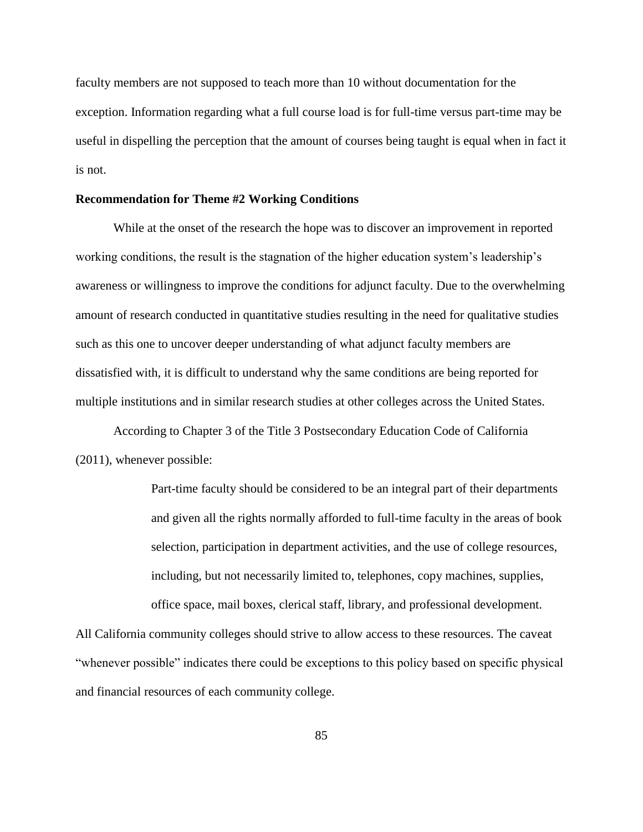faculty members are not supposed to teach more than 10 without documentation for the exception. Information regarding what a full course load is for full-time versus part-time may be useful in dispelling the perception that the amount of courses being taught is equal when in fact it is not.

# **Recommendation for Theme #2 Working Conditions**

While at the onset of the research the hope was to discover an improvement in reported working conditions, the result is the stagnation of the higher education system's leadership's awareness or willingness to improve the conditions for adjunct faculty. Due to the overwhelming amount of research conducted in quantitative studies resulting in the need for qualitative studies such as this one to uncover deeper understanding of what adjunct faculty members are dissatisfied with, it is difficult to understand why the same conditions are being reported for multiple institutions and in similar research studies at other colleges across the United States.

According to Chapter 3 of the Title 3 Postsecondary Education Code of California (2011), whenever possible:

> Part-time faculty should be considered to be an integral part of their departments and given all the rights normally afforded to full-time faculty in the areas of book selection, participation in department activities, and the use of college resources, including, but not necessarily limited to, telephones, copy machines, supplies, office space, mail boxes, clerical staff, library, and professional development.

All California community colleges should strive to allow access to these resources. The caveat "whenever possible" indicates there could be exceptions to this policy based on specific physical and financial resources of each community college.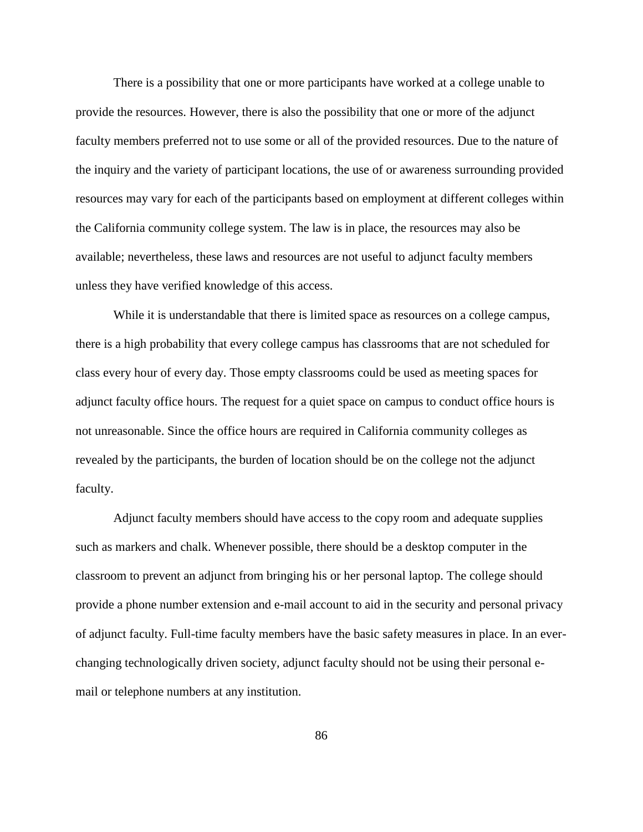There is a possibility that one or more participants have worked at a college unable to provide the resources. However, there is also the possibility that one or more of the adjunct faculty members preferred not to use some or all of the provided resources. Due to the nature of the inquiry and the variety of participant locations, the use of or awareness surrounding provided resources may vary for each of the participants based on employment at different colleges within the California community college system. The law is in place, the resources may also be available; nevertheless, these laws and resources are not useful to adjunct faculty members unless they have verified knowledge of this access.

While it is understandable that there is limited space as resources on a college campus, there is a high probability that every college campus has classrooms that are not scheduled for class every hour of every day. Those empty classrooms could be used as meeting spaces for adjunct faculty office hours. The request for a quiet space on campus to conduct office hours is not unreasonable. Since the office hours are required in California community colleges as revealed by the participants, the burden of location should be on the college not the adjunct faculty.

Adjunct faculty members should have access to the copy room and adequate supplies such as markers and chalk. Whenever possible, there should be a desktop computer in the classroom to prevent an adjunct from bringing his or her personal laptop. The college should provide a phone number extension and e-mail account to aid in the security and personal privacy of adjunct faculty. Full-time faculty members have the basic safety measures in place. In an everchanging technologically driven society, adjunct faculty should not be using their personal email or telephone numbers at any institution.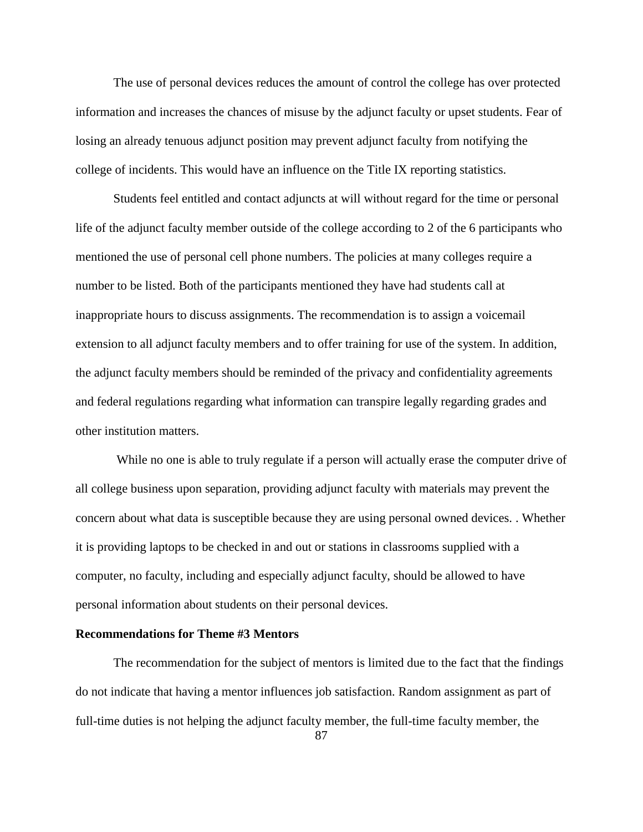The use of personal devices reduces the amount of control the college has over protected information and increases the chances of misuse by the adjunct faculty or upset students. Fear of losing an already tenuous adjunct position may prevent adjunct faculty from notifying the college of incidents. This would have an influence on the Title IX reporting statistics.

Students feel entitled and contact adjuncts at will without regard for the time or personal life of the adjunct faculty member outside of the college according to 2 of the 6 participants who mentioned the use of personal cell phone numbers. The policies at many colleges require a number to be listed. Both of the participants mentioned they have had students call at inappropriate hours to discuss assignments. The recommendation is to assign a voicemail extension to all adjunct faculty members and to offer training for use of the system. In addition, the adjunct faculty members should be reminded of the privacy and confidentiality agreements and federal regulations regarding what information can transpire legally regarding grades and other institution matters.

While no one is able to truly regulate if a person will actually erase the computer drive of all college business upon separation, providing adjunct faculty with materials may prevent the concern about what data is susceptible because they are using personal owned devices. . Whether it is providing laptops to be checked in and out or stations in classrooms supplied with a computer, no faculty, including and especially adjunct faculty, should be allowed to have personal information about students on their personal devices.

### **Recommendations for Theme #3 Mentors**

The recommendation for the subject of mentors is limited due to the fact that the findings do not indicate that having a mentor influences job satisfaction. Random assignment as part of full-time duties is not helping the adjunct faculty member, the full-time faculty member, the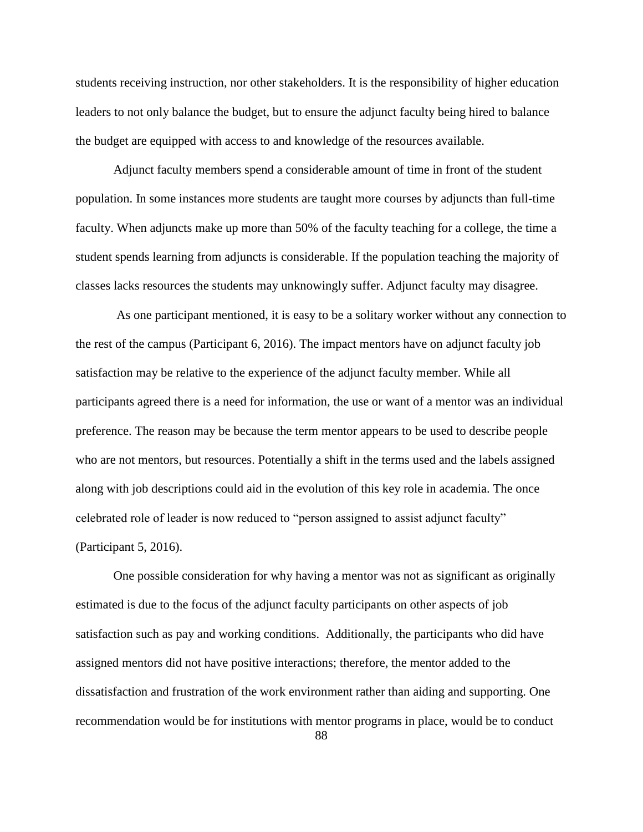students receiving instruction, nor other stakeholders. It is the responsibility of higher education leaders to not only balance the budget, but to ensure the adjunct faculty being hired to balance the budget are equipped with access to and knowledge of the resources available.

Adjunct faculty members spend a considerable amount of time in front of the student population. In some instances more students are taught more courses by adjuncts than full-time faculty. When adjuncts make up more than 50% of the faculty teaching for a college, the time a student spends learning from adjuncts is considerable. If the population teaching the majority of classes lacks resources the students may unknowingly suffer. Adjunct faculty may disagree.

As one participant mentioned, it is easy to be a solitary worker without any connection to the rest of the campus (Participant 6, 2016). The impact mentors have on adjunct faculty job satisfaction may be relative to the experience of the adjunct faculty member. While all participants agreed there is a need for information, the use or want of a mentor was an individual preference. The reason may be because the term mentor appears to be used to describe people who are not mentors, but resources. Potentially a shift in the terms used and the labels assigned along with job descriptions could aid in the evolution of this key role in academia. The once celebrated role of leader is now reduced to "person assigned to assist adjunct faculty" (Participant 5, 2016).

One possible consideration for why having a mentor was not as significant as originally estimated is due to the focus of the adjunct faculty participants on other aspects of job satisfaction such as pay and working conditions. Additionally, the participants who did have assigned mentors did not have positive interactions; therefore, the mentor added to the dissatisfaction and frustration of the work environment rather than aiding and supporting. One recommendation would be for institutions with mentor programs in place, would be to conduct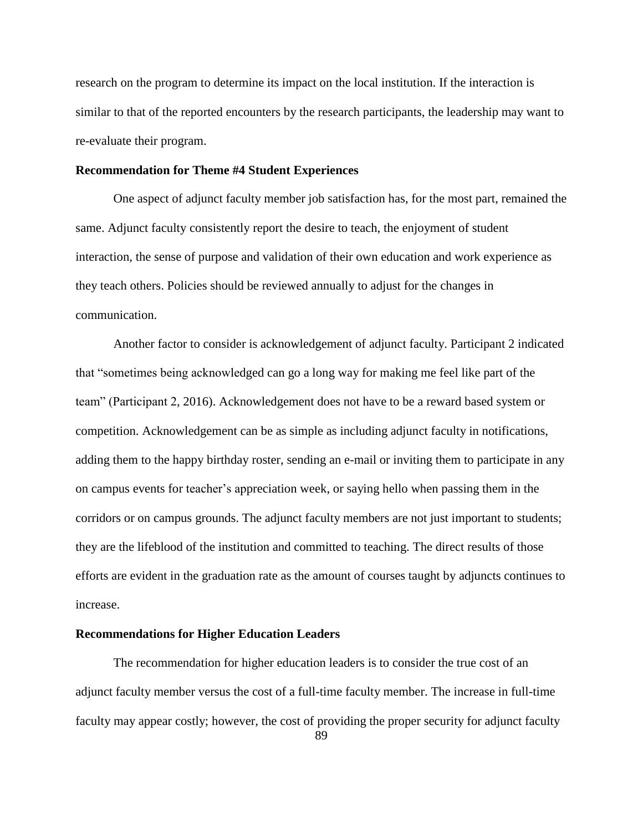research on the program to determine its impact on the local institution. If the interaction is similar to that of the reported encounters by the research participants, the leadership may want to re-evaluate their program.

### **Recommendation for Theme #4 Student Experiences**

One aspect of adjunct faculty member job satisfaction has, for the most part, remained the same. Adjunct faculty consistently report the desire to teach, the enjoyment of student interaction, the sense of purpose and validation of their own education and work experience as they teach others. Policies should be reviewed annually to adjust for the changes in communication.

Another factor to consider is acknowledgement of adjunct faculty. Participant 2 indicated that "sometimes being acknowledged can go a long way for making me feel like part of the team" (Participant 2, 2016). Acknowledgement does not have to be a reward based system or competition. Acknowledgement can be as simple as including adjunct faculty in notifications, adding them to the happy birthday roster, sending an e-mail or inviting them to participate in any on campus events for teacher's appreciation week, or saying hello when passing them in the corridors or on campus grounds. The adjunct faculty members are not just important to students; they are the lifeblood of the institution and committed to teaching. The direct results of those efforts are evident in the graduation rate as the amount of courses taught by adjuncts continues to increase.

# **Recommendations for Higher Education Leaders**

The recommendation for higher education leaders is to consider the true cost of an adjunct faculty member versus the cost of a full-time faculty member. The increase in full-time faculty may appear costly; however, the cost of providing the proper security for adjunct faculty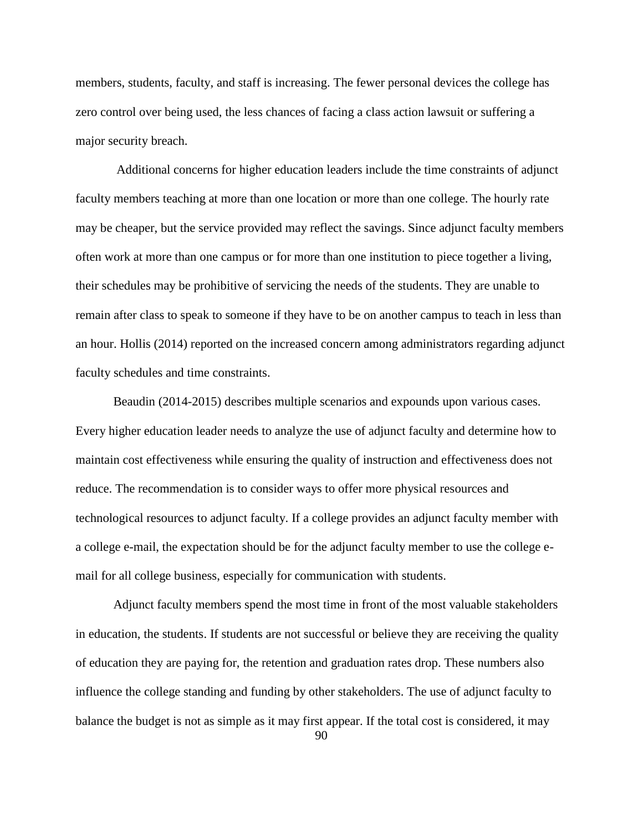members, students, faculty, and staff is increasing. The fewer personal devices the college has zero control over being used, the less chances of facing a class action lawsuit or suffering a major security breach.

Additional concerns for higher education leaders include the time constraints of adjunct faculty members teaching at more than one location or more than one college. The hourly rate may be cheaper, but the service provided may reflect the savings. Since adjunct faculty members often work at more than one campus or for more than one institution to piece together a living, their schedules may be prohibitive of servicing the needs of the students. They are unable to remain after class to speak to someone if they have to be on another campus to teach in less than an hour. Hollis (2014) reported on the increased concern among administrators regarding adjunct faculty schedules and time constraints.

Beaudin (2014-2015) describes multiple scenarios and expounds upon various cases. Every higher education leader needs to analyze the use of adjunct faculty and determine how to maintain cost effectiveness while ensuring the quality of instruction and effectiveness does not reduce. The recommendation is to consider ways to offer more physical resources and technological resources to adjunct faculty. If a college provides an adjunct faculty member with a college e-mail, the expectation should be for the adjunct faculty member to use the college email for all college business, especially for communication with students.

Adjunct faculty members spend the most time in front of the most valuable stakeholders in education, the students. If students are not successful or believe they are receiving the quality of education they are paying for, the retention and graduation rates drop. These numbers also influence the college standing and funding by other stakeholders. The use of adjunct faculty to balance the budget is not as simple as it may first appear. If the total cost is considered, it may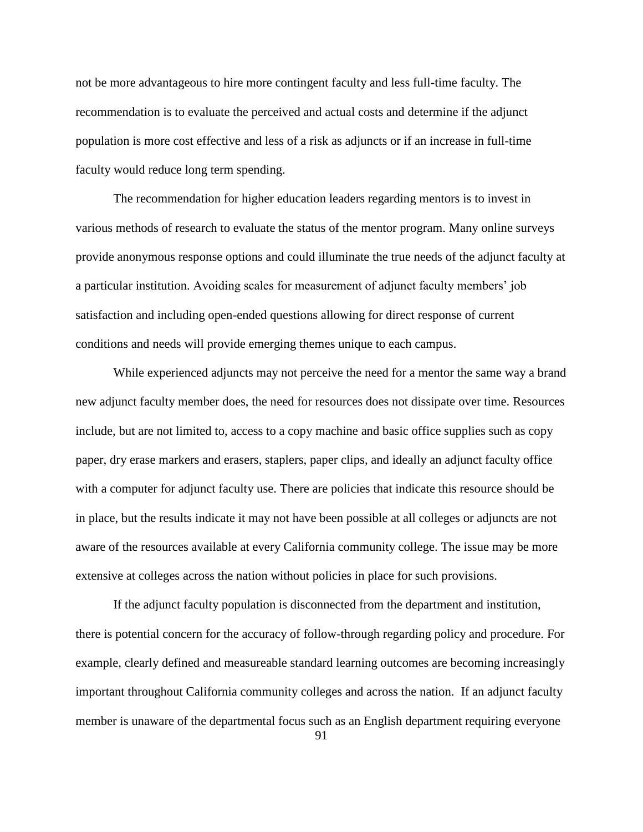not be more advantageous to hire more contingent faculty and less full-time faculty. The recommendation is to evaluate the perceived and actual costs and determine if the adjunct population is more cost effective and less of a risk as adjuncts or if an increase in full-time faculty would reduce long term spending.

The recommendation for higher education leaders regarding mentors is to invest in various methods of research to evaluate the status of the mentor program. Many online surveys provide anonymous response options and could illuminate the true needs of the adjunct faculty at a particular institution. Avoiding scales for measurement of adjunct faculty members' job satisfaction and including open-ended questions allowing for direct response of current conditions and needs will provide emerging themes unique to each campus.

While experienced adjuncts may not perceive the need for a mentor the same way a brand new adjunct faculty member does, the need for resources does not dissipate over time. Resources include, but are not limited to, access to a copy machine and basic office supplies such as copy paper, dry erase markers and erasers, staplers, paper clips, and ideally an adjunct faculty office with a computer for adjunct faculty use. There are policies that indicate this resource should be in place, but the results indicate it may not have been possible at all colleges or adjuncts are not aware of the resources available at every California community college. The issue may be more extensive at colleges across the nation without policies in place for such provisions.

If the adjunct faculty population is disconnected from the department and institution, there is potential concern for the accuracy of follow-through regarding policy and procedure. For example, clearly defined and measureable standard learning outcomes are becoming increasingly important throughout California community colleges and across the nation. If an adjunct faculty member is unaware of the departmental focus such as an English department requiring everyone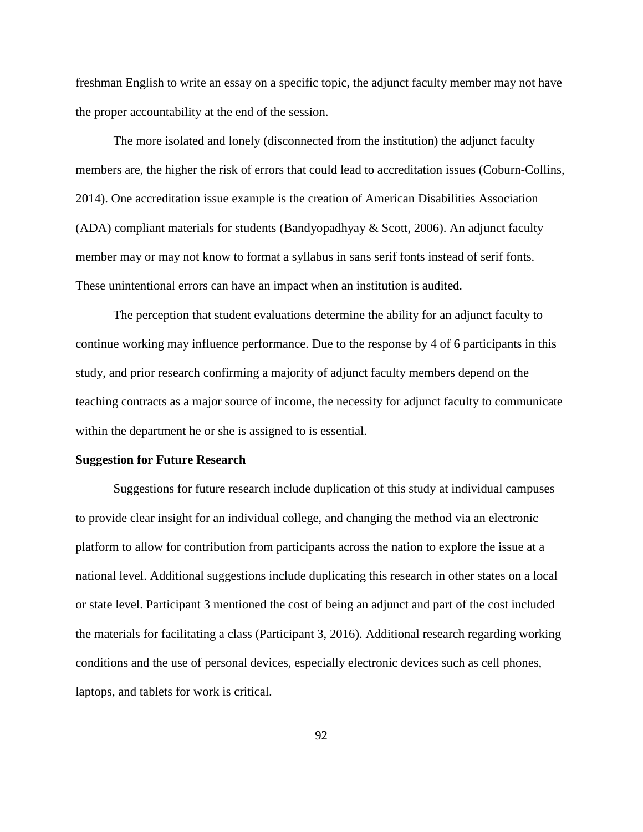freshman English to write an essay on a specific topic, the adjunct faculty member may not have the proper accountability at the end of the session.

The more isolated and lonely (disconnected from the institution) the adjunct faculty members are, the higher the risk of errors that could lead to accreditation issues (Coburn-Collins, 2014). One accreditation issue example is the creation of American Disabilities Association (ADA) compliant materials for students (Bandyopadhyay  $\&$  Scott, 2006). An adjunct faculty member may or may not know to format a syllabus in sans serif fonts instead of serif fonts. These unintentional errors can have an impact when an institution is audited.

The perception that student evaluations determine the ability for an adjunct faculty to continue working may influence performance. Due to the response by 4 of 6 participants in this study, and prior research confirming a majority of adjunct faculty members depend on the teaching contracts as a major source of income, the necessity for adjunct faculty to communicate within the department he or she is assigned to is essential.

### **Suggestion for Future Research**

Suggestions for future research include duplication of this study at individual campuses to provide clear insight for an individual college, and changing the method via an electronic platform to allow for contribution from participants across the nation to explore the issue at a national level. Additional suggestions include duplicating this research in other states on a local or state level. Participant 3 mentioned the cost of being an adjunct and part of the cost included the materials for facilitating a class (Participant 3, 2016). Additional research regarding working conditions and the use of personal devices, especially electronic devices such as cell phones, laptops, and tablets for work is critical.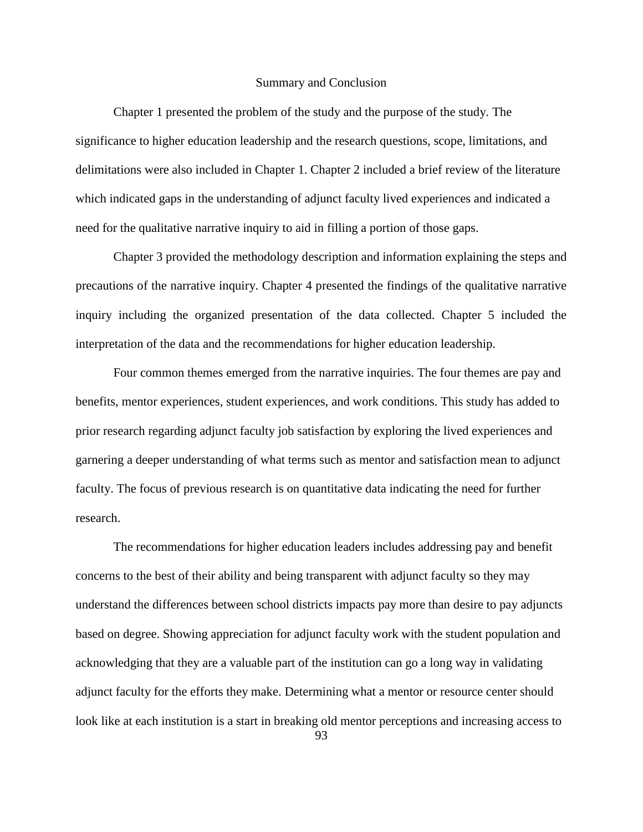#### Summary and Conclusion

Chapter 1 presented the problem of the study and the purpose of the study. The significance to higher education leadership and the research questions, scope, limitations, and delimitations were also included in Chapter 1. Chapter 2 included a brief review of the literature which indicated gaps in the understanding of adjunct faculty lived experiences and indicated a need for the qualitative narrative inquiry to aid in filling a portion of those gaps.

Chapter 3 provided the methodology description and information explaining the steps and precautions of the narrative inquiry. Chapter 4 presented the findings of the qualitative narrative inquiry including the organized presentation of the data collected. Chapter 5 included the interpretation of the data and the recommendations for higher education leadership.

Four common themes emerged from the narrative inquiries. The four themes are pay and benefits, mentor experiences, student experiences, and work conditions. This study has added to prior research regarding adjunct faculty job satisfaction by exploring the lived experiences and garnering a deeper understanding of what terms such as mentor and satisfaction mean to adjunct faculty. The focus of previous research is on quantitative data indicating the need for further research.

The recommendations for higher education leaders includes addressing pay and benefit concerns to the best of their ability and being transparent with adjunct faculty so they may understand the differences between school districts impacts pay more than desire to pay adjuncts based on degree. Showing appreciation for adjunct faculty work with the student population and acknowledging that they are a valuable part of the institution can go a long way in validating adjunct faculty for the efforts they make. Determining what a mentor or resource center should look like at each institution is a start in breaking old mentor perceptions and increasing access to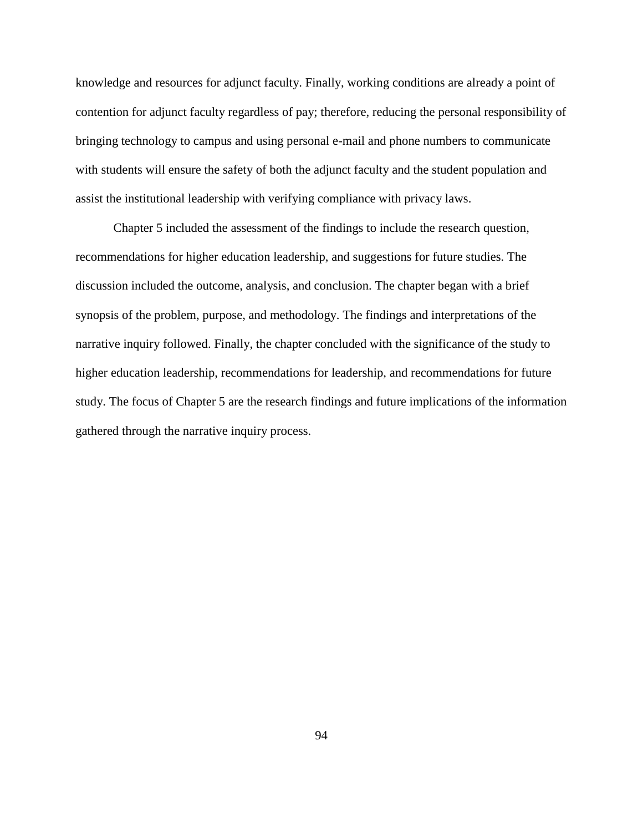knowledge and resources for adjunct faculty. Finally, working conditions are already a point of contention for adjunct faculty regardless of pay; therefore, reducing the personal responsibility of bringing technology to campus and using personal e-mail and phone numbers to communicate with students will ensure the safety of both the adjunct faculty and the student population and assist the institutional leadership with verifying compliance with privacy laws.

Chapter 5 included the assessment of the findings to include the research question, recommendations for higher education leadership, and suggestions for future studies. The discussion included the outcome, analysis, and conclusion. The chapter began with a brief synopsis of the problem, purpose, and methodology. The findings and interpretations of the narrative inquiry followed. Finally, the chapter concluded with the significance of the study to higher education leadership, recommendations for leadership, and recommendations for future study. The focus of Chapter 5 are the research findings and future implications of the information gathered through the narrative inquiry process.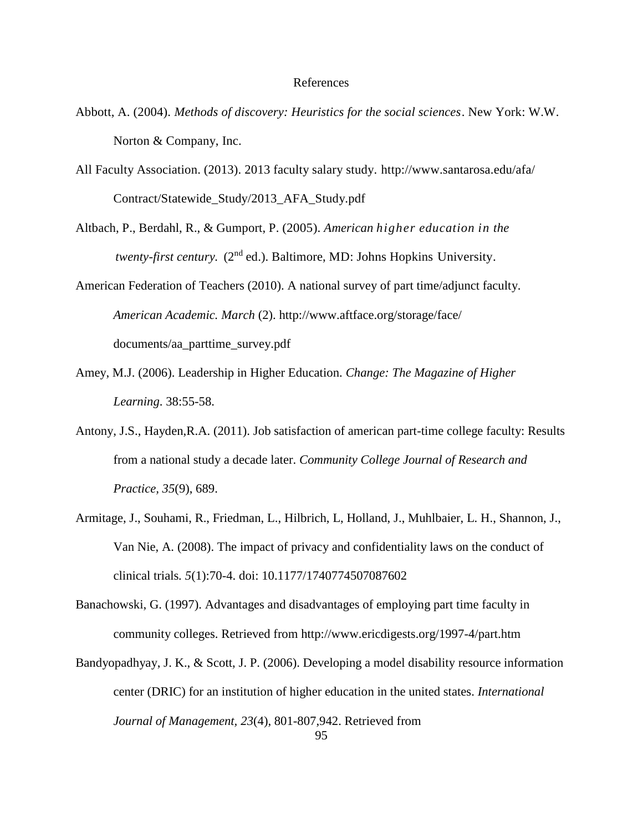#### References

- Abbott, A. (2004). *Methods of discovery: Heuristics for the social sciences*. New York: W.W. Norton & Company, Inc.
- All Faculty Association. (2013). 2013 faculty salary study. http://www.santarosa.edu/afa/ Contract/Statewide\_Study/2013\_AFA\_Study.pdf
- Altbach, P., Berdahl, R., & Gumport, P. (2005). *American higher education in the* twenty-first century. (2<sup>nd</sup> ed.). Baltimore, MD: Johns Hopkins University.
- American Federation of Teachers (2010). A national survey of part time/adjunct faculty. *American Academic. March* (2). http://www.aftface.org/storage/face/ documents/aa\_parttime\_survey.pdf
- Amey, M.J. (2006). Leadership in Higher Education. *Change: The Magazine of Higher Learning*. 38:55-58.
- Antony, J.S., Hayden,R.A. (2011). Job satisfaction of american part-time college faculty: Results from a national study a decade later. *Community College Journal of Research and Practice, 35*(9), 689.
- Armitage, J., Souhami, R., Friedman, L., Hilbrich, L, Holland, J., Muhlbaier, L. H., Shannon, J., Van Nie, A. (2008). The impact of privacy and confidentiality laws on the conduct of clinical trials*. 5*(1):70-4. doi: 10.1177/1740774507087602
- Banachowski, G. (1997). Advantages and disadvantages of employing part time faculty in community colleges. Retrieved from http://www.ericdigests.org/1997-4/part.htm
- Bandyopadhyay, J. K., & Scott, J. P. (2006). Developing a model disability resource information center (DRIC) for an institution of higher education in the united states. *International Journal of Management, 23*(4), 801-807,942. Retrieved from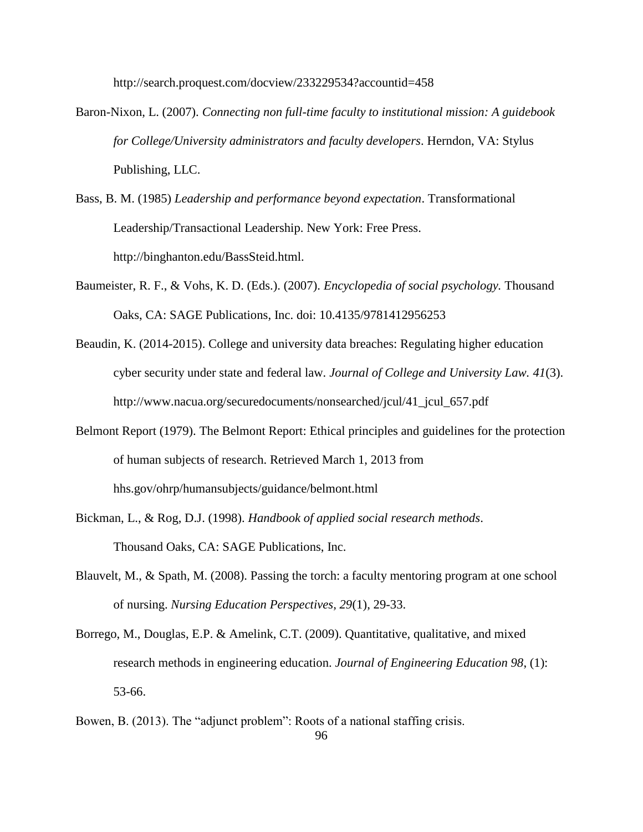http://search.proquest.com/docview/233229534?accountid=458

- Baron-Nixon, L. (2007). *Connecting non full-time faculty to institutional mission: A guidebook for College/University administrators and faculty developers*. Herndon, VA: Stylus Publishing, LLC.
- Bass, B. M. (1985) *Leadership and performance beyond expectation*. Transformational Leadership/Transactional Leadership. New York: Free Press. http://binghanton.edu/BassSteid.html.
- Baumeister, R. F., & Vohs, K. D. (Eds.). (2007). *Encyclopedia of social psychology.* Thousand Oaks, CA: SAGE Publications, Inc. doi: 10.4135/9781412956253
- Beaudin, K. (2014-2015). College and university data breaches: Regulating higher education cyber security under state and federal law*. Journal of College and University Law. 41*(3). http://www.nacua.org/securedocuments/nonsearched/jcul/41\_jcul\_657.pdf
- Belmont Report (1979). The Belmont Report: Ethical principles and guidelines for the protection of human subjects of research. Retrieved March 1, 2013 from hhs.gov/ohrp/humansubjects/guidance/belmont.html
- Bickman, L., & Rog, D.J. (1998). *Handbook of applied social research methods*. Thousand Oaks, CA: SAGE Publications, Inc.
- Blauvelt, M., & Spath, M. (2008). Passing the torch: a faculty mentoring program at one school of nursing. *Nursing Education Perspectives, 29*(1), 29-33.
- Borrego, M., Douglas, E.P. & Amelink, C.T. (2009). Quantitative, qualitative, and mixed research methods in engineering education. *Journal of Engineering Education 98*, (1): 53-66.
- Bowen, B. (2013). The "adjunct problem": Roots of a national staffing crisis.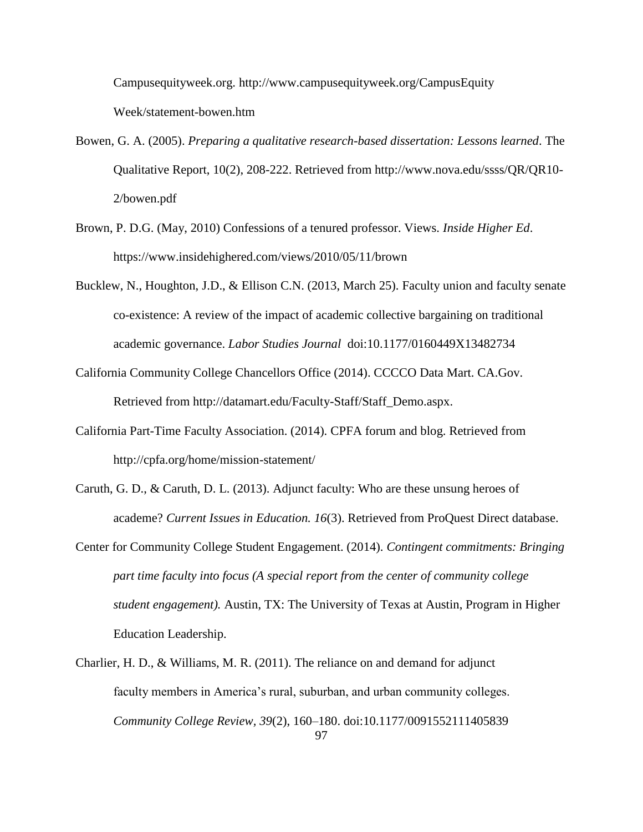Campusequityweek.org. http://www.campusequityweek.org/CampusEquity Week/statement-bowen.htm

- Bowen, G. A. (2005). *Preparing a qualitative research-based dissertation: Lessons learned*. The Qualitative Report, 10(2), 208-222. Retrieved from http://www.nova.edu/ssss/QR/QR10- 2/bowen.pdf
- Brown, P. D.G. (May, 2010) Confessions of a tenured professor. Views. *Inside Higher Ed*. https://www.insidehighered.com/views/2010/05/11/brown
- Bucklew, N., Houghton, J.D., & Ellison C.N. (2013, March 25). Faculty union and faculty senate co-existence: A review of the impact of academic collective bargaining on traditional academic governance. *Labor Studies Journal* doi:10.1177/0160449X13482734
- California Community College Chancellors Office (2014). CCCCO Data Mart. CA.Gov. Retrieved from http://datamart.edu/Faculty-Staff/Staff\_Demo.aspx.
- California Part-Time Faculty Association. (2014). CPFA forum and blog. Retrieved from http://cpfa.org/home/mission-statement/
- Caruth, G. D., & Caruth, D. L. (2013). Adjunct faculty: Who are these unsung heroes of academe? *Current Issues in Education. 16*(3). Retrieved from ProQuest Direct database.
- Center for Community College Student Engagement. (2014). *Contingent commitments: Bringing part time faculty into focus (A special report from the center of community college student engagement).* Austin, TX: The University of Texas at Austin, Program in Higher Education Leadership.
- 97 Charlier, H. D., & Williams, M. R. (2011). The reliance on and demand for adjunct faculty members in America's rural, suburban, and urban community colleges. *Community College Review, 39*(2), 160–180. doi:10.1177/0091552111405839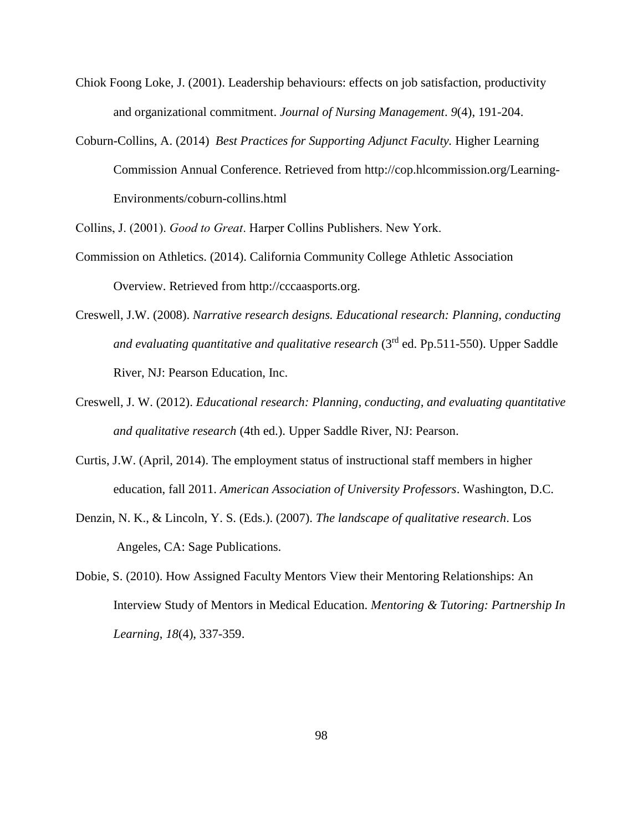- Chiok Foong Loke, J. (2001). Leadership behaviours: effects on job satisfaction, productivity and organizational commitment. *Journal of Nursing Management*. *9*(4), 191-204.
- Coburn-Collins, A. (2014) *Best Practices for Supporting Adjunct Faculty.* Higher Learning Commission Annual Conference. Retrieved from http://cop.hlcommission.org/Learning-Environments/coburn-collins.html

Collins, J. (2001). *Good to Great*. Harper Collins Publishers. New York.

- Commission on Athletics. (2014). California Community College Athletic Association Overview. Retrieved from http://cccaasports.org.
- Creswell, J.W. (2008). *Narrative research designs. Educational research: Planning, conducting and evaluating quantitative and qualitative research* (3rd ed. Pp.511-550). Upper Saddle River, NJ: Pearson Education, Inc.
- Creswell, J. W. (2012). *Educational research: Planning, conducting, and evaluating quantitative and qualitative research* (4th ed.). Upper Saddle River, NJ: Pearson.
- Curtis, J.W. (April, 2014). The employment status of instructional staff members in higher education, fall 2011. *American Association of University Professors*. Washington, D.C.
- Denzin, N. K., & Lincoln, Y. S. (Eds.). (2007). *The landscape of qualitative research*. Los Angeles, CA: Sage Publications.
- Dobie, S. (2010). How Assigned Faculty Mentors View their Mentoring Relationships: An Interview Study of Mentors in Medical Education. *Mentoring & Tutoring: Partnership In Learning*, *18*(4), 337-359.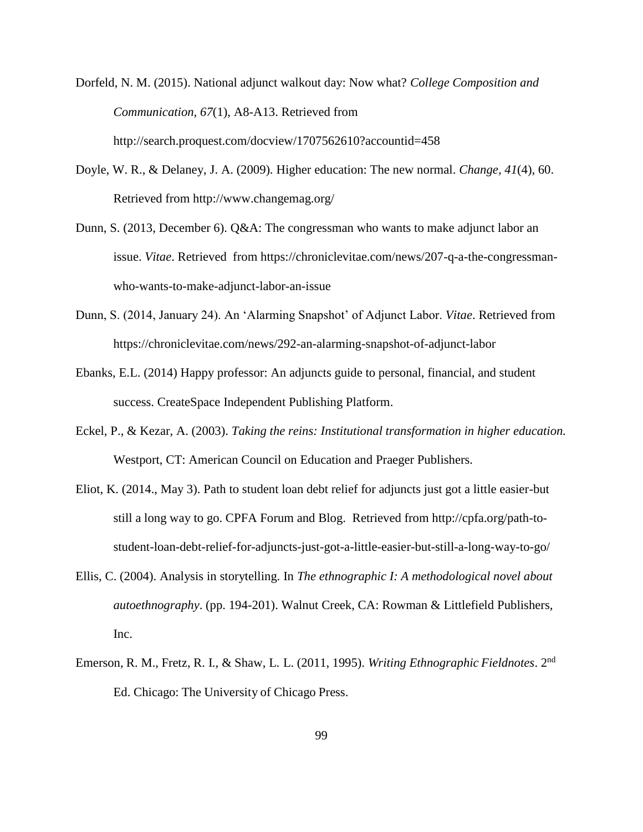Dorfeld, N. M. (2015). National adjunct walkout day: Now what? *College Composition and Communication, 67*(1), A8-A13. Retrieved from http://search.proquest.com/docview/1707562610?accountid=458

- Doyle, W. R., & Delaney, J. A. (2009)*.* Higher education: The new normal. *Change, 41*(4), 60. Retrieved from http://www.changemag.org/
- Dunn, S. (2013, December 6). Q&A: The congressman who wants to make adjunct labor an issue. *Vitae*. Retrieved from https://chroniclevitae.com/news/207-q-a-the-congressmanwho-wants-to-make-adjunct-labor-an-issue
- Dunn, S. (2014, January 24). An 'Alarming Snapshot' of Adjunct Labor. *Vitae*. Retrieved from https://chroniclevitae.com/news/292-an-alarming-snapshot-of-adjunct-labor
- Ebanks, E.L. (2014) Happy professor: An adjuncts guide to personal, financial, and student success. CreateSpace Independent Publishing Platform.
- Eckel, P., & Kezar, A. (2003). *Taking the reins: Institutional transformation in higher education.*  Westport, CT: American Council on Education and Praeger Publishers.
- Eliot, K. (2014., May 3). Path to student loan debt relief for adjuncts just got a little easier-but still a long way to go. CPFA Forum and Blog. Retrieved from [http://cpfa.org/path-to](http://cpfa.org/path-to-)student-loan-debt-relief-for-adjuncts-just-got-a-little-easier-but-still-a-long-way-to-go/
- Ellis, C. (2004). Analysis in storytelling. In *The ethnographic I: A methodological novel about autoethnography*. (pp. 194-201). Walnut Creek, CA: Rowman & Littlefield Publishers, Inc.
- Emerson, R. M., Fretz, R. I., & Shaw, L. L. (2011, 1995). *Writing Ethnographic Fieldnotes*. 2nd Ed. Chicago: The University of Chicago Press.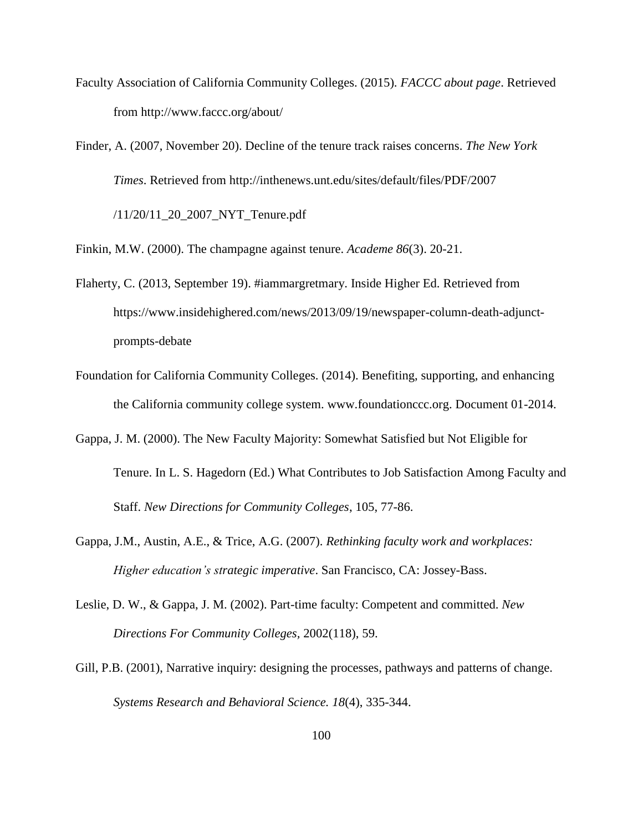- Faculty Association of California Community Colleges. (2015). *FACCC about page*. Retrieved from http://www.faccc.org/about/
- Finder, A. (2007, November 20). Decline of the tenure track raises concerns. *The New York Times*. Retrieved from http://inthenews.unt.edu/sites/default/files/PDF/2007 /11/20/11\_20\_2007\_NYT\_Tenure.pdf

Finkin, M.W. (2000). The champagne against tenure. *Academe 86*(3). 20-21.

- Flaherty, C. (2013, September 19). #iammargretmary. Inside Higher Ed. Retrieved from https://www.insidehighered.com/news/2013/09/19/newspaper-column-death-adjunctprompts-debate
- Foundation for California Community Colleges. (2014). Benefiting, supporting, and enhancing the California community college system. www.foundationccc.org. Document 01-2014.
- Gappa, J. M. (2000). The New Faculty Majority: Somewhat Satisfied but Not Eligible for Tenure. In L. S. Hagedorn (Ed.) What Contributes to Job Satisfaction Among Faculty and Staff. *New Directions for Community Colleges*, 105, 77-86.
- Gappa, J.M., Austin, A.E., & Trice, A.G. (2007). *Rethinking faculty work and workplaces: Higher education's strategic imperative*. San Francisco, CA: Jossey-Bass.
- Leslie, D. W., & Gappa, J. M. (2002). Part-time faculty: Competent and committed. *New Directions For Community Colleges,* 2002(118), 59.
- Gill, P.B. (2001), Narrative inquiry: designing the processes, pathways and patterns of change. *Systems Research and Behavioral Science. 18*(4), 335-344.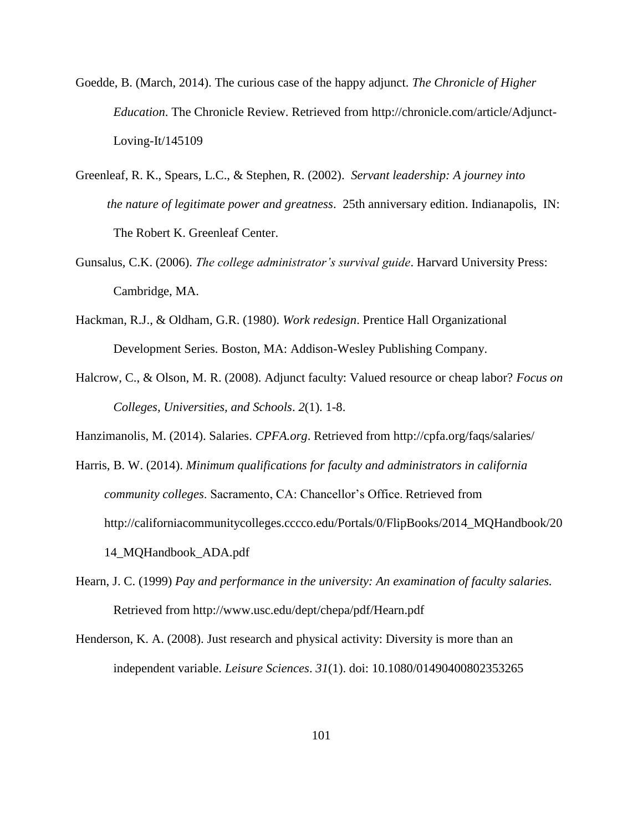- Goedde, B. (March, 2014). The curious case of the happy adjunct. *The Chronicle of Higher Education*. The Chronicle Review. Retrieved from http://chronicle.com/article/Adjunct-Loving-It/145109
- Greenleaf, R. K., Spears, L.C., & Stephen, R. (2002). *Servant leadership: A journey into the nature of legitimate power and greatness*. 25th anniversary edition. Indianapolis, IN: The Robert K. Greenleaf Center.
- Gunsalus, C.K. (2006). *The college administrator's survival guide*. Harvard University Press: Cambridge, MA.
- Hackman, R.J., & Oldham, G.R. (1980). *Work redesign*. Prentice Hall Organizational Development Series. Boston, MA: Addison-Wesley Publishing Company.
- Halcrow, C., & Olson, M. R. (2008). Adjunct faculty: Valued resource or cheap labor? *Focus on Colleges, Universities, and Schools*. *2*(1). 1-8.
- Hanzimanolis, M. (2014). Salaries. *CPFA.org*. Retrieved from http://cpfa.org/faqs/salaries/
- Harris, B. W. (2014). *Minimum qualifications for faculty and administrators in california community colleges*. Sacramento, CA: Chancellor's Office. Retrieved from http://californiacommunitycolleges.cccco.edu/Portals/0/FlipBooks/2014\_MQHandbook/20 14\_MQHandbook\_ADA.pdf
- Hearn, J. C. (1999) *Pay and performance in the university: An examination of faculty salaries.* Retrieved from http://www.usc.edu/dept/chepa/pdf/Hearn.pdf
- Henderson, K. A. (2008). Just research and physical activity: Diversity is more than an independent variable. *Leisure Sciences*. *31*(1). doi: 10.1080/01490400802353265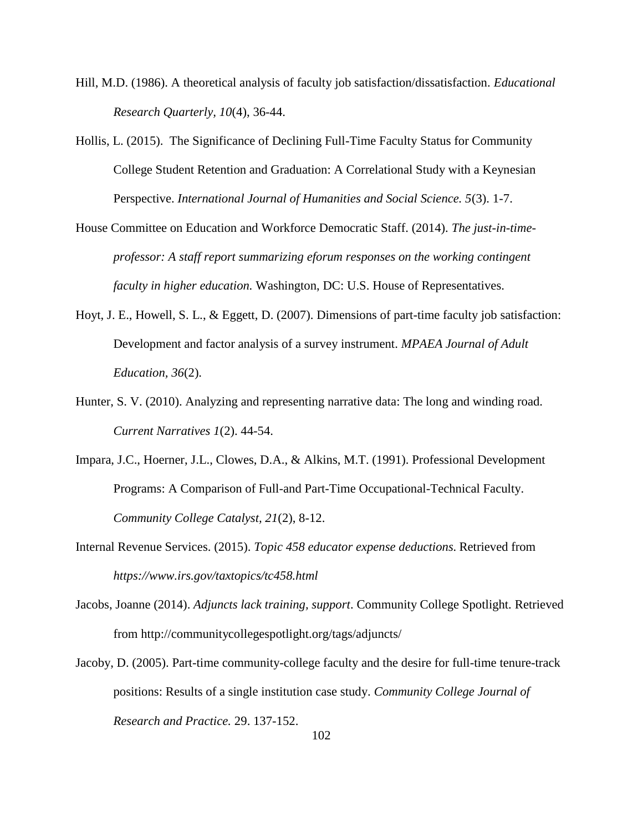- Hill, M.D. (1986). A theoretical analysis of faculty job satisfaction/dissatisfaction. *Educational Research Quarterly, 10*(4), 36-44.
- Hollis, L. (2015). The Significance of Declining Full-Time Faculty Status for Community College Student Retention and Graduation: A Correlational Study with a Keynesian Perspective. *International Journal of Humanities and Social Science. 5*(3). 1-7.
- House Committee on Education and Workforce Democratic Staff. (2014). *The just-in-timeprofessor: A staff report summarizing eforum responses on the working contingent faculty in higher education.* Washington, DC: U.S. House of Representatives.
- Hoyt, J. E., Howell, S. L., & Eggett, D. (2007). Dimensions of part-time faculty job satisfaction: Development and factor analysis of a survey instrument. *MPAEA Journal of Adult Education, 36*(2).
- Hunter, S. V. (2010). Analyzing and representing narrative data: The long and winding road. *Current Narratives 1*(2). 44-54.
- Impara, J.C., Hoerner, J.L., Clowes, D.A., & Alkins, M.T. (1991). Professional Development Programs: A Comparison of Full-and Part-Time Occupational-Technical Faculty. *Community College Catalyst, 21*(2), 8-12.
- Internal Revenue Services. (2015). *Topic 458 educator expense deductions.* Retrieved from *https://www.irs.gov/taxtopics/tc458.html*
- Jacobs, Joanne (2014). *Adjuncts lack training, support*. Community College Spotlight. Retrieved from http://communitycollegespotlight.org/tags/adjuncts/
- Jacoby, D. (2005). Part-time community-college faculty and the desire for full-time tenure-track positions: Results of a single institution case study. *Community College Journal of Research and Practice.* 29. 137-152.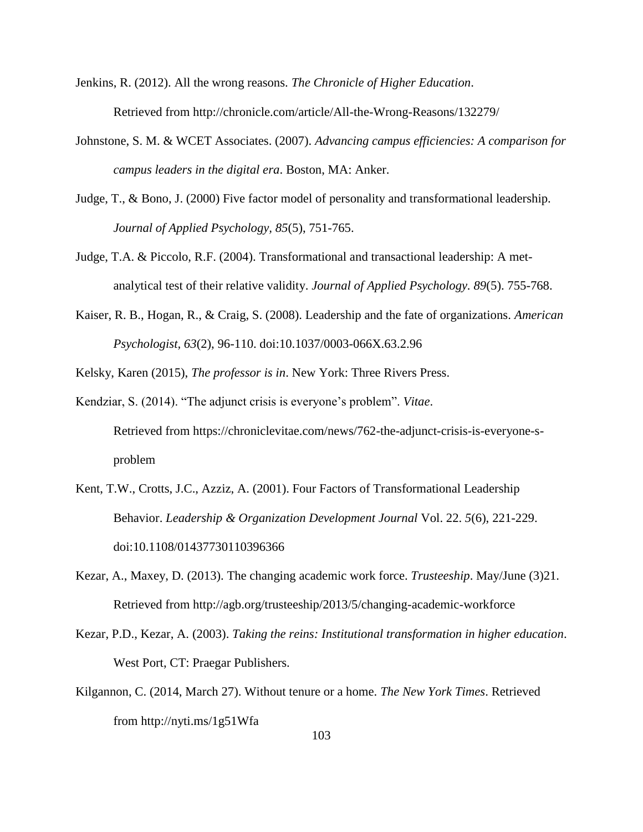- Jenkins, R. (2012). All the wrong reasons. *The Chronicle of Higher Education*. Retrieved from http://chronicle.com/article/All-the-Wrong-Reasons/132279/
- Johnstone, S. M. & WCET Associates. (2007). *Advancing campus efficiencies: A comparison for campus leaders in the digital era*. Boston, MA: Anker.
- Judge, T., & Bono, J. (2000) Five factor model of personality and transformational leadership. *Journal of Applied Psychology, 85*(5), 751-765.
- Judge, T.A. & Piccolo, R.F. (2004). Transformational and transactional leadership: A metanalytical test of their relative validity. *Journal of Applied Psychology. 89*(5). 755-768.
- Kaiser, R. B., Hogan, R., & Craig, S. (2008). Leadership and the fate of organizations. *American Psychologist, 63*(2), 96-110. doi:10.1037/0003-066X.63.2.96
- Kelsky, Karen (2015), *The professor is in*. New York: Three Rivers Press.
- Kendziar, S. (2014). "The adjunct crisis is everyone's problem". *Vitae*. Retrieved from https://chroniclevitae.com/news/762-the-adjunct-crisis-is-everyone-sproblem
- Kent, T.W., Crotts, J.C., Azziz, A. (2001). Four Factors of Transformational Leadership Behavior. *Leadership & Organization Development Journal* Vol. 22. *5*(6), 221-229. doi:10.1108/01437730110396366
- Kezar, A., Maxey, D. (2013). The changing academic work force. *Trusteeship*. May/June (3)21. Retrieved from http://agb.org/trusteeship/2013/5/changing-academic-workforce
- Kezar, P.D., Kezar, A. (2003). *Taking the reins: Institutional transformation in higher education*. West Port, CT: Praegar Publishers.
- Kilgannon, C. (2014, March 27). Without tenure or a home. *The New York Times*. Retrieved from http://nyti.ms/1g51Wfa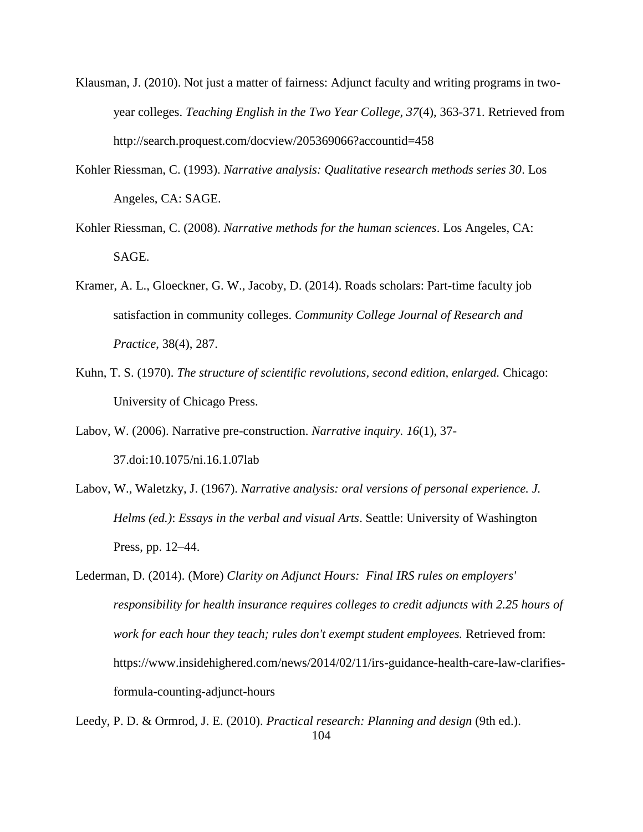- Klausman, J. (2010). Not just a matter of fairness: Adjunct faculty and writing programs in twoyear colleges. *Teaching English in the Two Year College, 37*(4), 363-371. Retrieved from http://search.proquest.com/docview/205369066?accountid=458
- Kohler Riessman, C. (1993). *Narrative analysis: Qualitative research methods series 30*. Los Angeles, CA: SAGE.
- Kohler Riessman, C. (2008). *Narrative methods for the human sciences*. Los Angeles, CA: SAGE.
- Kramer, A. L., Gloeckner, G. W., Jacoby, D. (2014). Roads scholars: Part-time faculty job satisfaction in community colleges. *Community College Journal of Research and Practice*, 38(4), 287.
- Kuhn, T. S. (1970). *The structure of scientific revolutions, second edition, enlarged.* Chicago: University of Chicago Press.
- Labov, W. (2006). Narrative pre-construction. *Narrative inquiry. 16*(1), 37- 37.doi:10.1075/ni.16.1.07lab
- Labov, W., Waletzky, J. (1967). *Narrative analysis: oral versions of personal experience. J. Helms (ed.)*: *Essays in the verbal and visual Arts*. Seattle: University of Washington Press, pp. 12–44.
- Lederman, D. (2014). (More) *Clarity on Adjunct Hours: Final IRS rules on employers' responsibility for health insurance requires colleges to credit adjuncts with 2.25 hours of work for each hour they teach; rules don't exempt student employees.* Retrieved from: https://www.insidehighered.com/news/2014/02/11/irs-guidance-health-care-law-clarifiesformula-counting-adjunct-hours
- 104 Leedy, P. D. & Ormrod, J. E. (2010). *Practical research: Planning and design* (9th ed.).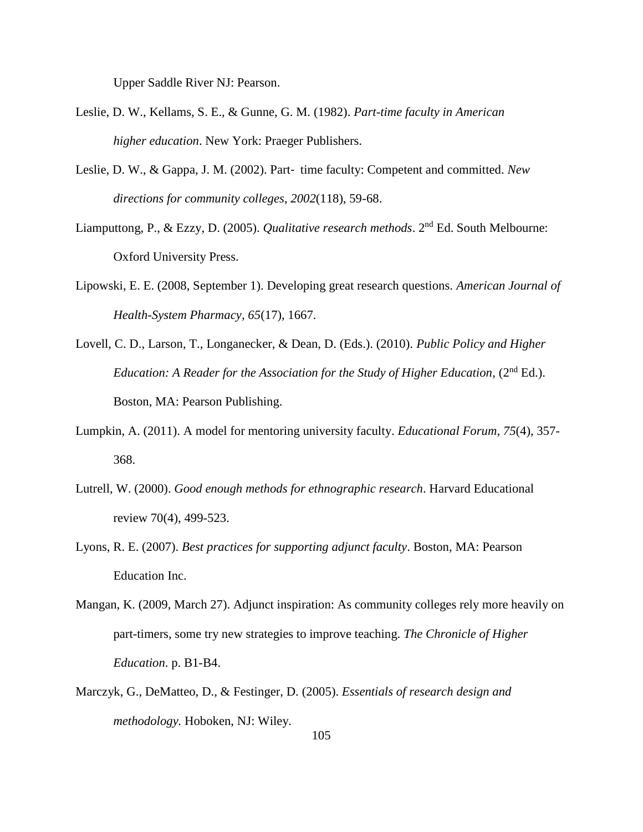Upper Saddle River NJ: Pearson.

- Leslie, D. W., Kellams, S. E., & Gunne, G. M. (1982). *Part-time faculty in American higher education*. New York: Praeger Publishers.
- Leslie, D. W., & Gappa, J. M. (2002). Part‐ time faculty: Competent and committed. *New directions for community colleges*, *2002*(118), 59-68.
- Liamputtong, P., & Ezzy, D. (2005). *Qualitative research methods*. 2nd Ed. South Melbourne: Oxford University Press.
- Lipowski, E. E. (2008, September 1). Developing great research questions. *American Journal of Health-System Pharmacy, 65*(17), 1667.
- Lovell, C. D., Larson, T., Longanecker, & Dean, D. (Eds.). (2010). *Public Policy and Higher Education: A Reader for the Association for the Study of Higher Education*, (2<sup>nd</sup> Ed.). Boston, MA: Pearson Publishing.
- Lumpkin, A. (2011). A model for mentoring university faculty. *Educational Forum*, *75*(4), 357- 368.
- Lutrell, W. (2000). *Good enough methods for ethnographic research*. Harvard Educational review 70(4), 499-523.
- Lyons, R. E. (2007). *Best practices for supporting adjunct faculty*. Boston, MA: Pearson Education Inc.
- Mangan, K. (2009, March 27). Adjunct inspiration: As community colleges rely more heavily on part-timers, some try new strategies to improve teaching. *The Chronicle of Higher Education*. p. B1-B4.
- Marczyk, G., DeMatteo, D., & Festinger, D. (2005). *Essentials of research design and methodology.* Hoboken, NJ: Wiley.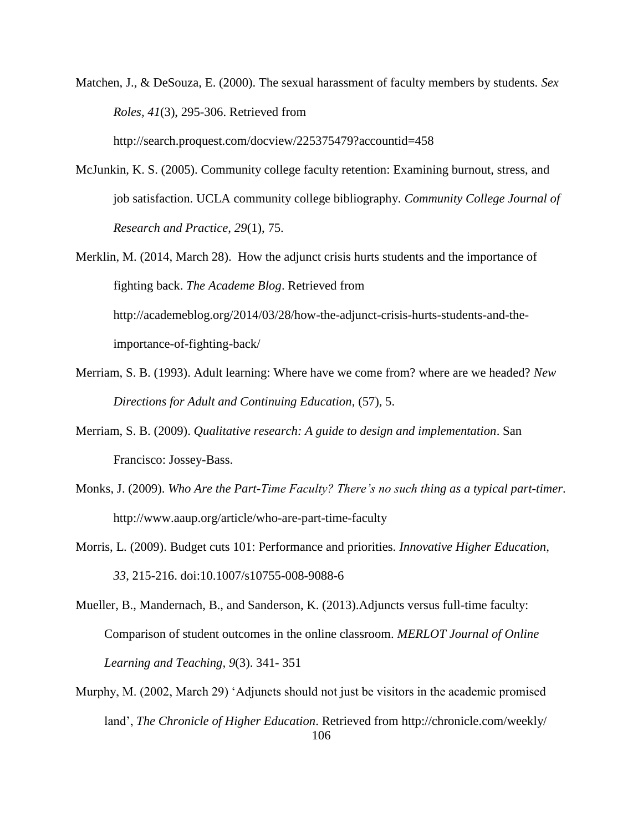Matchen, J., & DeSouza, E. (2000). The sexual harassment of faculty members by students. *Sex Roles, 41*(3), 295-306. Retrieved from

http://search.proquest.com/docview/225375479?accountid=458

- McJunkin, K. S. (2005). Community college faculty retention: Examining burnout, stress, and job satisfaction. UCLA community college bibliography. *Community College Journal of Research and Practice*, *29*(1), 75.
- Merklin, M. (2014, March 28). How the adjunct crisis hurts students and the importance of fighting back. *The Academe Blog*. Retrieved from http://academeblog.org/2014/03/28/how-the-adjunct-crisis-hurts-students-and-theimportance-of-fighting-back/
- Merriam, S. B. (1993). Adult learning: Where have we come from? where are we headed? *New Directions for Adult and Continuing Education*, (57), 5.
- Merriam, S. B. (2009). *Qualitative research: A guide to design and implementation*. San Francisco: Jossey-Bass.
- Monks, J. (2009). *Who Are the Part-Time Faculty? There's no such thing as a typical part-timer*. http://www.aaup.org/article/who-are-part-time-faculty
- Morris, L. (2009). Budget cuts 101: Performance and priorities. *Innovative Higher Education, 33*, 215-216. doi:10.1007/s10755-008-9088-6
- Mueller, B., Mandernach, B., and Sanderson, K. (2013).Adjuncts versus full-time faculty: Comparison of student outcomes in the online classroom. *MERLOT Journal of Online Learning and Teaching, 9*(3). 341- 351
- 106 Murphy, M. (2002, March 29) 'Adjuncts should not just be visitors in the academic promised land', *The Chronicle of Higher Education*. Retrieved from http://chronicle.com/weekly/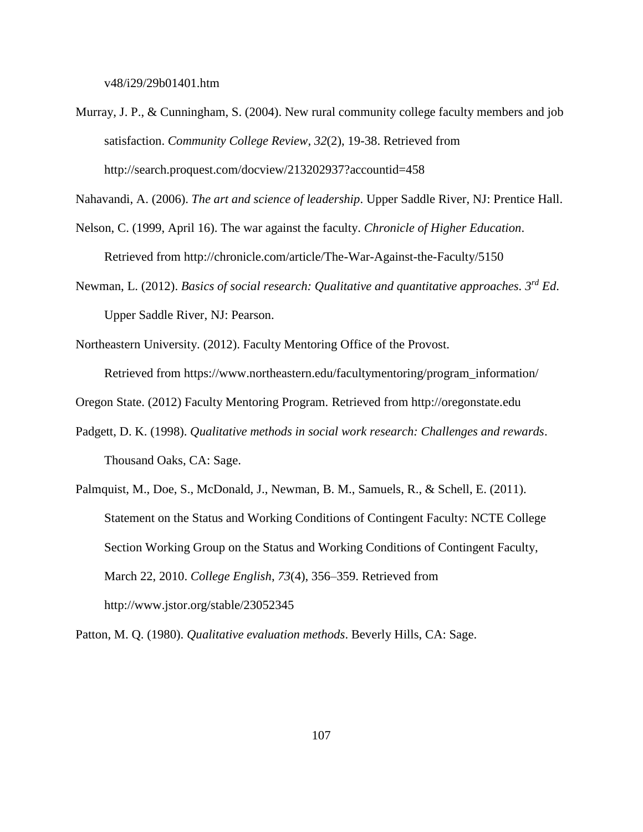v48/i29/29b01401.htm

Murray, J. P., & Cunningham, S. (2004). New rural community college faculty members and job satisfaction. *Community College Review*, *32*(2), 19-38. Retrieved from http://search.proquest.com/docview/213202937?accountid=458

Nahavandi, A. (2006). *The art and science of leadership*. Upper Saddle River, NJ: Prentice Hall.

- Nelson, C. (1999, April 16). The war against the faculty. *Chronicle of Higher Education*. Retrieved from http://chronicle.com/article/The-War-Against-the-Faculty/5150
- Newman, L. (2012). *Basics of social research: Qualitative and quantitative approaches. 3rd Ed*. Upper Saddle River, NJ: Pearson.
- Northeastern University. (2012). Faculty Mentoring Office of the Provost.

Retrieved from https://www.northeastern.edu/facultymentoring/program\_information/

- Oregon State. (2012) Faculty Mentoring Program. Retrieved from http://oregonstate.edu
- Padgett, D. K. (1998). *Qualitative methods in social work research: Challenges and rewards*. Thousand Oaks, CA: Sage.
- Palmquist, M., Doe, S., McDonald, J., Newman, B. M., Samuels, R., & Schell, E. (2011). Statement on the Status and Working Conditions of Contingent Faculty: NCTE College Section Working Group on the Status and Working Conditions of Contingent Faculty, March 22, 2010. *College English*, *73*(4), 356–359. Retrieved from http://www.jstor.org/stable/23052345

Patton, M. Q. (1980). *Qualitative evaluation methods*. Beverly Hills, CA: Sage.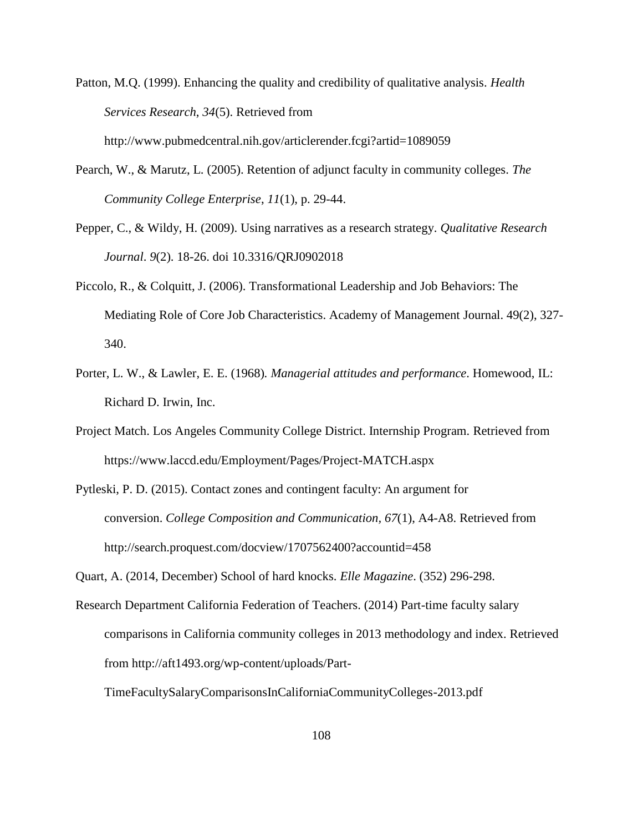Patton, M.Q. (1999). Enhancing the quality and credibility of qualitative analysis. *Health Services Research*, *34*(5). Retrieved from http://www.pubmedcentral.nih.gov/articlerender.fcgi?artid=1089059

- Pearch, W., & Marutz, L. (2005). Retention of adjunct faculty in community colleges. *The Community College Enterprise*, *11*(1), p. 29-44.
- Pepper, C., & Wildy, H. (2009). Using narratives as a research strategy. *Qualitative Research Journal*. *9*(2). 18-26. doi 10.3316/QRJ0902018
- Piccolo, R., & Colquitt, J. (2006). Transformational Leadership and Job Behaviors: The Mediating Role of Core Job Characteristics. Academy of Management Journal. 49(2), 327- 340.
- Porter, L. W., & Lawler, E. E. (1968)*. Managerial attitudes and performance*. Homewood, IL: Richard D. Irwin, Inc.
- Project Match. Los Angeles Community College District. Internship Program. Retrieved from https://www.laccd.edu/Employment/Pages/Project-MATCH.aspx
- Pytleski, P. D. (2015). Contact zones and contingent faculty: An argument for conversion. *College Composition and Communication, 67*(1), A4-A8. Retrieved from http://search.proquest.com/docview/1707562400?accountid=458

Quart, A. (2014, December) School of hard knocks. *Elle Magazine*. (352) 296-298.

Research Department California Federation of Teachers. (2014) Part-time faculty salary comparisons in California community colleges in 2013 methodology and index. Retrieved from http://aft1493.org/wp-content/uploads/Part-

TimeFacultySalaryComparisonsInCaliforniaCommunityColleges-2013.pdf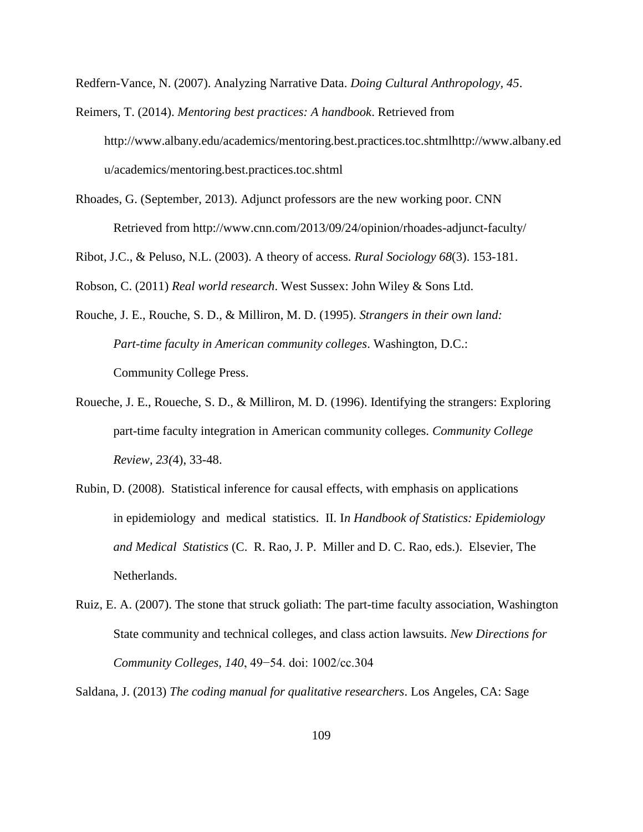Redfern-Vance, N. (2007). Analyzing Narrative Data. *Doing Cultural Anthropology, 45*.

Reimers, T. (2014). *Mentoring best practices: A handbook*. Retrieved from http://www.albany.edu/academics/mentoring.best.practices.toc.shtmlhttp://www.albany.ed u/academics/mentoring.best.practices.toc.shtml

Rhoades, G. (September, 2013). Adjunct professors are the new working poor. CNN Retrieved from http://www.cnn.com/2013/09/24/opinion/rhoades-adjunct-faculty/

Ribot, J.C., & Peluso, N.L. (2003). A theory of access. *Rural Sociology 68*(3). 153-181.

Robson, C. (2011) *Real world research*. West Sussex: John Wiley & Sons Ltd.

- Rouche, J. E., Rouche, S. D., & Milliron, M. D. (1995). *Strangers in their own land: Part-time faculty in American community colleges*. Washington, D.C.: Community College Press.
- Roueche, J. E., Roueche, S. D., & Milliron, M. D. (1996). Identifying the strangers: Exploring part-time faculty integration in American community colleges. *Community College Review, 23(*4), 33-48.
- Rubin, D. (2008). Statistical inference for causal effects, with emphasis on applications in epidemiology and medical statistics. II. I*n Handbook of Statistics: Epidemiology and Medical Statistics* (C. R. Rao, J. P. Miller and D. C. Rao, eds.). Elsevier, The Netherlands.
- Ruiz, E. A. (2007). The stone that struck goliath: The part-time faculty association, Washington State community and technical colleges, and class action lawsuits. *New Directions for Community Colleges, 140*, 49−54. doi: 1002/cc.304

Saldana, J. (2013) *The coding manual for qualitative researchers*. Los Angeles, CA: Sage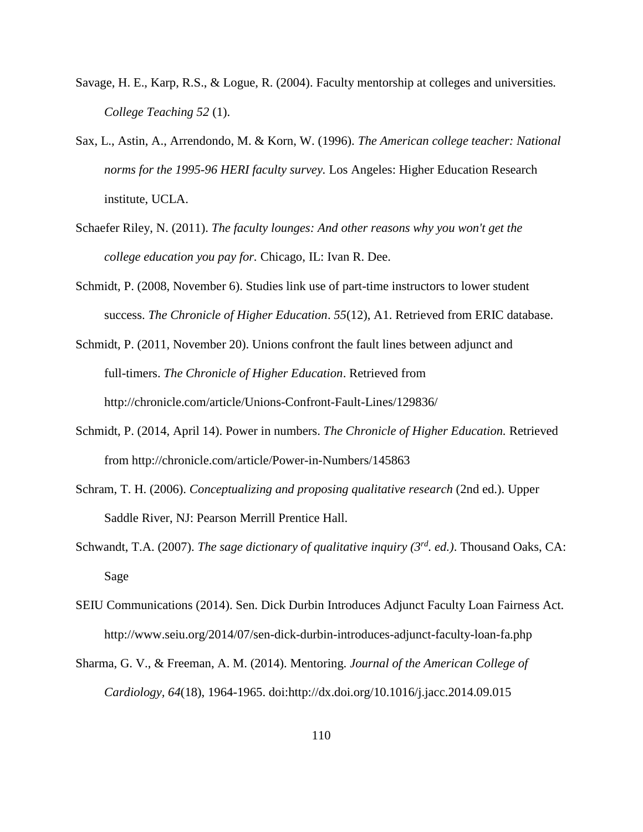- Savage, H. E., Karp, R.S., & Logue, R. (2004). Faculty mentorship at colleges and universities*. College Teaching 52* (1).
- Sax, L., Astin, A., Arrendondo, M. & Korn, W. (1996). *The American college teacher: National norms for the 1995-96 HERI faculty survey.* Los Angeles: Higher Education Research institute, UCLA.
- Schaefer Riley, N. (2011). *The faculty lounges: And other reasons why you won't get the college education you pay for.* Chicago, IL: Ivan R. Dee.
- Schmidt, P. (2008, November 6). Studies link use of part-time instructors to lower student success. *The Chronicle of Higher Education*. *55*(12), A1. Retrieved from ERIC database.
- Schmidt, P. (2011, November 20). Unions confront the fault lines between adjunct and full-timers. *The Chronicle of Higher Education*. Retrieved from http://chronicle.com/article/Unions-Confront-Fault-Lines/129836/
- Schmidt, P. (2014, April 14). Power in numbers. *The Chronicle of Higher Education.* Retrieved from http://chronicle.com/article/Power-in-Numbers/145863
- Schram, T. H. (2006). *Conceptualizing and proposing qualitative research* (2nd ed.). Upper Saddle River, NJ: Pearson Merrill Prentice Hall.
- Schwandt, T.A. (2007). *The sage dictionary of qualitative inquiry (3rd. ed.)*. Thousand Oaks, CA: Sage
- SEIU Communications (2014). Sen. Dick Durbin Introduces Adjunct Faculty Loan Fairness Act. http://www.seiu.org/2014/07/sen-dick-durbin-introduces-adjunct-faculty-loan-fa.php
- Sharma, G. V., & Freeman, A. M. (2014). Mentoring. *Journal of the American College of Cardiology, 64*(18), 1964-1965. doi:http://dx.doi.org/10.1016/j.jacc.2014.09.015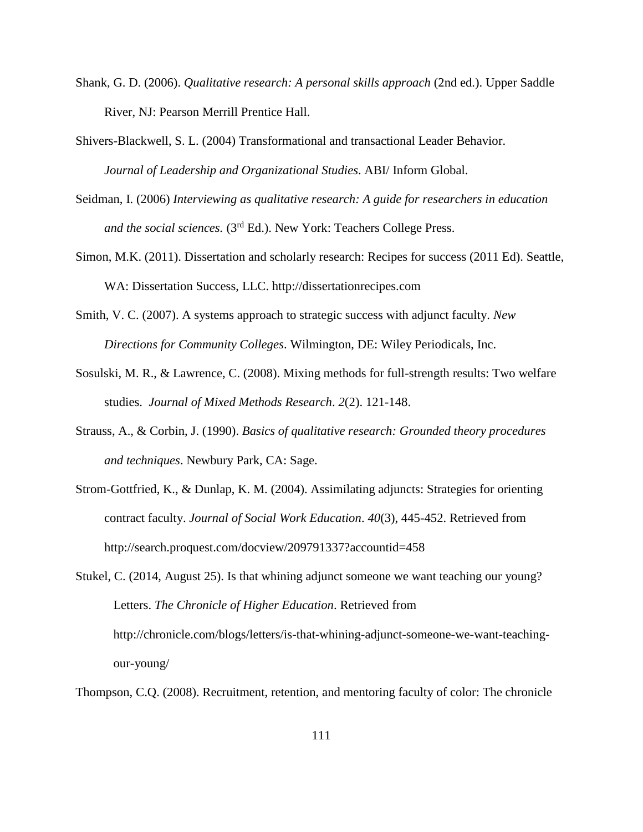- Shank, G. D. (2006). *Qualitative research: A personal skills approach* (2nd ed.). Upper Saddle River, NJ: Pearson Merrill Prentice Hall.
- Shivers-Blackwell, S. L. (2004) Transformational and transactional Leader Behavior. *Journal of Leadership and Organizational Studies*. ABI/ Inform Global.
- Seidman, I. (2006) *Interviewing as qualitative research: A guide for researchers in education and the social sciences.* (3rd Ed.). New York: Teachers College Press.
- Simon, M.K. (2011). Dissertation and scholarly research: Recipes for success (2011 Ed). Seattle, WA: Dissertation Success, LLC. http://dissertationrecipes.com
- Smith, V. C. (2007). A systems approach to strategic success with adjunct faculty. *New Directions for Community Colleges*. Wilmington, DE: Wiley Periodicals, Inc.
- Sosulski, M. R., & Lawrence, C. (2008). Mixing methods for full-strength results: Two welfare studies. *Journal of Mixed Methods Research*. *2*(2). 121-148.
- Strauss, A., & Corbin, J. (1990). *Basics of qualitative research: Grounded theory procedures and techniques*. Newbury Park, CA: Sage.
- Strom-Gottfried, K., & Dunlap, K. M. (2004). Assimilating adjuncts: Strategies for orienting contract faculty. *Journal of Social Work Education*. *40*(3), 445-452. Retrieved from http://search.proquest.com/docview/209791337?accountid=458

Stukel, C. (2014, August 25). Is that whining adjunct someone we want teaching our young? Letters. *The Chronicle of Higher Education*. Retrieved from http://chronicle.com/blogs/letters/is-that-whining-adjunct-someone-we-want-teachingour-young/

Thompson, C.Q. (2008). Recruitment, retention, and mentoring faculty of color: The chronicle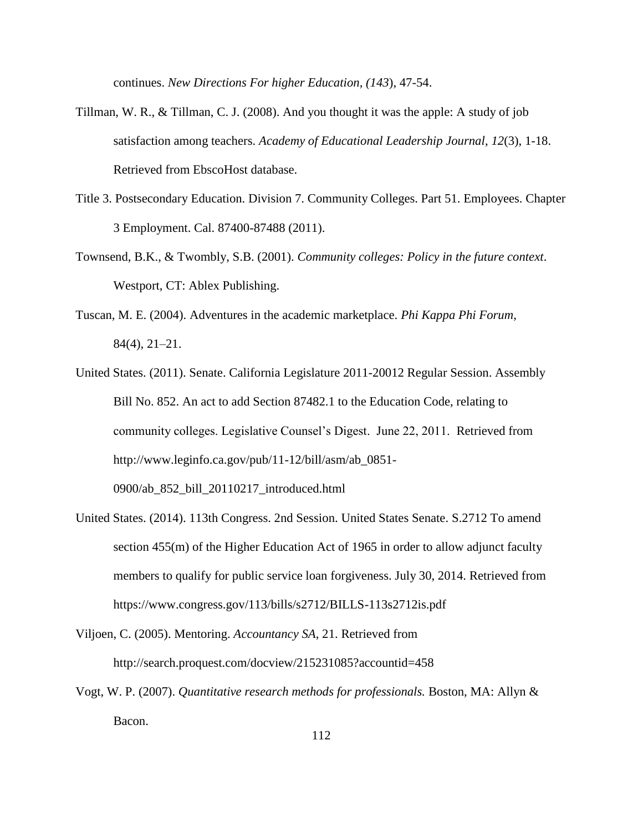continues. *New Directions For higher Education, (143*), 47-54.

- Tillman, W. R., & Tillman, C. J. (2008). And you thought it was the apple: A study of job satisfaction among teachers. *Academy of Educational Leadership Journal*, *12*(3), 1-18. Retrieved from EbscoHost database.
- Title 3. Postsecondary Education. Division 7. Community Colleges. Part 51. Employees. Chapter 3 Employment. Cal. 87400-87488 (2011).
- Townsend, B.K., & Twombly, S.B. (2001). *Community colleges: Policy in the future context*. Westport, CT: Ablex Publishing.
- Tuscan, M. E. (2004). Adventures in the academic marketplace. *Phi Kappa Phi Forum*, 84(4), 21–21.
- United States. (2011). Senate. California Legislature 2011-20012 Regular Session. Assembly Bill No. 852. An act to add Section 87482.1 to the Education Code, relating to community colleges. Legislative Counsel's Digest. June 22, 2011. Retrieved from http://www.leginfo.ca.gov/pub/11-12/bill/asm/ab\_0851- 0900/ab\_852\_bill\_20110217\_introduced.html
- United States. (2014). 113th Congress. 2nd Session. United States Senate. S.2712 To amend section 455(m) of the Higher Education Act of 1965 in order to allow adjunct faculty members to qualify for public service loan forgiveness. July 30, 2014. Retrieved from https://www.congress.gov/113/bills/s2712/BILLS-113s2712is.pdf
- Viljoen, C. (2005). Mentoring. *Accountancy SA*, 21. Retrieved from http://search.proquest.com/docview/215231085?accountid=458
- Vogt, W. P. (2007). *Quantitative research methods for professionals.* Boston, MA: Allyn & Bacon.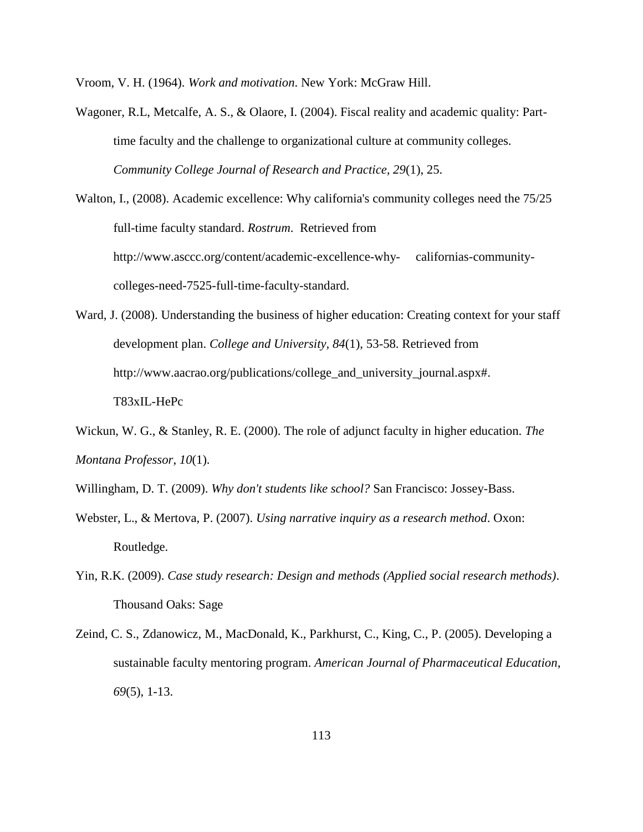Vroom, V. H. (1964). *Work and motivation*. New York: McGraw Hill.

- Wagoner, R.L, Metcalfe, A. S., & Olaore, I. (2004). Fiscal reality and academic quality: Parttime faculty and the challenge to organizational culture at community colleges. *Community College Journal of Research and Practice, 29*(1), 25.
- Walton, I., (2008). Academic excellence: Why california's community colleges need the 75/25 full-time faculty standard. *Rostrum*. Retrieved from http://www.asccc.org/content/academic-excellence-why- californias-communitycolleges-need-7525-full-time-faculty-standard.
- Ward, J. (2008). Understanding the business of higher education: Creating context for your staff development plan. *College and University, 84*(1), 53-58. Retrieved from http://www.aacrao.org/publications/college\_and\_university\_journal.aspx#. T83xIL-HePc
- Wickun, W. G., & Stanley, R. E. (2000). The role of adjunct faculty in higher education. *The Montana Professor*, *10*(1).
- Willingham, D. T. (2009). *Why don't students like school?* San Francisco: Jossey-Bass.
- Webster, L., & Mertova, P. (2007). *Using narrative inquiry as a research method*. Oxon: Routledge.
- Yin, R.K. (2009). *Case study research: Design and methods (Applied social research methods)*. Thousand Oaks: Sage
- Zeind, C. S., Zdanowicz, M., MacDonald, K., Parkhurst, C., King, C., P. (2005). Developing a sustainable faculty mentoring program. *American Journal of Pharmaceutical Education*, *69*(5), 1-13.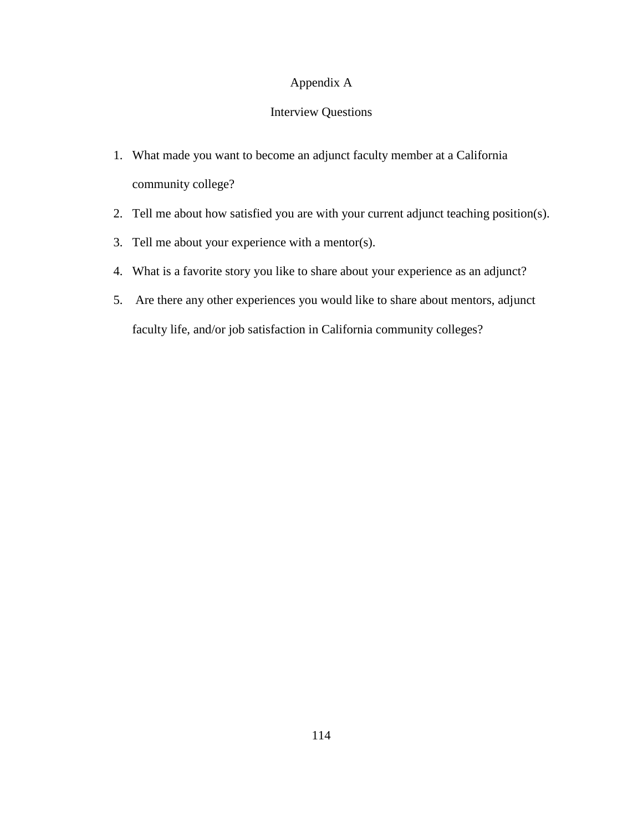## Appendix A

# Interview Questions

- 1. What made you want to become an adjunct faculty member at a California community college?
- 2. Tell me about how satisfied you are with your current adjunct teaching position(s).
- 3. Tell me about your experience with a mentor(s).
- 4. What is a favorite story you like to share about your experience as an adjunct?
- 5. Are there any other experiences you would like to share about mentors, adjunct faculty life, and/or job satisfaction in California community colleges?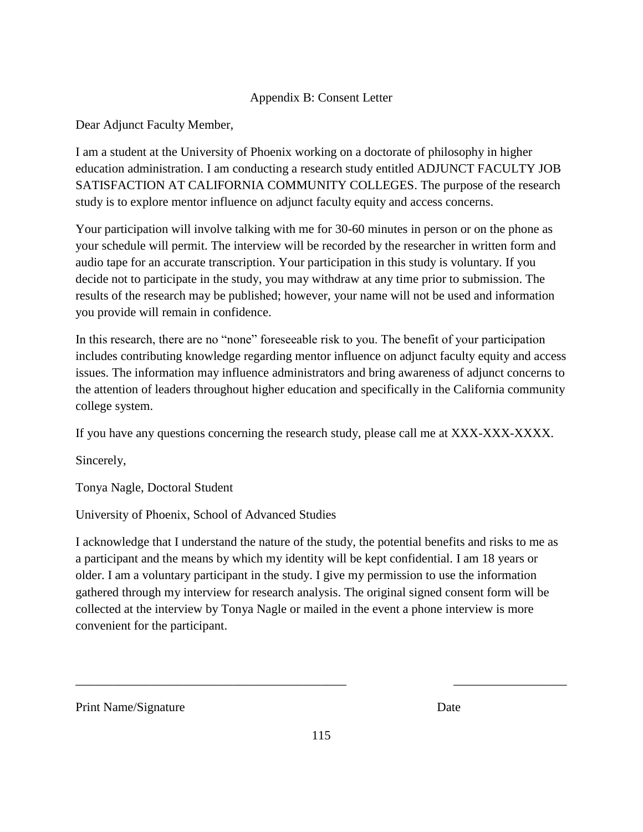## Appendix B: Consent Letter

Dear Adjunct Faculty Member,

I am a student at the University of Phoenix working on a doctorate of philosophy in higher education administration. I am conducting a research study entitled ADJUNCT FACULTY JOB SATISFACTION AT CALIFORNIA COMMUNITY COLLEGES. The purpose of the research study is to explore mentor influence on adjunct faculty equity and access concerns.

Your participation will involve talking with me for 30-60 minutes in person or on the phone as your schedule will permit. The interview will be recorded by the researcher in written form and audio tape for an accurate transcription. Your participation in this study is voluntary. If you decide not to participate in the study, you may withdraw at any time prior to submission. The results of the research may be published; however, your name will not be used and information you provide will remain in confidence.

In this research, there are no "none" foreseeable risk to you. The benefit of your participation includes contributing knowledge regarding mentor influence on adjunct faculty equity and access issues. The information may influence administrators and bring awareness of adjunct concerns to the attention of leaders throughout higher education and specifically in the California community college system.

If you have any questions concerning the research study, please call me at XXX-XXX-XXXX.

Sincerely,

Tonya Nagle, Doctoral Student

University of Phoenix, School of Advanced Studies

I acknowledge that I understand the nature of the study, the potential benefits and risks to me as a participant and the means by which my identity will be kept confidential. I am 18 years or older. I am a voluntary participant in the study. I give my permission to use the information gathered through my interview for research analysis. The original signed consent form will be collected at the interview by Tonya Nagle or mailed in the event a phone interview is more convenient for the participant.

Print Name/Signature Date

\_\_\_\_\_\_\_\_\_\_\_\_\_\_\_\_\_\_\_\_\_\_\_\_\_\_\_\_\_\_\_\_\_\_\_\_\_\_\_\_\_\_\_ \_\_\_\_\_\_\_\_\_\_\_\_\_\_\_\_\_\_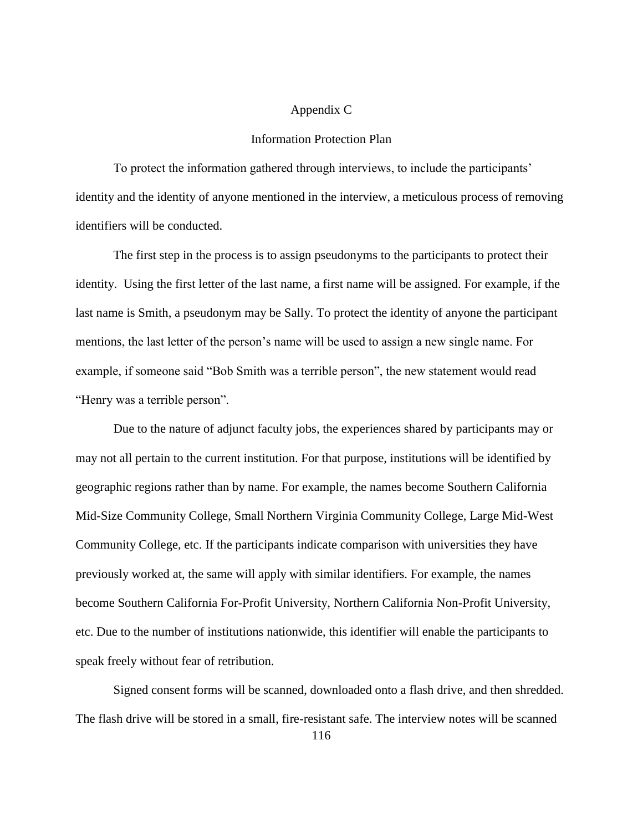#### Appendix C

#### Information Protection Plan

To protect the information gathered through interviews, to include the participants' identity and the identity of anyone mentioned in the interview, a meticulous process of removing identifiers will be conducted.

The first step in the process is to assign pseudonyms to the participants to protect their identity. Using the first letter of the last name, a first name will be assigned. For example, if the last name is Smith, a pseudonym may be Sally. To protect the identity of anyone the participant mentions, the last letter of the person's name will be used to assign a new single name. For example, if someone said "Bob Smith was a terrible person", the new statement would read "Henry was a terrible person".

Due to the nature of adjunct faculty jobs, the experiences shared by participants may or may not all pertain to the current institution. For that purpose, institutions will be identified by geographic regions rather than by name. For example, the names become Southern California Mid-Size Community College, Small Northern Virginia Community College, Large Mid-West Community College, etc. If the participants indicate comparison with universities they have previously worked at, the same will apply with similar identifiers. For example, the names become Southern California For-Profit University, Northern California Non-Profit University, etc. Due to the number of institutions nationwide, this identifier will enable the participants to speak freely without fear of retribution.

Signed consent forms will be scanned, downloaded onto a flash drive, and then shredded. The flash drive will be stored in a small, fire-resistant safe. The interview notes will be scanned